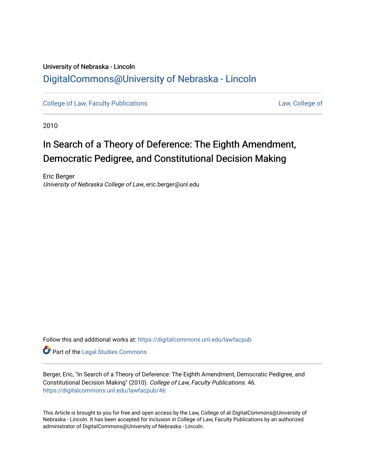## University of Nebraska - Lincoln [DigitalCommons@University of Nebraska - Lincoln](https://digitalcommons.unl.edu/)

[College of Law, Faculty Publications](https://digitalcommons.unl.edu/lawfacpub) [Law, College of](https://digitalcommons.unl.edu/law) Law, College of

2010

# In Search of a Theory of Deference: The Eighth Amendment, Democratic Pedigree, and Constitutional Decision Making

Eric Berger University of Nebraska College of Law, eric.berger@unl.edu

Follow this and additional works at: [https://digitalcommons.unl.edu/lawfacpub](https://digitalcommons.unl.edu/lawfacpub?utm_source=digitalcommons.unl.edu%2Flawfacpub%2F46&utm_medium=PDF&utm_campaign=PDFCoverPages) 

Part of the [Legal Studies Commons](http://network.bepress.com/hgg/discipline/366?utm_source=digitalcommons.unl.edu%2Flawfacpub%2F46&utm_medium=PDF&utm_campaign=PDFCoverPages) 

Berger, Eric, "In Search of a Theory of Deference: The Eighth Amendment, Democratic Pedigree, and Constitutional Decision Making" (2010). College of Law, Faculty Publications. 46. [https://digitalcommons.unl.edu/lawfacpub/46](https://digitalcommons.unl.edu/lawfacpub/46?utm_source=digitalcommons.unl.edu%2Flawfacpub%2F46&utm_medium=PDF&utm_campaign=PDFCoverPages)

This Article is brought to you for free and open access by the Law, College of at DigitalCommons@University of Nebraska - Lincoln. It has been accepted for inclusion in College of Law, Faculty Publications by an authorized administrator of DigitalCommons@University of Nebraska - Lincoln.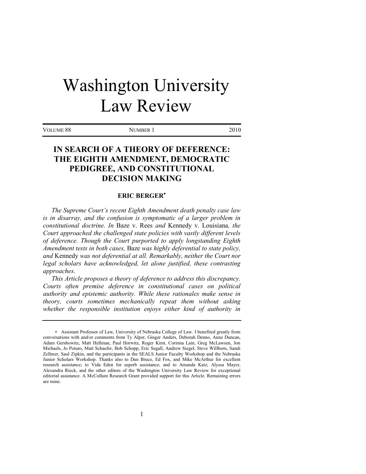# Washington University Law Review

VOLUME 88 NUMBER 1 2010

### **IN SEARCH OF A THEORY OF DEFERENCE: THE EIGHTH AMENDMENT, DEMOCRATIC PEDIGREE, AND CONSTITUTIONAL DECISION MAKING**

#### **ERIC BERGER**

*The Supreme Court's recent Eighth Amendment death penalty case law is in disarray, and the confusion is symptomatic of a larger problem in constitutional doctrine. In* Baze v. Rees *and* Kennedy v. Louisiana*, the Court approached the challenged state policies with vastly different levels of deference. Though the Court purported to apply longstanding Eighth Amendment tests in both cases,* Baze *was highly deferential to state policy, and* Kennedy *was not deferential at all. Remarkably, neither the Court nor legal scholars have acknowledged, let alone justified, these contrasting approaches.*

*This Article proposes a theory of deference to address this discrepancy. Courts often premise deference in constitutional cases on political authority and epistemic authority. While these rationales make sense in theory, courts sometimes mechanically repeat them without asking whether the responsible institution enjoys either kind of authority in* 

Assistant Professor of Law, University of Nebraska College of Law. I benefited greatly from conversations with and/or comments from Ty Alper, Ginger Anders, Deborah Denno, Anne Duncan, Adam Gershowitz, Matt Hellman, Paul Horwitz, Roger Kirst, Corinna Lain, Greg McLawsen, Jon Michaels, Jo Potuto, Matt Schaefer, Bob Schopp, Eric Segall, Andrew Siegel, Steve Willborn, Sandi Zellmer, Saul Zipkin, and the participants in the SEALS Junior Faculty Workshop and the Nebraska Junior Scholars Workshop. Thanks also to Dan Bruce, Ed Fox, and Mike McArthur for excellent research assistance; to Vida Eden for superb assistance; and to Amanda Katz, Alyssa Mayer, Alexandra Rieck, and the other editors of the Washington University Law Review for exceptional editorial assistance. A McCollum Research Grant provided support for this Article. Remaining errors are mine.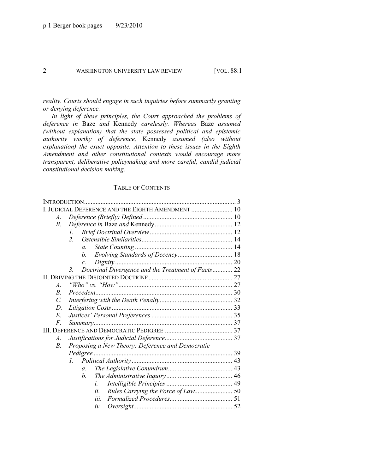*reality. Courts should engage in such inquiries before summarily granting or denying deference.*

*In light of these principles, the Court approached the problems of deference in* Baze *and* Kennedy *carelessly. Whereas* Baze *assumed (without explanation) that the state possessed political and epistemic authority worthy of deference,* Kennedy *assumed (also without explanation) the exact opposite. Attention to these issues in the Eighth Amendment and other constitutional contexts would encourage more transparent, deliberative policymaking and more careful, candid judicial constitutional decision making.*

#### TABLE OF CONTENTS

| I. JUDICIAL DEFERENCE AND THE EIGHTH AMENDMENT  10 |                                                                                                        |
|----------------------------------------------------|--------------------------------------------------------------------------------------------------------|
|                                                    |                                                                                                        |
|                                                    |                                                                                                        |
| L                                                  |                                                                                                        |
| $2^{\circ}$                                        |                                                                                                        |
| $\mathfrak{a}$ .                                   |                                                                                                        |
| $h_{\cdot}$                                        |                                                                                                        |
| $\mathcal{C}$ .                                    |                                                                                                        |
| $\mathbf{3}$                                       |                                                                                                        |
|                                                    |                                                                                                        |
|                                                    |                                                                                                        |
| Precedent                                          |                                                                                                        |
|                                                    |                                                                                                        |
|                                                    |                                                                                                        |
|                                                    |                                                                                                        |
|                                                    |                                                                                                        |
|                                                    |                                                                                                        |
|                                                    |                                                                                                        |
|                                                    |                                                                                                        |
|                                                    |                                                                                                        |
| $l_{\cdot}$                                        |                                                                                                        |
| $\mathfrak{a}$ .                                   |                                                                                                        |
| $h_{\cdot}$                                        |                                                                                                        |
| i                                                  |                                                                                                        |
| ii.                                                |                                                                                                        |
| iii.                                               |                                                                                                        |
| iν.                                                |                                                                                                        |
|                                                    | Doctrinal Divergence and the Treatment of Facts 22<br>Proposing a New Theory: Deference and Democratic |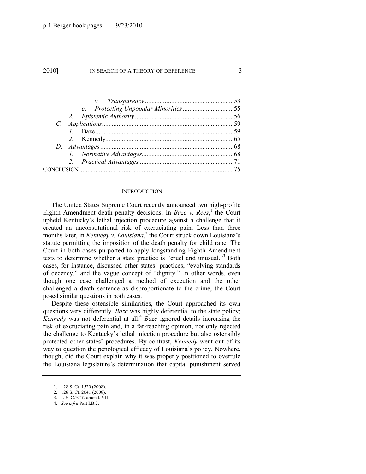#### **INTRODUCTION**

The United States Supreme Court recently announced two high-profile Eighth Amendment death penalty decisions. In *Baze v. Rees*,<sup>1</sup> the Court upheld Kentucky's lethal injection procedure against a challenge that it created an unconstitutional risk of excruciating pain. Less than three months later, in *Kennedy v. Louisiana*<sup>2</sup> the Court struck down Louisiana's statute permitting the imposition of the death penalty for child rape. The Court in both cases purported to apply longstanding Eighth Amendment tests to determine whether a state practice is "cruel and unusual."<sup>3</sup> Both cases, for instance, discussed other states' practices, "evolving standards" of decency," and the vague concept of "dignity." In other words, even though one case challenged a method of execution and the other challenged a death sentence as disproportionate to the crime, the Court posed similar questions in both cases.

Despite these ostensible similarities, the Court approached its own questions very differently. *Baze* was highly deferential to the state policy; *Kennedy* was not deferential at all.<sup>4</sup> *Baze* ignored details increasing the risk of excruciating pain and, in a far-reaching opinion, not only rejected the challenge to Kentucky's lethal injection procedure but also ostensibly protected other states' procedures. By contrast, *Kennedy* went out of its way to question the penological efficacy of Louisiana's policy. Nowhere, though, did the Court explain why it was properly positioned to overrule the Louisiana legislature's determination that capital punishment served

<sup>1.</sup> 128 S. Ct. 1520 (2008).

<sup>2.</sup> 128 S. Ct. 2641 (2008).

<sup>3.</sup> U.S. CONST. amend. VIII.

<sup>4.</sup> *See infra* Part I.B.2.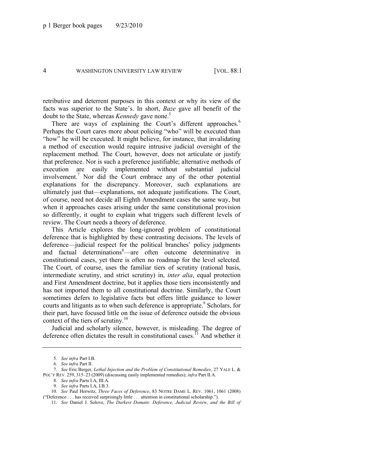retributive and deterrent purposes in this context or why its view of the facts was superior to the State's. In short, *Baze* gave all benefit of the doubt to the State, whereas *Kennedy* gave none.<sup>5</sup>

<span id="page-4-1"></span>There are ways of explaining the Court's different approaches.<sup>6</sup> Perhaps the Court cares more about policing "who" will be executed than "how" he will be executed. It might believe, for instance, that invalidating a method of execution would require intrusive judicial oversight of the replacement method. The Court, however, does not articulate or justify that preference. Nor is such a preference justifiable; alternative methods of execution are easily implemented without substantial judicial involvement.<sup>7</sup> Nor did the Court embrace any of the other potential explanations for the discrepancy. Moreover, such explanations are ultimately just that—explanations, not adequate justifications. The Court, of course, need not decide all Eighth Amendment cases the same way, but when it approaches cases arising under the same constitutional provision so differently, it ought to explain what triggers such different levels of review. The Court needs a theory of deference.

This Article explores the long-ignored problem of constitutional deference that is highlighted by these contrasting decisions. The levels of deference—judicial respect for the political branches' policy judgments and factual determinations<sup>8</sup>—are often outcome determinative in constitutional cases, yet there is often no roadmap for the level selected. The Court, of course, uses the familiar tiers of scrutiny (rational basis, intermediate scrutiny, and strict scrutiny) in, *inter alia*, equal protection and First Amendment doctrine, but it applies those tiers inconsistently and has not imported them to all constitutional doctrine. Similarly, the Court sometimes defers to legislative facts but offers little guidance to lower courts and litigants as to when such deference is appropriate.<sup>9</sup> Scholars, for their part, have focused little on the issue of deference outside the obvious context of the tiers of scrutiny.<sup>10</sup>

Judicial and scholarly silence, however, is misleading. The degree of deference often dictates the result in constitutional cases.<sup>11</sup> And whether it

<span id="page-4-0"></span><sup>5.</sup> *See infra* Part I.B.

<sup>6.</sup> *See infra* Part II.

<sup>7.</sup> *See* Eric Berger, *Lethal Injection and the Problem of Constitutional Remedies*, 27 YALE L. & POL'Y REV. 259, 315–23 (2009) (discussing easily implemented remedies); *infra* Part II.A.

<sup>8.</sup> *See infra* Parts I.A, III.A.

<sup>9.</sup> *See infra* Parts I.A, I.B.3.

<sup>10.</sup> *See* Paul Horwitz, *Three Faces of Deference*, 83 NOTRE DAME L. REV. 1061, 1061 (2008) ("Deference . . . has received surprisingly little . . . attention in constitutional scholarship.").

<sup>11.</sup> *See* Daniel J. Solove, *The Darkest Domain: Deference, Judicial Review, and the Bill of*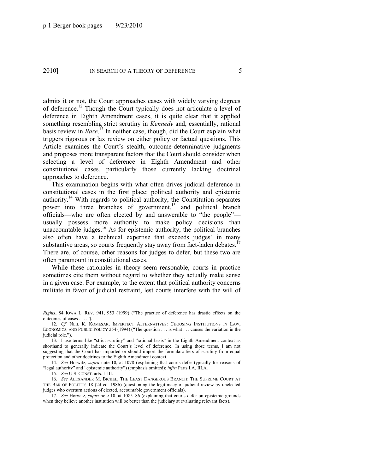admits it or not, the Court approaches cases with widely varying degrees of deference.<sup>12</sup> Though the Court typically does not articulate a level of deference in Eighth Amendment cases, it is quite clear that it applied something resembling strict scrutiny in *Kennedy* and, essentially, rational basis review in *Baze*. <sup>13</sup> In neither case, though, did the Court explain what triggers rigorous or lax review on either policy or factual questions. This Article examines the Court's stealth, outcome-determinative judgments and proposes more transparent factors that the Court should consider when selecting a level of deference in Eighth Amendment and other constitutional cases, particularly those currently lacking doctrinal approaches to deference.

This examination begins with what often drives judicial deference in constitutional cases in the first place: political authority and epistemic authority.<sup>14</sup> With regards to political authority, the Constitution separates power into three branches of government,<sup>15</sup> and political branch officials—who are often elected by and answerable to "the people" usually possess more authority to make policy decisions than unaccountable judges.<sup>16</sup> As for epistemic authority, the political branches also often have a technical expertise that exceeds judges' in many substantive areas, so courts frequently stay away from fact-laden debates.<sup>17</sup> There are, of course, other reasons for judges to defer, but these two are often paramount in constitutional cases.

<span id="page-5-0"></span>While these rationales in theory seem reasonable, courts in practice sometimes cite them without regard to whether they actually make sense in a given case. For example, to the extent that political authority concerns militate in favor of judicial restraint, lest courts interfere with the will of

14. *See* Horwitz, *supra* note [10,](#page-4-0) at 1078 (explaining that courts defer typically for reasons of "legal authority" and "epistemic authority") (emphasis omitted); *infra* Parts I.A, III.A.

15. *See* U.S. CONST. arts. I–III.

16. *See* ALEXANDER M. BICKEL, THE LEAST DANGEROUS BRANCH: THE SUPREME COURT AT THE BAR OF POLITICS 18 (2d ed. 1986) (questioning the legitimacy of judicial review by unelected judges who overturn actions of elected, accountable government officials).

*Rights*, 84 IOWA L. REV. 941, 953 (1999) ("The practice of deference has drastic effects on the outcomes of cases . . . .").

<sup>12.</sup> *Cf.* NEIL K. KOMESAR, IMPERFECT ALTERNATIVES: CHOOSING INSTITUTIONS IN LAW, ECONOMICS, AND PUBLIC POLICY 254 (1994) ("The question  $\ldots$  is what  $\ldots$  causes the variation in the judicial role.").

<sup>13.</sup> I use terms like "strict scrutiny" and "rational basis" in the Eighth Amendment context as shorthand to generally indicate the Court's level of deference. In using those terms, I am not suggesting that the Court has imported or should import the formulaic tiers of scrutiny from equal protection and other doctrines to the Eighth Amendment context.

<sup>17.</sup> *See* Horwitz, *supra* not[e 10,](#page-4-0) at 1085–86 (explaining that courts defer on epistemic grounds when they believe another institution will be better than the judiciary at evaluating relevant facts).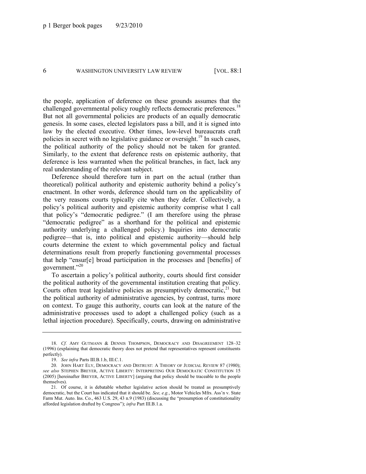the people, application of deference on these grounds assumes that the challenged governmental policy roughly reflects democratic preferences.<sup>18</sup> But not all governmental policies are products of an equally democratic genesis. In some cases, elected legislators pass a bill, and it is signed into law by the elected executive. Other times, low-level bureaucrats craft policies in secret with no legislative guidance or oversight.<sup>19</sup> In such cases, the political authority of the policy should not be taken for granted. Similarly, to the extent that deference rests on epistemic authority, that deference is less warranted when the political branches, in fact, lack any real understanding of the relevant subject.

Deference should therefore turn in part on the actual (rather than theoretical) political authority and epistemic authority behind a policy's enactment. In other words, deference should turn on the applicability of the very reasons courts typically cite when they defer. Collectively, a policy's political authority and epistemic authority comprise what I call that policy's "democratic pedigree." (I am therefore using the phrase "democratic pedigree" as a shorthand for the political and epistemic authority underlying a challenged policy.) Inquiries into democratic pedigree—that is, into political and epistemic authority—should help courts determine the extent to which governmental policy and factual determinations result from properly functioning governmental processes that help "ensur[e] broad participation in the processes and [benefits] of government."<sup>20</sup>

<span id="page-6-0"></span>To ascertain a policy's political authority, courts should first consider the political authority of the governmental institution creating that policy. Courts often treat legislative policies as presumptively democratic, $21$  but the political authority of administrative agencies, by contrast, turns more on context. To gauge this authority, courts can look at the nature of the administrative processes used to adopt a challenged policy (such as a lethal injection procedure). Specifically, courts, drawing on administrative

<sup>18.</sup> *Cf.* AMY GUTMANN & DENNIS THOMPSON, DEMOCRACY AND DISAGREEMENT 128–32 (1996) (explaining that democratic theory does not pretend that representatives represent constituents perfectly).

<sup>19.</sup> *See infra* Parts III.B.1.b, III.C.1.

<sup>20.</sup> JOHN HART ELY, DEMOCRACY AND DISTRUST: A THEORY OF JUDICIAL REVIEW 87 (1980); *see also* STEPHEN BREYER, ACTIVE LIBERTY: INTERPRETING OUR DEMOCRATIC CONSTITUTION 15 (2005) [hereinafter BREYER, ACTIVE LIBERTY] (arguing that policy should be traceable to the people themselves).

<sup>21.</sup> Of course, it is debatable whether legislative action should be treated as presumptively democratic, but the Court has indicated that it should be. *See, e.g.*, Motor Vehicles Mfrs. Ass'n v. State Farm Mut. Auto. Ins. Co., 463 U.S. 29, 43 n.9 (1983) (discussing the "presumption of constitutionality afforded legislation drafted by Congress‖); *infra* Part III.B.1.a.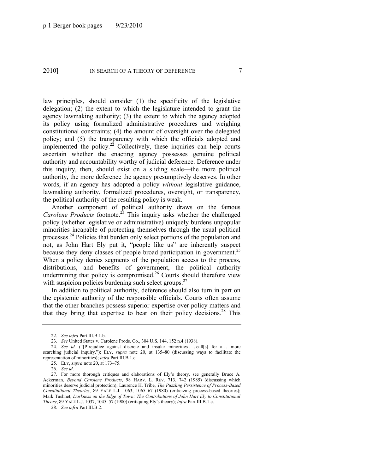law principles, should consider (1) the specificity of the legislative delegation; (2) the extent to which the legislature intended to grant the agency lawmaking authority; (3) the extent to which the agency adopted its policy using formalized administrative procedures and weighing constitutional constraints; (4) the amount of oversight over the delegated policy; and (5) the transparency with which the officials adopted and implemented the policy.<sup>22</sup> Collectively, these inquiries can help courts ascertain whether the enacting agency possesses genuine political authority and accountability worthy of judicial deference. Deference under this inquiry, then, should exist on a sliding scale—the more political authority, the more deference the agency presumptively deserves. In other words, if an agency has adopted a policy *without* legislative guidance, lawmaking authority, formalized procedures, oversight, or transparency, the political authority of the resulting policy is weak.

Another component of political authority draws on the famous *Carolene Products* footnote.<sup>25</sup> This inquiry asks whether the challenged policy (whether legislative or administrative) uniquely burdens unpopular minorities incapable of protecting themselves through the usual political processes.<sup>24</sup> Policies that burden only select portions of the population and not, as John Hart Ely put it, "people like us" are inherently suspect because they deny classes of people broad participation in government.<sup>25</sup> When a policy denies segments of the population access to the process, distributions, and benefits of government, the political authority undermining that policy is compromised.<sup>26</sup> Courts should therefore view with suspicion policies burdening such select groups. $27$ 

In addition to political authority, deference should also turn in part on the epistemic authority of the responsible officials. Courts often assume that the other branches possess superior expertise over policy matters and that they bring that expertise to bear on their policy decisions. <sup>28</sup> This

<sup>22.</sup> *See infra* Part III.B.1.b.

<sup>23.</sup> *See* United States v. Carolene Prods. Co., 304 U.S. 144, 152 n.4 (1938).

<sup>24.</sup> *See id.* ("[P]rejudice against discrete and insular minorities ... call[s] for a ... more searching judicial inquiry."); ELY, *supra* note [20,](#page-6-0) at 135-80 (discussing ways to facilitate the representation of minorities); *infra* Part III.B.1.c.

<sup>25.</sup> ELY, *supra* note [20,](#page-6-0) at 173–75.

<sup>26.</sup> *See id*.

<sup>27.</sup> For more thorough critiques and elaborations of Ely's theory, see generally Bruce A. Ackerman, *Beyond Carolene Products*, 98 HARV. L. REV. 713, 742 (1985) (discussing which minorities deserve judicial protection); Laurence H. Tribe, *The Puzzling Persistence of Process-Based Constitutional Theories*, 89 YALE L.J. 1063, 1065–67 (1980) (criticizing process-based theories); Mark Tushnet, *Darkness on the Edge of Town: The Contributions of John Hart Ely to Constitutional Theory*, 89 YALE L.J. 1037, 1045–57 (1980) (critiquing Ely's theory); *infra* Part III.B.1.c.

<sup>28.</sup> *See infra* Part III.B.2.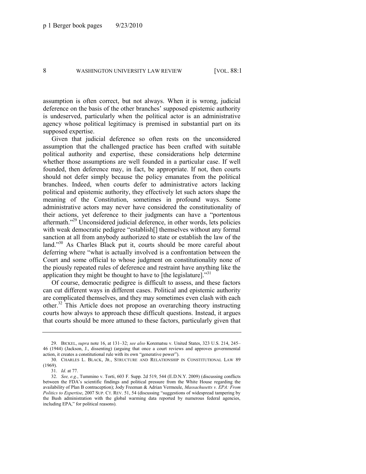assumption is often correct, but not always. When it is wrong, judicial deference on the basis of the other branches' supposed epistemic authority is undeserved, particularly when the political actor is an administrative agency whose political legitimacy is premised in substantial part on its supposed expertise.

Given that judicial deference so often rests on the unconsidered assumption that the challenged practice has been crafted with suitable political authority and expertise, these considerations help determine whether those assumptions are well founded in a particular case. If well founded, then deference may, in fact, be appropriate. If not, then courts should not defer simply because the policy emanates from the political branches. Indeed, when courts defer to administrative actors lacking political and epistemic authority, they effectively let such actors shape the meaning of the Constitution, sometimes in profound ways. Some administrative actors may never have considered the constitutionality of their actions, yet deference to their judgments can have a "portentous aftermath.<sup>29</sup> Unconsidered judicial deference, in other words, lets policies with weak democratic pedigree "establish<sup>[]</sup> themselves without any formal sanction at all from anybody authorized to state or establish the law of the land."<sup>30</sup> As Charles Black put it, courts should be more careful about deferring where "what is actually involved is a confrontation between the Court and some official to whose judgment on constitutionality none of the piously repeated rules of deference and restraint have anything like the application they might be thought to have to [the legislature]. $^{331}$ 

Of course, democratic pedigree is difficult to assess, and these factors can cut different ways in different cases. Political and epistemic authority are complicated themselves, and they may sometimes even clash with each other.<sup>32</sup> This Article does not propose an overarching theory instructing courts how always to approach these difficult questions. Instead, it argues that courts should be more attuned to these factors, particularly given that

<sup>29.</sup> BICKEL, *supra* not[e 16,](#page-5-0) at 131–32; *see also* Korematsu v. United States, 323 U.S. 214, 245– 46 (1944) (Jackson, J., dissenting) (arguing that once a court reviews and approves governmental action, it creates a constitutional rule with its own "generative power").

<sup>30.</sup> CHARLES L. BLACK, JR., STRUCTURE AND RELATIONSHIP IN CONSTITUTIONAL LAW 89 (1969).

<sup>31.</sup> *Id*. at 77.

<sup>32.</sup> *See, e.g.*, Tummino v. Torti, 603 F. Supp. 2d 519, 544 (E.D.N.Y. 2009) (discussing conflicts between the FDA's scientific findings and political pressure from the White House regarding the availability of Plan B contraception); Jody Freeman & Adrian Vermeule, *Massachusetts v. EPA: From Politics to Expertise*, 2007 SUP. CT. REV. 51, 54 (discussing "suggestions of widespread tampering by the Bush administration with the global warming data reported by numerous federal agencies, including EPA," for political reasons).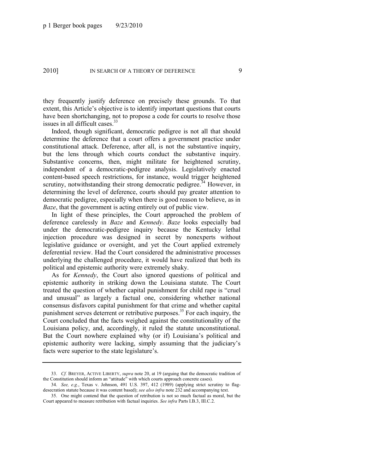they frequently justify deference on precisely these grounds. To that extent, this Article's objective is to identify important questions that courts have been shortchanging, not to propose a code for courts to resolve those issues in all difficult cases. $33$ 

Indeed, though significant, democratic pedigree is not all that should determine the deference that a court offers a government practice under constitutional attack. Deference, after all, is not the substantive inquiry, but the lens through which courts conduct the substantive inquiry. Substantive concerns, then, might militate for heightened scrutiny, independent of a democratic-pedigree analysis. Legislatively enacted content-based speech restrictions, for instance, would trigger heightened scrutiny, notwithstanding their strong democratic pedigree.<sup>34</sup> However, in determining the level of deference, courts should pay greater attention to democratic pedigree, especially when there is good reason to believe, as in *Baze*, that the government is acting entirely out of public view.

In light of these principles, the Court approached the problem of deference carelessly in *Baze* and *Kennedy*. *Baze* looks especially bad under the democratic-pedigree inquiry because the Kentucky lethal injection procedure was designed in secret by nonexperts without legislative guidance or oversight, and yet the Court applied extremely deferential review. Had the Court considered the administrative processes underlying the challenged procedure, it would have realized that both its political and epistemic authority were extremely shaky.

As for *Kennedy*, the Court also ignored questions of political and epistemic authority in striking down the Louisiana statute. The Court treated the question of whether capital punishment for child rape is "cruel" and unusual" as largely a factual one, considering whether national consensus disfavors capital punishment for that crime and whether capital punishment serves deterrent or retributive purposes.<sup>35</sup> For each inquiry, the Court concluded that the facts weighed against the constitutionality of the Louisiana policy, and, accordingly, it ruled the statute unconstitutional. But the Court nowhere explained why (or if) Louisiana's political and epistemic authority were lacking, simply assuming that the judiciary's facts were superior to the state legislature's.

<sup>33.</sup> *Cf.* BREYER, ACTIVE LIBERTY, *supra* not[e 20,](#page-6-0) at 19 (arguing that the democratic tradition of the Constitution should inform an "attitude" with which courts approach concrete cases).

<sup>34.</sup> *See, e.g.*, Texas v. Johnson, 491 U.S. 397, 412 (1989) (applying strict scrutiny to flagdesecration statute because it was content based); *see also infra* not[e 232](#page-42-0) and accompanying text.

<sup>35.</sup> One might contend that the question of retribution is not so much factual as moral, but the Court appeared to measure retribution with factual inquiries. *See infra* Parts I.B.3, III.C.2.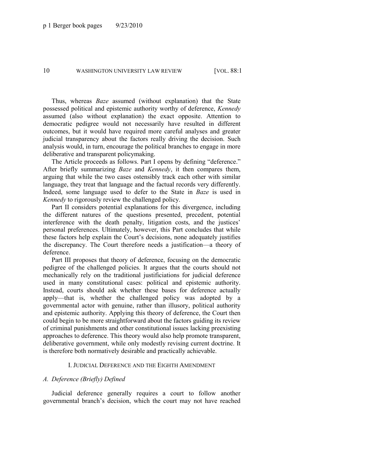Thus, whereas *Baze* assumed (without explanation) that the State possessed political and epistemic authority worthy of deference, *Kennedy* assumed (also without explanation) the exact opposite. Attention to democratic pedigree would not necessarily have resulted in different outcomes, but it would have required more careful analyses and greater judicial transparency about the factors really driving the decision. Such analysis would, in turn, encourage the political branches to engage in more deliberative and transparent policymaking.

The Article proceeds as follows. Part I opens by defining "deference." After briefly summarizing *Baze* and *Kennedy*, it then compares them, arguing that while the two cases ostensibly track each other with similar language, they treat that language and the factual records very differently. Indeed, some language used to defer to the State in *Baze* is used in *Kennedy* to rigorously review the challenged policy.

Part II considers potential explanations for this divergence, including the different natures of the questions presented, precedent, potential interference with the death penalty, litigation costs, and the justices' personal preferences. Ultimately, however, this Part concludes that while these factors help explain the Court's decisions, none adequately justifies the discrepancy. The Court therefore needs a justification—a theory of deference.

Part III proposes that theory of deference, focusing on the democratic pedigree of the challenged policies. It argues that the courts should not mechanically rely on the traditional justificiations for judicial deference used in many constitutional cases: political and epistemic authority. Instead, courts should ask whether these bases for deference actually apply—that is, whether the challenged policy was adopted by a governmental actor with genuine, rather than illusory, political authority and epistemic authority. Applying this theory of deference, the Court then could begin to be more straightforward about the factors guiding its review of criminal punishments and other constitutional issues lacking preexisting approaches to deference. This theory would also help promote transparent, deliberative government, while only modestly revising current doctrine. It is therefore both normatively desirable and practically achievable.

#### I. JUDICIAL DEFERENCE AND THE EIGHTH AMENDMENT

#### *A. Deference (Briefly) Defined*

Judicial deference generally requires a court to follow another governmental branch's decision, which the court may not have reached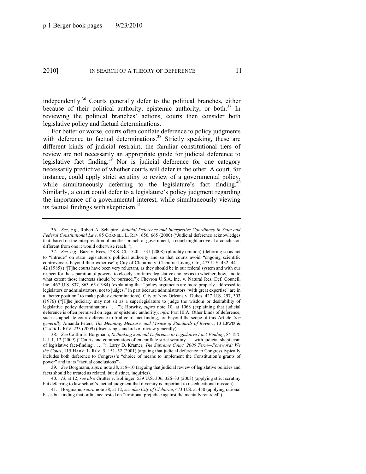independently.<sup>36</sup> Courts generally defer to the political branches, either because of their political authority, epistemic authority, or both.<sup>37</sup> In reviewing the political branches' actions, courts then consider both legislative policy and factual determinations.

<span id="page-11-0"></span>For better or worse, courts often conflate deference to policy judgments with deference to factual determinations.<sup>38</sup> Strictly speaking, these are different kinds of judicial restraint; the familiar constitutional tiers of review are not necessarily an appropriate guide for judicial deference to legislative fact finding.<sup>39</sup> Nor is judicial deference for one category necessarily predictive of whether courts will defer in the other. A court, for instance, could apply strict scrutiny to review of a governmental policy, while simultaneously deferring to the legislature's fact finding.<sup>4</sup> Similarly, a court could defer to a legislature's policy judgment regarding the importance of a governmental interest, while simultaneously viewing its factual findings with skepticism.<sup>41</sup>

39. *See* Borgmann, *supra* not[e 38,](#page-11-0) at 8–10 (arguing that judicial review of legislative policies and facts should be treated as related, but distinct, inquiries).

<sup>36.</sup> *See, e.g.*, Robert A. Schapiro, *Judicial Deference and Interpretive Coordinacy in State and Federal Constitutional Law*, 85 CORNELL L. REV. 656, 665 (2000) ("Judicial deference acknowledges that, based on the interpretation of another branch of government, a court might arrive at a conclusion different from one it would otherwise reach.").

<sup>37.</sup> *See, e.g.*, Baze v. Rees, 128 S. Ct. 1520, 1531 (2008) (plurality opinion) (deferring so as not to "intrude" on state legislature's political authority and so that courts avoid "ongoing scientific controversies beyond their expertise"); City of Cleburne v. Cleburne Living Ctr., 473 U.S. 432, 441– 42 (1985) ("T]he courts have been very reluctant, as they should be in our federal system and with our respect for the separation of powers, to closely scrutinize legislative choices as to whether, how, and to what extent those interests should be pursued."); Chevron U.S.A. Inc. v. Natural Res. Def. Council, Inc., 467 U.S. 837, 863–65 (1984) (explaining that "policy arguments are more properly addressed to legislators or administrators, not to judges," in part because administrators "with great expertise" are in a "better position" to make policy determinations); City of New Orleans v. Dukes, 427 U.S. 297, 303  $(1976)$  ( $T$ ]he judiciary may not sit as a superlegislature to judge the wisdom or desirability of legislative policy determinations ...."); Horwitz, *supra* note [10,](#page-4-0) at 1068 (explaining that judicial deference is often premised on legal or epistemic authority); *infra* Part III.A. Other kinds of deference, such as appellate court deference to trial court fact finding, are beyond the scope of this Article. *See generally* Amanda Peters, *The Meaning, Measure, and Misuse of Standards of Review*, 13 LEWIS & CLARK L. REV. 233 (2009) (discussing standards of review generally).

<sup>38.</sup> *See* Caitlin E. Borgmann, *Rethinking Judicial Deference to Legislative Fact-Finding*, 84 IND. L.J. 1, 12 (2009) ("Courts and commentators often conflate strict scrutiny . . . with judicial skepticism of legislative fact-finding . . . .‖); Larry D. Kramer, *The Supreme Court, 2000 Term—Foreword: We the Court*, 115 HARV. L. REV. 5, 151–52 (2001) (arguing that judicial deference to Congress typically includes both deference to Congress's "choice of means to implement the Constitution's grants of power" and to its "factual conclusions").

<sup>40.</sup> *Id*. at 12; *see also* Grutter v. Bollinger, 539 U.S. 306, 326–33 (2003) (applying strict scrutiny but deferring to law school's factual judgment that diversity is important to its educational mission).

<sup>41.</sup> Borgmann, *supra* not[e 38,](#page-11-0) at 12; *see also City of Cleburne*, 473 U.S. at 450 (applying rational basis but finding that ordinance rested on "irrational prejudice against the mentally retarded").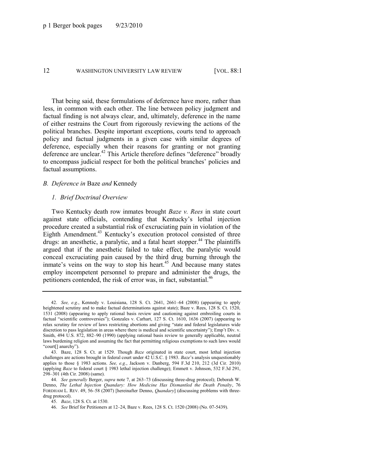That being said, these formulations of deference have more, rather than less, in common with each other. The line between policy judgment and factual finding is not always clear, and, ultimately, deference in the name of either restrains the Court from rigorously reviewing the actions of the political branches. Despite important exceptions, courts tend to approach policy and factual judgments in a given case with similar degrees of deference, especially when their reasons for granting or not granting deference are unclear.<sup>42</sup> This Article therefore defines "deference" broadly to encompass judicial respect for both the political branches' policies and factual assumptions.

#### *B. Deference in* Baze *and* Kennedy

#### *1. Brief Doctrinal Overview*

Two Kentucky death row inmates brought *Baze v. Rees* in state court against state officials, contending that Kentucky's lethal injection procedure created a substantial risk of excruciating pain in violation of the Eighth Amendment.<sup>43</sup> Kentucky's execution protocol consisted of three drugs: an anesthetic, a paralytic, and a fatal heart stopper.<sup>44</sup> The plaintiffs argued that if the anesthetic failed to take effect, the paralytic would conceal excruciating pain caused by the third drug burning through the inmate's veins on the way to stop his heart.<sup>45</sup> And because many states employ incompetent personnel to prepare and administer the drugs, the petitioners contended, the risk of error was, in fact, substantial.<sup>46</sup>

<sup>42.</sup> *See, e.g.*, Kennedy v. Louisiana, 128 S. Ct. 2641, 2661–64 (2008) (appearing to apply heightened scrutiny and to make factual determinations against state); Baze v. Rees, 128 S. Ct. 1520, 1531 (2008) (appearing to apply rational basis review and cautioning against embroiling courts in factual "scientific controversies"); Gonzales v. Carhart, 127 S. Ct. 1610, 1636 (2007) (appearing to relax scrutiny for review of laws restricting abortions and giving "state and federal legislatures wide discretion to pass legislation in areas where there is medical and scientific uncertainty"); Emp't Div. v. Smith, 494 U.S. 872, 882–90 (1990) (applying rational basis review to generally applicable, neutral laws burdening religion and assuming the fact that permitting religious exemptions to such laws would "court[] anarchy").

<sup>43.</sup> Baze, 128 S. Ct. at 1529. Though *Baze* originated in state court, most lethal injection challenges are actions brought in federal court under 42 U.S.C. § 1983. *Baze*'s analysis unquestionably applies to those § 1983 actions. *See, e.g.*, Jackson v. Danberg, 594 F.3d 210, 212 (3d Cir. 2010) (applying *Baze* to federal court § 1983 lethal injection challenge); Emmett v. Johnson, 532 F.3d 291, 298–301 (4th Cir. 2008) (same).

<sup>44.</sup> *See generally* Berger, *supra* not[e 7,](#page-4-1) at 263–73 (discussing three-drug protocol); Deborah W. Denno, *The Lethal Injection Quandary: How Medicine Has Dismantled the Death Penalty*, 76 FORDHAM L. REV. 49, 56–58 (2007) [hereinafter Denno, *Quandary*] (discussing problems with threedrug protocol).

<sup>45.</sup> *Baze*, 128 S. Ct. at 1530.

<sup>46.</sup> *See* Brief for Petitioners at 12–24, Baze v. Rees, 128 S. Ct. 1520 (2008) (No. 07-5439).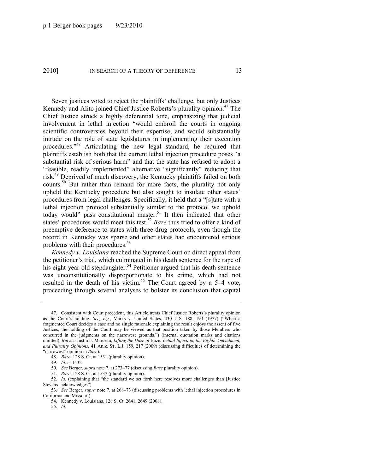Seven justices voted to reject the plaintiffs' challenge, but only Justices Kennedy and Alito joined Chief Justice Roberts's plurality opinion.<sup>47</sup> The Chief Justice struck a highly deferential tone, emphasizing that judicial involvement in lethal injection "would embroil the courts in ongoing scientific controversies beyond their expertise, and would substantially intrude on the role of state legislatures in implementing their execution procedures.<sup>348</sup> Articulating the new legal standard, he required that plaintiffs establish both that the current lethal injection procedure poses "a substantial risk of serious harm" and that the state has refused to adopt a "feasible, readily implemented" alternative "significantly" reducing that risk.<sup>49</sup> Deprived of much discovery, the Kentucky plaintiffs failed on both counts.<sup>50</sup> But rather than remand for more facts, the plurality not only upheld the Kentucky procedure but also sought to insulate other states' procedures from legal challenges. Specifically, it held that a "[s]tate with a lethal injection protocol substantially similar to the protocol we uphold today would" pass constitutional muster.<sup>51</sup> It then indicated that other states' procedures would meet this test.<sup>52</sup> *Baze* thus tried to offer a kind of preemptive deference to states with three-drug protocols, even though the record in Kentucky was sparse and other states had encountered serious problems with their procedures.<sup>53</sup>

<span id="page-13-0"></span>*Kennedy v. Louisiana* reached the Supreme Court on direct appeal from the petitioner's trial, which culminated in his death sentence for the rape of his eight-year-old stepdaughter.<sup>54</sup> Petitioner argued that his death sentence was unconstitutionally disproportionate to his crime, which had not resulted in the death of his victim.<sup>55</sup> The Court agreed by a 5–4 vote, proceeding through several analyses to bolster its conclusion that capital

<sup>47.</sup> Consistent with Court precedent, this Article treats Chief Justice Roberts's plurality opinion as the Court's holding. *See, e.g.*, Marks v. United States, 430 U.S. 188, 193 (1977) ("When a fragmented Court decides a case and no single rationale explaining the result enjoys the assent of five Justices, the holding of the Court may be viewed as that position taken by those Members who concurred in the judgments on the narrowest grounds.") (internal quotation marks and citations omitted). *But see* Justin F. Marceau, *Lifting the Haze of* Baze*: Lethal Injection, the Eighth Amendment, and Plurality Opinions*, 41 ARIZ. ST. L.J. 159, 217 (2009) (discussing difficulties of determining the ―narrowest‖ opinion in *Baze*).

<sup>48.</sup> *Baze*, 128 S. Ct. at 1531 (plurality opinion).

<sup>49.</sup> *Id.* at 1532.

<sup>50.</sup> *See* Berger, *supra* not[e 7,](#page-4-1) at 273–77 (discussing *Baze* plurality opinion).

<sup>51.</sup> *Baze*, 128 S. Ct. at 1537 (plurality opinion).

<sup>52.</sup> *Id.* (explaining that "the standard we set forth here resolves more challenges than [Justice Stevens] acknowledges").

<sup>53.</sup> *See* Berger, *supra* not[e 7,](#page-4-1) at 268–73 (discussing problems with lethal injection procedures in California and Missouri).

<sup>54.</sup> Kennedy v. Louisiana, 128 S. Ct. 2641, 2649 (2008).

<sup>55.</sup> *Id.*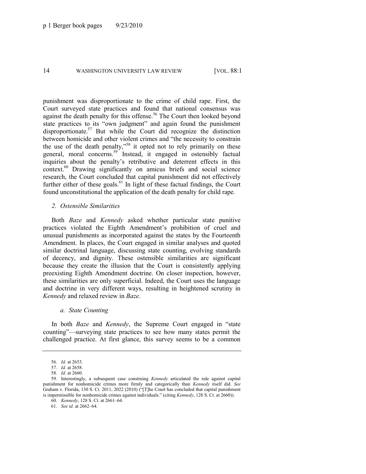punishment was disproportionate to the crime of child rape. First, the Court surveyed state practices and found that national consensus was against the death penalty for this offense.<sup>56</sup> The Court then looked beyond state practices to its "own judgment" and again found the punishment disproportionate.<sup>57</sup> But while the Court did recognize the distinction between homicide and other violent crimes and "the necessity to constrain the use of the death penalty,"<sup>58</sup> it opted not to rely primarily on these general, moral concerns.<sup>59</sup> Instead, it engaged in ostensibly factual inquiries about the penalty's retributive and deterrent effects in this context.<sup>60</sup> Drawing significantly on amicus briefs and social science research, the Court concluded that capital punishment did not effectively further either of these goals. $61$  In light of these factual findings, the Court found unconstitutional the application of the death penalty for child rape.

#### *2. Ostensible Similarities*

Both *Baze* and *Kennedy* asked whether particular state punitive practices violated the Eighth Amendment's prohibition of cruel and unusual punishments as incorporated against the states by the Fourteenth Amendment. In places, the Court engaged in similar analyses and quoted similar doctrinal language, discussing state counting, evolving standards of decency, and dignity. These ostensible similarities are significant because they create the illusion that the Court is consistently applying preexisting Eighth Amendment doctrine. On closer inspection, however, these similarities are only superficial. Indeed, the Court uses the language and doctrine in very different ways, resulting in heightened scrutiny in *Kennedy* and relaxed review in *Baze*.

#### *a. State Counting*

In both *Baze* and *Kennedy*, the Supreme Court engaged in "state" counting"—surveying state practices to see how many states permit the challenged practice. At first glance, this survey seems to be a common

<sup>56.</sup> *Id.* at 2653.

<sup>57.</sup> *Id.* at 2658.

<sup>58.</sup> *Id.* at 2660.

<sup>59.</sup> Interestingly, a subsequent case construing *Kennedy* articulated the rule against capital punishment for nonhomicide crimes more firmly and categorically than *Kennedy* itself did. *See* Graham v. Florida, 130 S. Ct. 2011, 2022 (2010) ("[T]he Court has concluded that capital punishment is impermissible for nonhomicide crimes against individuals." (citing *Kennedy*, 128 S. Ct. at 2660)).

<sup>60.</sup> *Kennedy*, 128 S. Ct. at 2661–64.

<sup>61.</sup> *See id.* at 2662–64.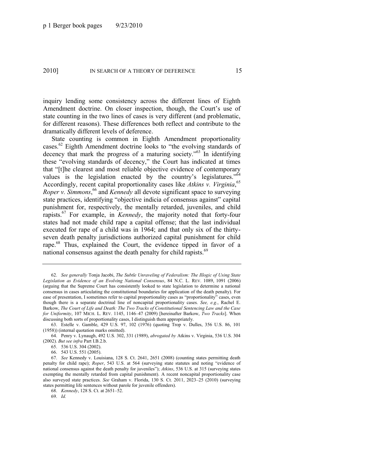inquiry lending some consistency across the different lines of Eighth Amendment doctrine. On closer inspection, though, the Court's use of state counting in the two lines of cases is very different (and problematic, for different reasons). These differences both reflect and contribute to the dramatically different levels of deference.

<span id="page-15-2"></span><span id="page-15-1"></span><span id="page-15-0"></span>State counting is common in Eighth Amendment proportionality cases.<sup>62</sup> Eighth Amendment doctrine looks to "the evolving standards of decency that mark the progress of a maturing society." $63$  In identifying these "evolving standards of decency," the Court has indicated at times that "[t]he clearest and most reliable objective evidence of contemporary values is the legislation enacted by the country's legislatures." $64$ Accordingly, recent capital proportionality cases like *Atkins v. Virginia*, 65 *Roper v. Simmons*, <sup>66</sup> and *Kennedy* all devote significant space to surveying state practices, identifying "objective indicia of consensus against" capital punishment for, respectively, the mentally retarded, juveniles, and child rapists.<sup>67</sup> For example, in *Kennedy*, the majority noted that forty-four states had not made child rape a capital offense; that the last individual executed for rape of a child was in 1964; and that only six of the thirtyseven death penalty jurisdictions authorized capital punishment for child rape.<sup>68</sup> Thus, explained the Court, the evidence tipped in favor of a national consensus against the death penalty for child rapists.<sup>69</sup>

<sup>62.</sup> *See generally* Tonja Jacobi, *The Subtle Unraveling of Federalism: The Illogic of Using State Legislation as Evidence of an Evolving National Consensus*, 84 N.C. L. REV. 1089, 1091 (2006) (arguing that the Supreme Court has consistently looked to state legislation to determine a national consensus in cases articulating the constitutional boundaries for application of the death penalty). For ease of presentation, I sometimes refer to capital proportionality cases as "proportionality" cases, even though there is a separate doctrinal line of noncapital proportionality cases. *See, e.g.*, Rachel E. Barkow, *The Court of Life and Death: The Two Tracks of Constitutional Sentencing Law and the Case for Uniformity*, 107 MICH. L. REV. 1145, 1146–47 (2009) [hereinafter Barkow, *Two Tracks*]. When discussing both sorts of proportionality cases, I distinguish them appropriately.

<sup>63.</sup> Estelle v. Gamble, 429 U.S. 97, 102 (1976) (quoting Trop v. Dulles, 356 U.S. 86, 101 (1958)) (internal quotation marks omitted).

<sup>64.</sup> Penry v. Lynaugh, 492 U.S. 302, 331 (1989), *abrogated by* Atkins v. Virginia, 536 U.S. 304 (2002). *But see infra* Part I.B.2.b.

<sup>65.</sup> 536 U.S. 304 (2002).

<sup>66.</sup> 543 U.S. 551 (2005).

<sup>67.</sup> *See* Kennedy v. Louisiana, 128 S. Ct. 2641, 2651 (2008) (counting states permitting death penalty for child rape); *Roper*, 543 U.S. at 564 (surveying state statutes and noting "evidence of national consensus against the death penalty for juveniles"); *Atkins*, 536 U.S. at 315 (surveying states exempting the mentally retarded from capital punishment). A recent noncapital proportionality case also surveyed state practices. *See* Graham v. Florida, 130 S. Ct. 2011, 2023–25 (2010) (surveying states permitting life sentences without parole for juvenile offenders).

<sup>68.</sup> *Kennedy*, 128 S. Ct. at 2651–52.

<sup>69.</sup> *Id.*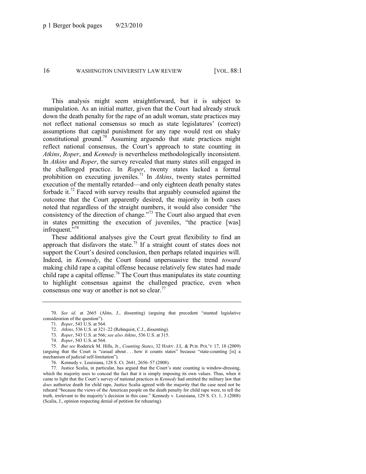This analysis might seem straightforward, but it is subject to manipulation. As an initial matter, given that the Court had already struck down the death penalty for the rape of an adult woman, state practices may not reflect national consensus so much as state legislatures' (correct) assumptions that capital punishment for any rape would rest on shaky constitutional ground.<sup>70</sup> Assuming arguendo that state practices might reflect national consensus, the Court's approach to state counting in *Atkins*, *Roper*, and *Kennedy* is nevertheless methodologically inconsistent. In *Atkins* and *Roper*, the survey revealed that many states still engaged in the challenged practice. In *Roper*, twenty states lacked a formal prohibition on executing juveniles.<sup>71</sup> In *Atkins*, twenty states permitted execution of the mentally retarded—and only eighteen death penalty states forbade it.<sup>72</sup> Faced with survey results that arguably counseled against the outcome that the Court apparently desired, the majority in both cases noted that regardless of the straight numbers, it would also consider "the consistency of the direction of change."<sup>73</sup> The Court also argued that even in states permitting the execution of juveniles, "the practice [was] infrequent.<sup>5,74</sup>

These additional analyses give the Court great flexibility to find an approach that disfavors the state.<sup>75</sup> If a straight count of states does not support the Court's desired conclusion, then perhaps related inquiries will. Indeed, in *Kennedy*, the Court found unpersuasive the trend *toward*  making child rape a capital offense because relatively few states had made child rape a capital offense.<sup>76</sup> The Court thus manipulates its state counting to highlight consensus against the challenged practice, even when consensus one way or another is not so clear.<sup>77</sup>

76. Kennedy v. Louisiana, 128 S. Ct. 2641, 2656–57 (2008).

77. Justice Scalia, in particular, has argued that the Court's state counting is window-dressing, which the majority uses to conceal the fact that it is simply imposing its own values. Thus, when it came to light that the Court's survey of national practices in *Kennedy* had omitted the military law that *does* authorize death for child rape, Justice Scalia agreed with the majority that the case need not be reheard "because the views of the American people on the death penalty for child rape were, to tell the truth, irrelevant to the majority's decision in this case.‖ Kennedy v. Louisiana, 129 S. Ct. 1, 3 (2008) (Scalia, J., opinion respecting denial of petition for rehearing).

<sup>70.</sup> See id. at 2665 (Alito, J., dissenting) (arguing that precedent "stunted legislative consideration of the question").

<sup>71.</sup> *Roper*, 543 U.S. at 564.

<sup>72.</sup> *Atkins*, 536 U.S. at 321–22 (Rehnquist, C.J., dissenting).

<sup>73.</sup> *Roper*, 543 U.S. at 566; *see also Atkins*, 536 U.S. at 315.

<sup>74.</sup> *Roper*, 543 U.S. at 564.

<sup>75.</sup> *But see* Roderick M. Hills, Jr., *Counting States*, 32 HARV. J.L. & PUB. POL'Y 17, 18 (2009) (arguing that the Court is "casual about . . . how it counts states" because "state-counting [is] a mechanism of judicial self-limitation").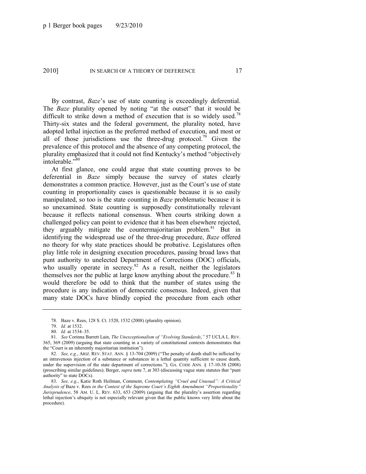By contrast, *Baze*'s use of state counting is exceedingly deferential. The *Baze* plurality opened by noting "at the outset" that it would be difficult to strike down a method of execution that is so widely used.<sup>78</sup> Thirty-six states and the federal government, the plurality noted, have adopted lethal injection as the preferred method of execution, and most or all of those jurisdictions use the three-drug protocol.<sup>79</sup> Given the prevalence of this protocol and the absence of any competing protocol, the plurality emphasized that it could not find Kentucky's method "objectively intolerable."<sup>80</sup>

At first glance, one could argue that state counting proves to be deferential in *Baze* simply because the survey of states clearly demonstrates a common practice. However, just as the Court's use of state counting in proportionality cases is questionable because it is so easily manipulated, so too is the state counting in *Baze* problematic because it is so unexamined. State counting is supposedly constitutionally relevant because it reflects national consensus. When courts striking down a challenged policy can point to evidence that it has been elsewhere rejected, they arguably mitigate the countermajoritarian problem.<sup>81</sup> But in identifying the widespread use of the three-drug procedure, *Baze* offered no theory for why state practices should be probative. Legislatures often play little role in designing execution procedures, passing broad laws that punt authority to unelected Department of Corrections (DOC) officials, who usually operate in secrecy. $82$  As a result, neither the legislators themselves nor the public at large know anything about the procedure.<sup>83</sup> It would therefore be odd to think that the number of states using the procedure is any indication of democratic consensus. Indeed, given that many state DOCs have blindly copied the procedure from each other

<sup>78.</sup> Baze v. Rees, 128 S. Ct. 1520, 1532 (2008) (plurality opinion).

<sup>79.</sup> *Id.* at 1532.

<sup>80.</sup> *Id.* at 1534–35.

<sup>81.</sup> *See* Corinna Barrett Lain, *The Unexceptionalism of "Evolving Standards*," 57 UCLA L. REV. 365, 369 (2009) (arguing that state counting in a variety of constitutional contexts demonstrates that the "Court is an inherently majoritarian institution").

<sup>82.</sup> *See, e.g.*, ARIZ. REV. STAT. ANN. § 13-704 (2009) ("The penalty of death shall be inflicted by an intravenous injection of a substance or substances in a lethal quantity sufficient to cause death, under the supervision of the state department of corrections."); GA. CODE ANN. § 17-10-38 (2008) (proscribing similar guidelines); Berger, *supra* not[e 7,](#page-4-1) at 303 (discussing vague state statutes that "punt") authority" to state DOCs).

<sup>83.</sup> See, e.g., Katie Roth Heilman, Comment, *Contemplating "Cruel and Unusual": A Critical Analysis of* Baze v. Rees *in the Context of the Supreme Court's Eighth Amendment ―Proportionality‖ Jurisprudence*, 58 AM. U. L. REV. 633, 653 (2009) (arguing that the plurality's assertion regarding lethal injection's ubiquity is not especially relevant given that the public knows very little about the procedure).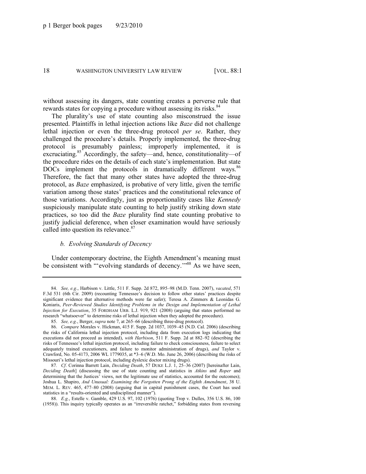without assessing its dangers, state counting creates a perverse rule that rewards states for copying a procedure without assessing its risks.<sup>84</sup>

The plurality's use of state counting also misconstrued the issue presented. Plaintiffs in lethal injection actions like *Baze* did not challenge lethal injection or even the three-drug protocol *per se*. Rather, they challenged the procedure's details. Properly implemented, the three-drug protocol is presumably painless; improperly implemented, it is excruciating.<sup>85</sup> Accordingly, the safety—and, hence, constitutionality—of the procedure rides on the details of each state's implementation. But state DOCs implement the protocols in dramatically different ways.<sup>86</sup> Therefore, the fact that many other states have adopted the three-drug protocol, as *Baze* emphasized, is probative of very little, given the terrific variation among those states' practices and the constitutional relevance of those variations. Accordingly, just as proportionality cases like *Kennedy* suspiciously manipulate state counting to help justify striking down state practices, so too did the *Baze* plurality find state counting probative to justify judicial deference, when closer examination would have seriously called into question its relevance.<sup>87</sup>

#### <span id="page-18-0"></span>*b. Evolving Standards of Decency*

Under contemporary doctrine, the Eighth Amendment's meaning must be consistent with "evolving standards of decency."<sup>88</sup> As we have seen,

<sup>84.</sup> *See, e.g.*, Harbison v. Little, 511 F. Supp. 2d 872, 895–98 (M.D. Tenn. 2007), *vacated*, 571 F.3d 531 (6th Cir. 2009) (recounting Tennessee's decision to follow other states' practices despite significant evidence that alternative methods were far safer); Teresa A. Zimmers & Leonidas G. Koniaris, *Peer-Reviewed Studies Identifying Problems in the Design and Implementation of Lethal Injection for Execution*, 35 FORDHAM URB. L.J. 919, 921 (2008) (arguing that states performed no research "whatsoever" to determine risks of lethal injection when they adopted the procedure).

<sup>85.</sup> *See, e.g.*, Berger, *supra* not[e 7,](#page-4-1) at 265–66 (describing three-drug protocol).

<sup>86.</sup> *Compare* Morales v. Hickman, 415 F. Supp. 2d 1037, 1039–45 (N.D. Cal. 2006) (describing the risks of California lethal injection protocol, including data from execution logs indicating that executions did not proceed as intended), *with Harbison*, 511 F. Supp. 2d at 882–92 (describing the risks of Tennessee's lethal injection protocol, including failure to check consciousness, failure to select adequately trained executioners, and failure to monitor administration of drugs), *and* Taylor v. Crawford, No. 05-4173, 2006 WL 1779035, at \*3–6 (W.D. Mo. June 26, 2006) (describing the risks of Missouri's lethal injection protocol, including dyslexic doctor mixing drugs).

<sup>87</sup>*. Cf*. Corinna Barrett Lain, *Deciding Death*, 57 DUKE L.J. 1, 25–36 (2007) [hereinafter Lain, *Deciding Death*] (discussing the use of state counting and statistics in *Atkins* and *Roper* and determining that the Justices' views, not the legitimate use of statistics, accounted for the outcomes); Joshua L. Shapiro, *And Unusual: Examining the Forgotten Prong of the Eighth Amendment*, 38 U. MEM. L. REV. 465, 477–80 (2008) (arguing that in capital punishment cases, the Court has used statistics in a "results-oriented and undisciplined manner").

<sup>88.</sup> *E.g.*, Estelle v. Gamble, 429 U.S. 97, 102 (1976) (quoting Trop v. Dulles, 356 U.S. 86, 100 (1958)). This inquiry typically operates as an "irreversible ratchet," forbidding states from reversing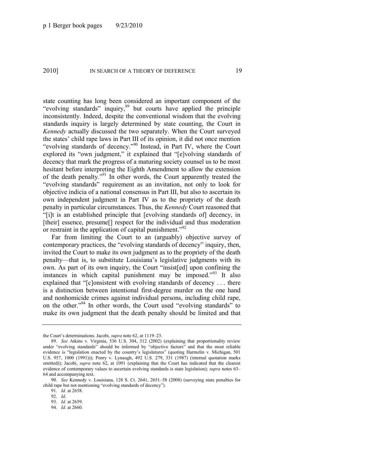state counting has long been considered an important component of the "evolving standards" inquiry,<sup>89</sup> but courts have applied the principle inconsistently. Indeed, despite the conventional wisdom that the evolving standards inquiry is largely determined by state counting, the Court in *Kennedy* actually discussed the two separately. When the Court surveyed the states' child rape laws in Part III of its opinion, it did not once mention "evolving standards of decency."<sup>90</sup> Instead, in Part IV, where the Court explored its "own judgment," it explained that "[e]volving standards of decency that mark the progress of a maturing society counsel us to be most hesitant before interpreting the Eighth Amendment to allow the extension of the death penalty."<sup>91</sup> In other words, the Court apparently treated the "evolving standards" requirement as an invitation, not only to look for objective indicia of a national consensus in Part III, but also to ascertain its own independent judgment in Part IV as to the propriety of the death penalty in particular circumstances. Thus, the *Kennedy* Court reasoned that ―[i]t is an established principle that [evolving standards of] decency, in [their] essence, presume[] respect for the individual and thus moderation or restraint in the application of capital punishment.<sup> $92$ </sup>

Far from limiting the Court to an (arguably) objective survey of contemporary practices, the "evolving standards of decency" inquiry, then, invited the Court to make its own judgment as to the propriety of the death penalty—that is, to substitute Louisiana's legislative judgments with its own. As part of its own inquiry, the Court "insist[ed] upon confining the instances in which capital punishment may be imposed.<sup>993</sup> It also explained that " $[c]$ onsistent with evolving standards of decency ... there is a distinction between intentional first-degree murder on the one hand and nonhomicide crimes against individual persons, including child rape, on the other."<sup>94</sup> In other words, the Court used "evolving standards" to make its own judgment that the death penalty should be limited and that

91. *Id.* at 2658.

the Court's determinations. Jacobi, *supra* note [62,](#page-15-0) at 1119–23.

<sup>89.</sup> *See* Atkins v. Virginia, 536 U.S. 304, 312 (2002) (explaining that proportionality review under "evolving standards" should be informed by "objective factors" and that the most reliable evidence is "legislation enacted by the country's legislatures" (quoting Harmelin v. Michigan, 501 U.S. 957, 1000 (1991))); Penry v. Lynaugh, 492 U.S. 279, 331 (1987) (internal quotation marks omitted)); Jacobi, *supra* note [62,](#page-15-0) at 1091 (explaining that the Court has indicated that the clearest evidence of contemporary values to ascertain evolving standards is state legislation); *supra* note[s 63](#page-15-1)– [64](#page-15-2) and accompanying text.

<sup>90.</sup> *See* Kennedy v. Louisiana, 128 S. Ct. 2641, 2651–58 (2008) (surveying state penalties for child rape but not mentioning "evolving standards of decency").

<sup>92.</sup> *Id*.

<sup>93.</sup> *Id.* at 2659.

<sup>94.</sup> *Id.* at 2660.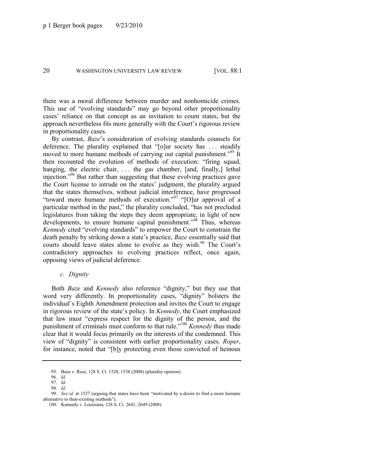there was a moral difference between murder and nonhomicide crimes. This use of "evolving standards" may go beyond other proportionality cases' reliance on that concept as an invitation to count states, but the approach nevertheless fits more generally with the Court's rigorous review in proportionality cases.

By contrast, *Baze*'s consideration of evolving standards counsels for deference. The plurality explained that " $[o]$ ur society has ... steadily moved to more humane methods of carrying out capital punishment.<sup>95</sup> It then recounted the evolution of methods of execution: "firing squad, hanging, the electric chair, ... the gas chamber, [and, finally,] lethal injection."<sup>96</sup> But rather than suggesting that these evolving practices gave the Court license to intrude on the states' judgment, the plurality argued that the states themselves, without judicial interference, have progressed "toward more humane methods of execution."<sup>97</sup> "[O]ur approval of a particular method in the past," the plurality concluded, "has not precluded legislatures from taking the steps they deem appropriate, in light of new developments, to ensure humane capital punishment."<sup>98</sup> Thus, whereas *Kennedy* cited "evolving standards" to empower the Court to constrain the death penalty by striking down a state's practice, *Baze* essentially said that courts should leave states alone to evolve as they wish.<sup>99</sup> The Court's contradictory approaches to evolving practices reflect, once again, opposing views of judicial deference.

#### *c. Dignity*

Both *Baze* and *Kennedy* also reference "dignity," but they use that word very differently. In proportionality cases, "dignity" bolsters the individual's Eighth Amendment protection and invites the Court to engage in rigorous review of the state's policy. In *Kennedy*, the Court emphasized that law must "express respect for the dignity of the person, and the punishment of criminals must conform to that rule."<sup>100</sup> *Kennedy* thus made clear that it would focus primarily on the interests of the condemned. This view of "dignity" is consistent with earlier proportionality cases. *Roper*, for instance, noted that "[b]y protecting even those convicted of heinous

<sup>95.</sup> Baze v. Rees, 128 S. Ct. 1520, 1538 (2008) (plurality opinion).

<sup>96.</sup> *Id.*

<sup>97.</sup> *Id.*

<sup>98.</sup> *Id.*

<sup>99.</sup> *See id.* at 1527 (arguing that states have been "motivated by a desire to find a more humane alternative to then-existing methods").

<sup>100.</sup> Kennedy v. Louisiana, 128 S. Ct. 2641, 2649 (2008).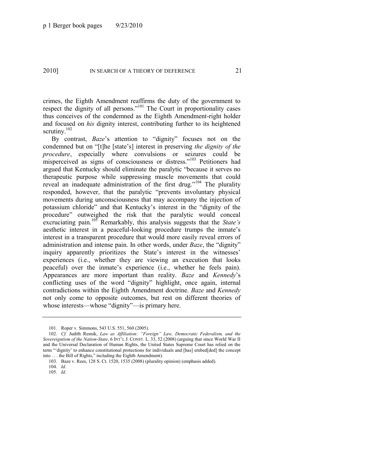crimes, the Eighth Amendment reaffirms the duty of the government to respect the dignity of all persons."<sup>101</sup> The Court in proportionality cases thus conceives of the condemned as the Eighth Amendment-right holder and focused on *his* dignity interest, contributing further to its heightened scrutiny.<sup>102</sup>

By contrast, *Baze*'s attention to "dignity" focuses not on the condemned but on "[t]he [state's] interest in preserving *the dignity of the procedure*, especially where convulsions or seizures could be misperceived as signs of consciousness or distress."<sup>103</sup> Petitioners had argued that Kentucky should eliminate the paralytic "because it serves no therapeutic purpose while suppressing muscle movements that could reveal an inadequate administration of the first drug."<sup>104</sup> The plurality responded, however, that the paralytic "prevents involuntary physical movements during unconsciousness that may accompany the injection of potassium chloride" and that Kentucky's interest in the "dignity of the procedure" outweighed the risk that the paralytic would conceal excruciating pain.<sup>105</sup> Remarkably, this analysis suggests that the *State's* aesthetic interest in a peaceful-looking procedure trumps the inmate's interest in a transparent procedure that would more easily reveal errors of administration and intense pain. In other words, under *Baze*, the "dignity" inquiry apparently prioritizes the State's interest in the witnesses' experiences (i.e., whether they are viewing an execution that looks peaceful) over the inmate's experience (i.e., whether he feels pain). Appearances are more important than reality. *Baze* and *Kennedy*'s conflicting uses of the word "dignity" highlight, once again, internal contradictions within the Eighth Amendment doctrine. *Baze* and *Kennedy* not only come to opposite outcomes, but rest on different theories of whose interests—whose "dignity"—is primary here.

<sup>101.</sup> Roper v. Simmons, 543 U.S. 551, 560 (2005).

<sup>102.</sup> *Cf.* Judith Resnik, *Law as Affiliation: "Foreign" Law, Democratic Federalism, and the Sovereigntism of the Nation-State*, 6 INT'L J. CONST. L. 33, 52 (2008) (arguing that since World War II and the Universal Declaration of Human Rights, the United States Supreme Court has relied on the term ""dignity' to enhance constitutional protections for individuals and [has] embed[ded] the concept into . . . the Bill of Rights," including the Eighth Amendment).

<sup>103.</sup> Baze v. Rees, 128 S. Ct. 1520, 1535 (2008) (plurality opinion) (emphasis added).

<sup>104.</sup> *Id*.

<sup>105.</sup> *Id.*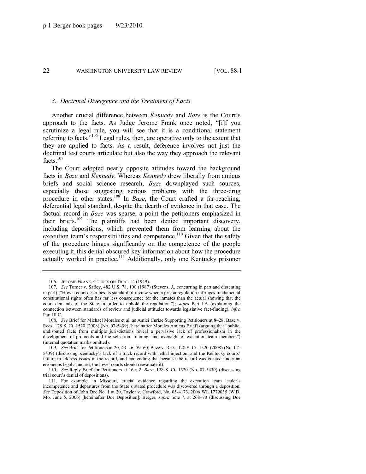#### *3. Doctrinal Divergence and the Treatment of Facts*

Another crucial difference between *Kennedy* and *Baze* is the Court's approach to the facts. As Judge Jerome Frank once noted, "[i]f you scrutinize a legal rule, you will see that it is a conditional statement referring to facts."<sup>106</sup> Legal rules, then, are operative only to the extent that they are applied to facts. As a result, deference involves not just the doctrinal test courts articulate but also the way they approach the relevant facts $107$ 

<span id="page-22-0"></span>The Court adopted nearly opposite attitudes toward the background facts in *Baze* and *Kennedy*. Whereas *Kennedy* drew liberally from amicus briefs and social science research, *Baze* downplayed such sources, especially those suggesting serious problems with the three-drug procedure in other states.<sup>108</sup> In *Baze*, the Court crafted a far-reaching, deferential legal standard, despite the dearth of evidence in that case. The factual record in *Baze* was sparse, a point the petitioners emphasized in their briefs.<sup>109</sup> The plaintiffs had been denied important discovery, including depositions, which prevented them from learning about the execution team's responsibilities and competence.<sup>110</sup> Given that the safety of the procedure hinges significantly on the competence of the people executing it, this denial obscured key information about how the procedure actually worked in practice.<sup>111</sup> Additionally, only one Kentucky prisoner

<sup>106.</sup> JEROME FRANK, COURTS ON TRIAL 14 (1949).

<sup>107.</sup> *See* Turner v. Safley, 482 U.S. 78, 100 (1987) (Stevens, J., concurring in part and dissenting in part) ("How a court describes its standard of review when a prison regulation infringes fundamental constitutional rights often has far less consequence for the inmates than the actual showing that the court demands of the State in order to uphold the regulation."); *supra* Part I.A (explaining the connection between standards of review and judicial attitudes towards legislative fact-finding); *infra* Part III.C.

<sup>108.</sup> *See* Brief for Michael Morales et al. as Amici Curiae Supporting Petitioners at 8–28, Baze v. Rees, 128 S. Ct. 1520 (2008) (No. 07-5439) [hereinafter Morales Amicus Brief] (arguing that "public, undisputed facts from multiple jurisdictions reveal a pervasive lack of professionalism in the development of protocols and the selection, training, and oversight of execution team members") (internal quotation marks omitted).

<sup>109.</sup> *See* Brief for Petitioners at 20, 43–46, 59–60, Baze v. Rees, 128 S. Ct. 1520 (2008) (No. 07- 5439) (discussing Kentucky's lack of a track record with lethal injection, and the Kentucky courts' failure to address issues in the record, and contending that because the record was created under an erroneous legal standard, the lower courts should reevaluate it).

<sup>110.</sup> *See* Reply Brief for Petitioners at 16 n.2, *Baze*, 128 S. Ct. 1520 (No. 07-5439) (discussing trial court's denial of depositions).

<sup>111.</sup> For example, in Missouri, crucial evidence regarding the execution team leader's incompetence and departures from the State's stated procedure was discovered through a deposition. *See* Deposition of John Doe No. 1 at 20, Taylor v. Crawford, No. 05-4173, 2006 WL 1779035 (W.D. Mo. June 5, 2006) [hereinafter Doe Deposition]; Berger, *supra* note [7,](#page-4-1) at 268–70 (discussing Doe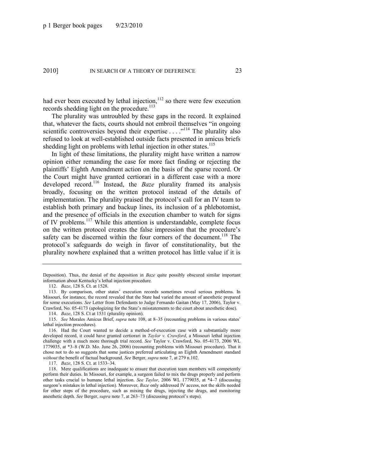had ever been executed by lethal injection, $112$  so there were few execution records shedding light on the procedure.<sup>113</sup>

The plurality was untroubled by these gaps in the record. It explained that, whatever the facts, courts should not embroil themselves "in ongoing scientific controversies beyond their expertise  $\dots$ <sup>114</sup> The plurality also refused to look at well-established outside facts presented in amicus briefs shedding light on problems with lethal injection in other states.<sup>115</sup>

In light of these limitations, the plurality might have written a narrow opinion either remanding the case for more fact finding or rejecting the plaintiffs' Eighth Amendment action on the basis of the sparse record. Or the Court might have granted certiorari in a different case with a more developed record.<sup>116</sup> Instead, the *Baze* plurality framed its analysis broadly, focusing on the written protocol instead of the details of implementation. The plurality praised the protocol's call for an IV team to establish both primary and backup lines, its inclusion of a phlebotomist, and the presence of officials in the execution chamber to watch for signs of IV problems.<sup>117</sup> While this attention is understandable, complete focus on the written protocol creates the false impression that the procedure's safety can be discerned within the four corners of the document.<sup>118</sup> The protocol's safeguards do weigh in favor of constitutionality, but the plurality nowhere explained that a written protocol has little value if it is

114. *Baze*, 128 S. Ct at 1531 (plurality opinion).

117. *Baze*, 128 S. Ct. at 1533–34.

Deposition). Thus, the denial of the deposition in *Baze* quite possibly obscured similar important information about Kentucky's lethal injection procedure.

<sup>112.</sup> *Baze*, 128 S. Ct. at 1528.

<sup>113.</sup> By comparison, other states' execution records sometimes reveal serious problems. In Missouri, for instance, the record revealed that the State had varied the amount of anesthetic prepared for some executions. *See* Letter from Defendants to Judge Fernando Gaitan (May 17, 2006), Taylor v. Crawford, No. 05-4173 (apologizing for the State's misstatements to the court about anesthetic dose).

<sup>115.</sup> *See* Morales Amicus Brief, *supra* note [108,](#page-22-0) at 8–35 (recounting problems in various states' lethal injection procedures).

<sup>116.</sup> Had the Court wanted to decide a method-of-execution case with a substantially more developed record, it could have granted certiorari in *Taylor v. Crawford*, a Missouri lethal injection challenge with a much more thorough trial record. *See* Taylor v. Crawford, No. 05-4173, 2006 WL 1779035, at \*3–8 (W.D. Mo. June 26, 2006) (recounting problems with Missouri procedure). That it chose not to do so suggests that some justices preferred articulating an Eighth Amendment standard *without* the benefit of factual background. *See* Berger, *supra* not[e 7,](#page-4-1) at 279 n.102.

<sup>118.</sup> Mere qualifications are inadequate to ensure that execution team members will competently perform their duties. In Missouri, for example, a surgeon failed to mix the drugs properly and perform other tasks crucial to humane lethal injection. *See Taylor*, 2006 WL 1779035, at \*4–7 (discussing surgeon's mistakes in lethal injection). Moreover, *Baze* only addressed IV access, not the skills needed for other steps of the procedure, such as mixing the drugs, injecting the drugs, and monitoring anesthetic depth. *See* Berger, *supra* not[e 7,](#page-4-1) at 263–73 (discussing protocol's steps).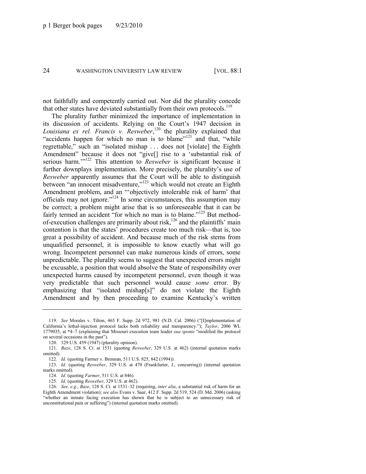not faithfully and competently carried out. Nor did the plurality concede that other states have deviated substantially from their own protocols.<sup>119</sup>

The plurality further minimized the importance of implementation in its discussion of accidents. Relying on the Court's 1947 decision in Louisiana ex rel. Francis v. Resweber,<sup>120</sup> the plurality explained that "accidents happen for which no man is to blame"<sup>121</sup> and that, "while" regrettable," such an "isolated mishap . . . does not [violate] the Eighth Amendment" because it does not "give[] rise to a 'substantial risk of serious harm."<sup>122</sup> This attention to *Resweber* is significant because it further downplays implementation. More precisely, the plurality's use of *Resweber* apparently assumes that the Court will be able to distinguish between "an innocent misadventure,"<sup>123</sup> which would not create an Eighth Amendment problem, and an "objectively intolerable risk of harm' that officials may not ignore." $124$  In some circumstances, this assumption may be correct; a problem might arise that is so unforeseeable that it can be fairly termed an accident "for which no man is to blame."<sup>125</sup> But methodof-execution challenges are primarily about risk,<sup>126</sup> and the plaintiffs' main contention is that the states' procedures create too much risk—that is, too great a possibility of accident. And because much of the risk stems from unqualified personnel, it is impossible to know exactly what will go wrong. Incompetent personnel can make numerous kinds of errors, some unpredictable. The plurality seems to suggest that unexpected errors might be excusable, a position that would absolve the State of responsibility over unexpected harms caused by incompetent personnel, even though it was very predictable that such personnel would cause *some* error. By emphasizing that "isolated mishap[s]" do not violate the Eighth Amendment and by then proceeding to examine Kentucky's written

<sup>119.</sup> *See* Morales v. Tilton, 465 F. Supp. 2d 972, 981 (N.D. Cal. 2006) ("[I]mplementation of California's lethal-injection protocol lacks both reliability and transparency.‖); *Taylor*, 2006 WL 1779035, at \*4–7 (explaining that Missouri execution team leader *sua sponte* "modified the protocol on several occasions in the past").

<sup>120.</sup> 329 U.S. 459 (1947) (plurality opinion).

<sup>121.</sup> *Baze*, 128 S. Ct. at 1531 (quoting *Resweber*, 329 U.S. at 462) (internal quotation marks omitted).

<sup>122.</sup> *Id.* (quoting Farmer v. Brennan, 511 U.S. 825, 842 (1994)).

<sup>123.</sup> *Id.* (quoting *Resweber*, 329 U.S. at 470 (Frankfurter, J., concurring)) (internal quotation marks omitted).

<sup>124.</sup> *Id.* (quoting *Farmer*, 511 U.S. at 846).

<sup>125.</sup> *Id.* (quoting *Resweber*, 329 U.S. at 462).

<sup>126.</sup> *See, e.g.*, *Baze*, 128 S. Ct. at 1531–32 (requiring, *inter alia*, a substantial risk of harm for an Eighth Amendment violation); *see also* Evans v. Saar, 412 F. Supp. 2d 519, 524 (D. Md. 2006) (asking ―whether an inmate facing execution has shown that he is subject to an unnecessary risk of unconstitutional pain or suffering") (internal quotation marks omitted).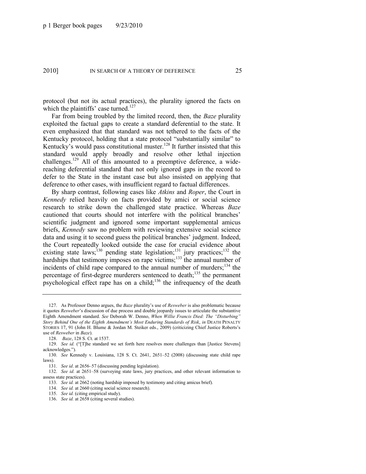protocol (but not its actual practices), the plurality ignored the facts on which the plaintiffs' case turned. $127$ 

<span id="page-25-0"></span>Far from being troubled by the limited record, then, the *Baze* plurality exploited the factual gaps to create a standard deferential to the state. It even emphasized that that standard was not tethered to the facts of the Kentucky protocol, holding that a state protocol "substantially similar" to Kentucky's would pass constitutional muster.<sup>128</sup> It further insisted that this standard would apply broadly and resolve other lethal injection challenges.<sup>129</sup> All of this amounted to a preemptive deference, a widereaching deferential standard that not only ignored gaps in the record to defer to the State in the instant case but also insisted on applying that deference to other cases, with insufficient regard to factual differences.

By sharp contrast, following cases like *Atkins* and *Roper*, the Court in *Kennedy* relied heavily on facts provided by amici or social science research to strike down the challenged state practice. Whereas *Baze*  cautioned that courts should not interfere with the political branches' scientific judgment and ignored some important supplemental amicus briefs, *Kennedy* saw no problem with reviewing extensive social science data and using it to second guess the political branches' judgment. Indeed, the Court repeatedly looked outside the case for crucial evidence about existing state laws;<sup>130</sup> pending state legislation;<sup>131</sup> jury practices;<sup>132</sup> the hardships that testimony imposes on rape victims;<sup>133</sup> the annual number of incidents of child rape compared to the annual number of murders;<sup>134</sup> the percentage of first-degree murderers sentenced to death;<sup>135</sup> the permanent psychological effect rape has on a child;<sup>136</sup> the infrequency of the death

- 133. *See id.* at 2662 (noting hardship imposed by testimony and citing amicus brief).
- 134. *See id.* at 2660 (citing social science research).
- 135. *See id.* (citing empirical study).
- 136. *See id.* at 2658 (citing several studies).

<sup>127.</sup> As Professor Denno argues, the *Baze* plurality's use of *Resweber* is also problematic because it quotes *Resweber*'s discussion of due process and double jeopardy issues to articulate the substantive Eighth Amendment standard. See Deborah W. Denno, When Willie Francis Died: The "Disturbing" *Story Behind One of the Eighth Amendment's Most Enduring Standards of Risk*, *in* DEATH PENALTY STORIES 17, 91 (John H. Blume & Jordan M. Steiker eds., 2009) (criticizing Chief Justice Roberts's use of *Resweber* in *Baze*).

<sup>128.</sup> *Baze*, 128 S. Ct. at 1537.

<sup>129.</sup> *See id.* ("The standard we set forth here resolves more challenges than [Justice Stevens] acknowledges.").

<sup>130.</sup> *See* Kennedy v. Louisiana, 128 S. Ct. 2641, 2651–52 (2008) (discussing state child rape laws).

<sup>131.</sup> *See id*. at 2656–57 (discussing pending legislation).

<sup>132.</sup> *See id.* at 2651–58 (surveying state laws, jury practices, and other relevant information to assess state practices).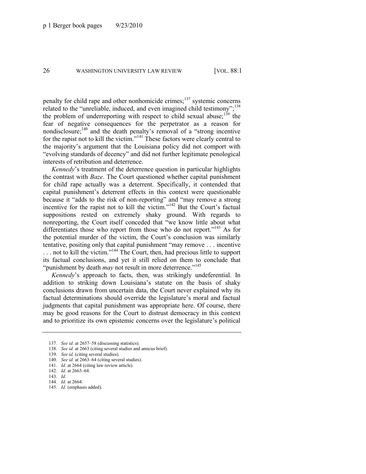penalty for child rape and other nonhomicide crimes; $^{137}$  systemic concerns related to the "unreliable, induced, and even imagined child testimony";<sup>138</sup> the problem of underreporting with respect to child sexual abuse;<sup>139</sup> the fear of negative consequences for the perpetrator as a reason for nondisclosure; $140$  and the death penalty's removal of a "strong incentive" for the rapist not to kill the victim."<sup>141</sup> These factors were clearly central to the majority's argument that the Louisiana policy did not comport with "evolving standards of decency" and did not further legitimate penological interests of retribution and deterrence.

*Kennedy*'s treatment of the deterrence question in particular highlights the contrast with *Baze*. The Court questioned whether capital punishment for child rape actually was a deterrent. Specifically, it contended that capital punishment's deterrent effects in this context were questionable because it "adds to the risk of non-reporting" and "may remove a strong incentive for the rapist not to kill the victim."<sup>142</sup> But the Court's factual suppositions rested on extremely shaky ground. With regards to nonreporting, the Court itself conceded that "we know little about what differentiates those who report from those who do not report."<sup>143</sup> As for the potential murder of the victim, the Court's conclusion was similarly tentative, positing only that capital punishment "may remove  $\ldots$  incentive  $\dots$  not to kill the victim."<sup>144</sup> The Court, then, had precious little to support its factual conclusions, and yet it still relied on them to conclude that "punishment by death *may* not result in more deterrence."<sup>145</sup>

*Kennedy*'s approach to facts, then, was strikingly undeferential. In addition to striking down Louisiana's statute on the basis of shaky conclusions drawn from uncertain data, the Court never explained why its factual determinations should override the legislature's moral and factual judgments that capital punishment was appropriate here. Of course, there may be good reasons for the Court to distrust democracy in this context and to prioritize its own epistemic concerns over the legislature's political

<sup>137.</sup> *See id.* at 2657–58 (discussing statistics).

<sup>138.</sup> *See id.* at 2663 (citing several studies and amicus brief).

<sup>139.</sup> *See id.* (citing several studies).

<sup>140.</sup> *See id.* at 2663–64 (citing several studies).

<sup>141.</sup> *Id.* at 2664 (citing law review article).

<sup>142.</sup> *Id.* at 2663–64.

<sup>143.</sup> *Id.*

<sup>144.</sup> *Id.* at 2664.

<sup>145.</sup> *Id*. (emphasis added).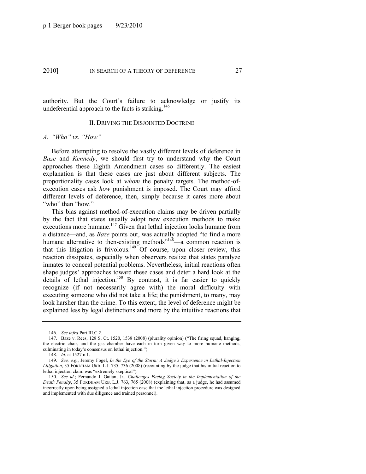authority. But the Court's failure to acknowledge or justify its undeferential approach to the facts is striking.<sup>146</sup>

#### II. DRIVING THE DISJOINTED DOCTRINE

#### *A. ―Who‖ vs. ―How‖*

Before attempting to resolve the vastly different levels of deference in *Baze* and *Kennedy*, we should first try to understand why the Court approaches these Eighth Amendment cases so differently. The easiest explanation is that these cases are just about different subjects. The proportionality cases look at *whom* the penalty targets. The method-ofexecution cases ask *how* punishment is imposed. The Court may afford different levels of deference, then, simply because it cares more about "who" than "how."

This bias against method-of-execution claims may be driven partially by the fact that states usually adopt new execution methods to make executions more humane.<sup>147</sup> Given that lethal injection looks humane from a distance—and, as *Baze* points out, was actually adopted "to find a more humane alternative to then-existing methods<sup> $n_1$ 48</sup>—a common reaction is that this litigation is frivolous.<sup>149</sup> Of course, upon closer review, this reaction dissipates, especially when observers realize that states paralyze inmates to conceal potential problems. Nevertheless, initial reactions often shape judges' approaches toward these cases and deter a hard look at the details of lethal injection.<sup>150</sup> By contrast, it is far easier to quickly recognize (if not necessarily agree with) the moral difficulty with executing someone who did not take a life; the punishment, to many, may look harsher than the crime. To this extent, the level of deference might be explained less by legal distinctions and more by the intuitive reactions that

<sup>146.</sup> *See infra* Part III.C.2.

<sup>147.</sup> Baze v. Rees, 128 S. Ct. 1520, 1538 (2008) (plurality opinion) ("The firing squad, hanging, the electric chair, and the gas chamber have each in turn given way to more humane methods, culminating in today's consensus on lethal injection.").

<sup>148.</sup> *Id.* at 1527 n.1.

<sup>149.</sup> *See, e.g.*, Jeremy Fogel, *In the Eye of the Storm: A Judge's Experience in Lethal-Injection Litigation*, 35 FORDHAM URB. L.J. 735, 736 (2008) (recounting by the judge that his initial reaction to lethal injection claim was "extremely skeptical").

<sup>150.</sup> *See id.*; Fernando J. Gaitan, Jr., *Challenges Facing Society in the Implementation of the Death Penalty*, 35 FORDHAM URB. L.J. 763, 765 (2008) (explaining that, as a judge, he had assumed incorrectly upon being assigned a lethal injection case that the lethal injection procedure was designed and implemented with due diligence and trained personnel).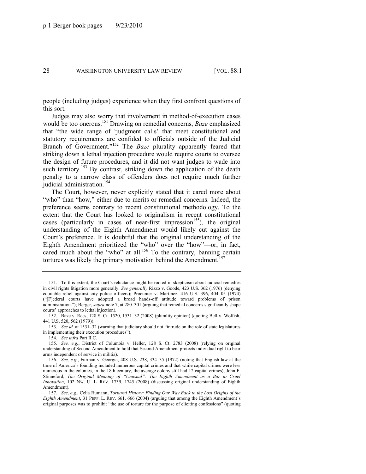people (including judges) experience when they first confront questions of this sort.

Judges may also worry that involvement in method-of-execution cases would be too onerous.<sup>151</sup> Drawing on remedial concerns, *Baze* emphasized that "the wide range of 'judgment calls' that meet constitutional and statutory requirements are confided to officials outside of the Judicial Branch of Government."<sup>152</sup> The *Baze* plurality apparently feared that striking down a lethal injection procedure would require courts to oversee the design of future procedures, and it did not want judges to wade into such territory.<sup>153</sup> By contrast, striking down the application of the death penalty to a narrow class of offenders does not require much further judicial administration.<sup>154</sup>

The Court, however, never explicitly stated that it cared more about "who" than "how," either due to merits or remedial concerns. Indeed, the preference seems contrary to recent constitutional methodology. To the extent that the Court has looked to originalism in recent constitutional cases (particularly in cases of near-first impression<sup>155</sup>), the original understanding of the Eighth Amendment would likely cut against the Court's preference. It is doubtful that the original understanding of the Eighth Amendment prioritized the "who" over the "how"—or, in fact, cared much about the "who" at all.<sup>156</sup> To the contrary, banning certain tortures was likely the primary motivation behind the Amendment.<sup>157</sup>

153. *See id.* at 1531–32 (warning that judiciary should not "intrude on the role of state legislatures" in implementing their execution procedures").

<span id="page-28-0"></span><sup>151.</sup> To this extent, the Court's reluctance might be rooted in skepticism about judicial remedies in civil rights litigation more generally. *See generally* Rizzo v. Goode, 423 U.S. 362 (1976) (denying equitable relief against city police officers); Procunier v. Martinez, 416 U.S. 396, 404–05 (1974) (―[F]ederal courts have adopted a broad hands-off attitude toward problems of prison administration.‖); Berger, *supra* not[e 7,](#page-4-1) at 280–301 (arguing that remedial concerns significantly shape courts' approaches to lethal injection).

<sup>152.</sup> Baze v. Rees, 128 S. Ct. 1520, 1531–32 (2008) (plurality opinion) (quoting Bell v. Wolfish, 441 U.S. 520, 562 (1979)).

<sup>154.</sup> *See infra* Part II.C.

<sup>155.</sup> *See, e.g.*, District of Columbia v. Heller, 128 S. Ct. 2783 (2008) (relying on original understanding of Second Amendment to hold that Second Amendment protects individual right to bear arms independent of service in militia).

<sup>156.</sup> *See, e.g.*, Furman v. Georgia, 408 U.S. 238, 334–35 (1972) (noting that English law at the time of America's founding included numerous capital crimes and that while capital crimes were less numerous in the colonies, in the 18th century, the average colony still had 12 capital crimes); John F. Stinneford, *The Original Meaning of "Unusual": The Eighth Amendment as a Bar to Cruel Innovation*, 102 NW. U. L. REV. 1739, 1745 (2008) (discussing original understanding of Eighth Amendment).

<sup>157.</sup> *See, e.g.*, Celia Rumann, *Tortured History: Finding Our Way Back to the Lost Origins of the Eighth Amendment*, 31 PEPP. L. REV. 661, 666 (2004) (arguing that among the Eighth Amendment's original purposes was to prohibit "the use of torture for the purpose of eliciting confessions" (quoting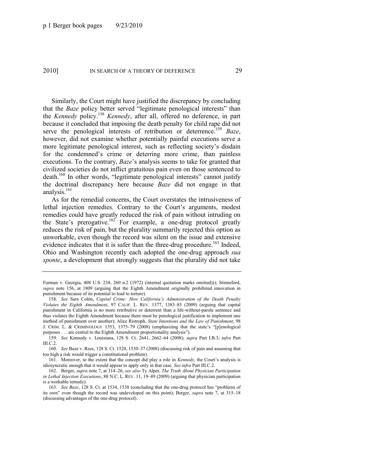Similarly, the Court might have justified the discrepancy by concluding that the *Baze* policy better served "legitimate penological interests" than the *Kennedy* policy.<sup>158</sup> *Kennedy*, after all, offered no deference, in part because it concluded that imposing the death penalty for child rape did not serve the penological interests of retribution or deterrence.<sup>159</sup> *Baze*, however, did not examine whether potentially painful executions serve a more legitimate penological interest, such as reflecting society's disdain for the condemned's crime or deterring more crime, than painless executions. To the contrary, *Baze*'s analysis seems to take for granted that civilized societies do not inflict gratuitous pain even on those sentenced to death.<sup>160</sup> In other words, "legitimate penological interests" cannot justify the doctrinal discrepancy here because *Baze* did not engage in that analysis. $161$ 

As for the remedial concerns, the Court overstates the intrusiveness of lethal injection remedies. Contrary to the Court's arguments, modest remedies could have greatly reduced the risk of pain without intruding on the State's prerogative.<sup>162</sup> For example, a one-drug protocol greatly reduces the risk of pain, but the plurality summarily rejected this option as unworkable, even though the record was silent on the issue and extensive evidence indicates that it is safer than the three-drug procedure.<sup>163</sup> Indeed, Ohio and Washington recently each adopted the one-drug approach *sua sponte*, a development that strongly suggests that the plurality did not take

Furman v. Georgia, 408 U.S. 238, 260 n.2 (1972) (internal quotation marks omitted))); Stinneford, *supra* note [156,](#page-28-0) at 1809 (arguing that the Eighth Amendment originally prohibited innovation in punishment because of its potential to lead to torture).

<sup>158.</sup> *See* Sara Colón, *Capital Crime: How California's Administration of the Death Penalty Violates the Eighth Amendment*, 97 CALIF. L. REV. 1377, 1383–85 (2009) (arguing that capital punishment in California is no more retributive or deterrent than a life-without-parole sentence and thus violates the Eighth Amendment because there must be penological justification to implement one method of punishment over another); Alice Ristroph, *State Intentions and the Law of Punishment*, 98 J. CRIM. L. & CRIMINOLOGY 1353, 1375–79 (2008) (emphasizing that the state's "[p]enological purposes . . . are central to the Eighth Amendment proportionality analysis").

<sup>159.</sup> *See* Kennedy v. Louisiana, 128 S. Ct. 2641, 2662–64 (2008); *supra* Part I.B.3; *infra* Part III.C.2.

<sup>160.</sup> *See* Baze v. Rees, 128 S. Ct. 1520, 1530–37 (2008) (discussing risk of pain and assuming that too high a risk would trigger a constitutional problem).

<sup>161.</sup> Moreover, to the extent that the concept did play a role in *Kennedy*, the Court's analysis is idiosyncratic enough that it would appear to apply only in that case. *See infra* Part III.C.2.

<sup>162.</sup> Berger, *supra* not[e 7,](#page-4-1) at 314–26; *see also* Ty Alper, *The Truth About Physician Participation in Lethal Injection Executions*, 88 N.C. L. REV. 11, 19–49 (2009) (arguing that physician participation is a workable remedy).

<sup>163.</sup> *See Baze*, 128 S. Ct. at 1534, 1538 (concluding that the one-drug protocol has "problems of its own" even though the record was undeveloped on this point); Berger, *supra* note [7,](#page-4-1) at 315–18 (discussing advantages of the one-drug protocol).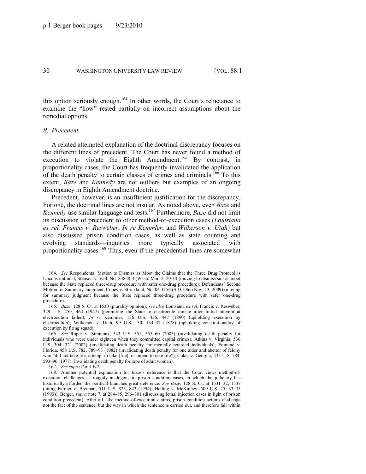this option seriously enough.<sup>164</sup> In other words, the Court's reluctance to examine the "how" rested partially on incorrect assumptions about the remedial options.

#### *B. Precedent*

A related attempted explanation of the doctrinal discrepancy focuses on the different lines of precedent. The Court has never found a method of execution to violate the Eighth Amendment.<sup>165</sup> By contrast, in proportionality cases, the Court has frequently invalidated the application of the death penalty to certain classes of crimes and criminals.<sup>166</sup> To this extent, *Baze* and *Kennedy* are not outliers but examples of an ongoing discrepancy in Eighth Amendment doctrine.

Precedent, however, is an insufficient justification for the discrepancy. For one, the doctrinal lines are not insular. As noted above, even *Baze* and *Kennedy* use similar language and tests.<sup>167</sup> Furthermore, *Baze* did not limit its discussion of precedent to other method-of-execution cases (*Louisiana ex rel. Francis v. Resweber*, *In re Kemmler*, and *Wilkerson v. Utah*) but also discussed prison condition cases, as well as state counting and evolving standards—inquiries more typically associated with proportionality cases.<sup>168</sup> Thus, even if the precedential lines are somewhat

<sup>164.</sup> *See* Respondents' Motion to Dismiss as Moot the Claims that the Three Drug Protocol is Unconstitutional, Stenson v. Vail, No. 83828-3 (Wash. Mar. 2, 2010) (moving to dismiss suit as moot because the State replaced three-drug procedure with safer one-drug procedure); Defendants' Second Motion for Summary Judgment, Cooey v. Strickland, No. 04-1156 (S.D. Ohio Nov. 13, 2009) (moving for summary judgment because the State replaced three-drug procedure with safer one-drug procedure).

<sup>165.</sup> *Baze*, 128 S. Ct. at 1530 (plurality opinion); *see also* Louisiana *ex rel*. Francis v. Resweber, 329 U.S. 459, 464 (1947) (permitting the State to electrocute inmate after initial attempt at electrocution failed); *In re* Kemmler, 136 U.S. 436, 447 (1890) (upholding execution by electrocution); Wilkerson v. Utah, 99 U.S. 130, 134–37 (1878) (upholding constitutionality of execution by firing squad).

<sup>166.</sup> *See* Roper v. Simmons, 543 U.S. 551, 555–60 (2005) (invalidating death penalty for individuals who were under eighteen when they committed capital crimes); Atkins v. Virginia, 536 U.S. 304, 321 (2002) (invalidating death penalty for mentally retarded individuals); Enmund v. Florida, 458 U.S. 782, 789–93 (1982) (invalidating death penalty for one aider and abettor of felony who "did not take life, attempt to take [life], or intend to take life"); Coker v. Georgia, 433 U.S. 584, 593–96 (1977) (invalidating death penalty for rape of adult woman).

<sup>167.</sup> *See supra* Part I.B.2.

<sup>168.</sup> Another potential explanation for *Baze*'s deference is that the Court views method-ofexecution challenges as roughly analogous to prison condition cases, in which the judiciary has historically afforded the political branches great deference. *See Baze*, 128 S. Ct. at 1531–32, 1537 (citing Farmer v. Brennan, 511 U.S. 825, 842 (1994); Helling v. McKinney, 509 U.S. 25, 33–35 (1993)); Berger, *supra* not[e 7,](#page-4-1) at 284–85, 296–301 (discussing lethal injection cases in light of prison condition precedent). After all, like method-of-execution claims, prison condition actions challenge not the fact of the sentence, but the way in which the sentence is carried out, and therefore fall within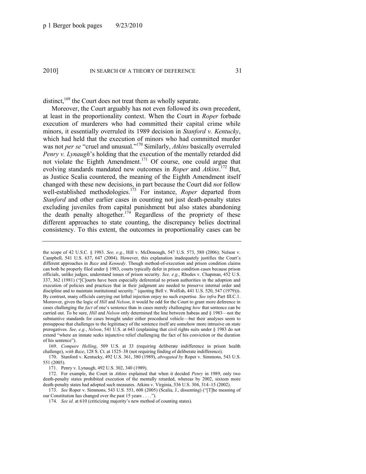distinct,<sup>169</sup> the Court does not treat them as wholly separate.

Moreover, the Court arguably has not even followed its own precedent, at least in the proportionality context. When the Court in *Roper* forbade execution of murderers who had committed their capital crime while minors, it essentially overruled its 1989 decision in *Stanford v. Kentucky*, which had held that the execution of minors who had committed murder was not *per se* "cruel and unusual."<sup>170</sup> Similarly, *Atkins* basically overruled *Penry v. Lynaugh*'s holding that the execution of the mentally retarded did not violate the Eighth Amendment.<sup>171</sup> Of course, one could argue that evolving standards mandated new outcomes in *Roper* and *Atkins*. <sup>172</sup> But, as Justice Scalia countered, the meaning of the Eighth Amendment itself changed with these new decisions, in part because the Court did *not* follow well-established methodologies.<sup>173</sup> For instance, *Roper* departed from *Stanford* and other earlier cases in counting not just death-penalty states excluding juveniles from capital punishment but also states abandoning the death penalty altogether.<sup>174</sup> Regardless of the propriety of these different approaches to state counting, the discrepancy belies doctrinal consistency. To this extent, the outcomes in proportionality cases can be

169. *Compare Helling*, 509 U.S. at 33 (requiring deliberate indifference in prison health challenge), *with Baze*, 128 S. Ct. at 1525–38 (not requiring finding of deliberate indifference).

170. Stanford v. Kentucky, 492 U.S. 361, 380 (1989), *abrogated by* Roper v. Simmons, 543 U.S. 551 (2005).

171. Penry v. Lynaugh, 492 U.S. 302, 340 (1989).

172. For example, the Court in *Atkins* explained that when it decided *Penry* in 1989, only two death-penalty states prohibited execution of the mentally retarded, whereas by 2002, sixteen more death-penalty states had adopted such measures. Atkins v. Virginia, 536 U.S. 304, 314–15 (2002).

173. *See* Roper v. Simmons, 543 U.S. 551, 608 (2005) (Scalia, J., dissenting) ("[T]he meaning of our Constitution has changed over the past  $15$  years . . . .").

174. *See id.* at 610 (criticizing majority's new method of counting states).

the scope of 42 U.S.C. § 1983. *See, e.g.*, Hill v. McDonough, 547 U.S. 573, 580 (2006); Nelson v. Campbell, 541 U.S. 637, 647 (2004). However, this explanation inadequately justifies the Court's different approaches in *Baze* and *Kennedy*. Though method-of-execution and prison condition claims can both be properly filed under § 1983, courts typically defer in prison condition cases because prison officials, unlike judges, understand issues of prison security. *See, e.g.*, Rhodes v. Chapman, 452 U.S. 337, 362 (1981) ("[C]ourts have been especially deferential to prison authorities in the adoption and execution of policies and practices that in their judgment are needed to preserve internal order and discipline and to maintain institutional security." (quoting Bell v. Wolfish, 441 U.S. 520, 547 (1979))). By contrast, many officials carrying out lethal injection enjoy no such expertise. *See infra* Part III.C.1. Moreover, given the logic of *Hill* and *Nelson*, it would be odd for the Court to grant more deference in cases challenging the *fact* of one's sentence than in cases merely challenging *how* that sentence can be carried out. To be sure, *Hill* and *Nelson* only determined the line between habeas and § 1983—not the substantive standards for cases brought under either procedural vehicle—but their analyses seem to presuppose that challenges to the legitimacy of the sentence itself are somehow more intrusive on state prerogatives. *See, e.g.*, *Nelson*, 541 U.S. at 643 (explaining that civil rights suits under § 1983 do not extend "where an inmate seeks injunctive relief challenging the fact of his conviction or the duration of his sentence").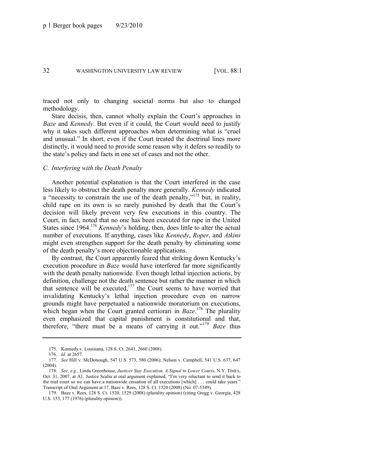traced not only to changing societal norms but also to changed methodology.

Stare decisis, then, cannot wholly explain the Court's approaches in *Baze* and *Kennedy*. But even if it could, the Court would need to justify why it takes such different approaches when determining what is "cruel" and unusual." In short, even if the Court treated the doctrinal lines more distinctly, it would need to provide some reason why it defers so readily to the state's policy and facts in one set of cases and not the other.

#### *C. Interfering with the Death Penalty*

Another potential explanation is that the Court interfered in the case less likely to obstruct the death penalty more generally. *Kennedy* indicated a "necessity to constrain the use of the death penalty,"<sup>175</sup> but, in reality, child rape on its own is so rarely punished by death that the Court's decision will likely prevent very few executions in this country. The Court, in fact, noted that no one has been executed for rape in the United States since 1964.<sup>176</sup> *Kennedy*'s holding, then, does little to alter the actual number of executions. If anything, cases like *Kennedy*, *Roper*, and *Atkins* might even strengthen support for the death penalty by eliminating some of the death penalty's more objectionable applications.

By contrast, the Court apparently feared that striking down Kentucky's execution procedure in *Baze* would have interfered far more significantly with the death penalty nationwide. Even though lethal injection actions, by definition, challenge not the death sentence but rather the manner in which that sentence will be executed, $177$  the Court seems to have worried that invalidating Kentucky's lethal injection procedure even on narrow grounds might have perpetuated a nationwide moratorium on executions, which began when the Court granted certiorari in *Baze*. <sup>178</sup> The plurality even emphasized that capital punishment is constitutional and that, therefore, "there must be a means of carrying it out."<sup>179</sup> *Baze* thus

<sup>175.</sup> Kennedy v. Louisiana, 128 S. Ct. 2641, 2660 (2008).

<sup>176.</sup> *Id.* at 2657.

<sup>177.</sup> *See* Hill v. McDonough, 547 U.S. 573, 580 (2006); Nelson v. Campbell, 541 U.S. 637, 647 (2004).

<sup>178.</sup> *See, e.g.*, Linda Greenhouse, *Justices Stay Execution, A Signal to Lower Courts*, N.Y. TIMES, Oct. 31, 2007, at A1. Justice Scalia at oral argument explained, "I'm very reluctant to send it back to the trial court so we can have a nationwide cessation of all executions [which] ... could take years." Transcript of Oral Argument at 17, Baze v. Rees, 128 S. Ct. 1520 (2008) (No. 07-5349).

<sup>179.</sup> Baze v. Rees, 128 S. Ct. 1520, 1529 (2008) (plurality opinion) (citing Gregg v. Georgia, 428 U.S. 153, 177 (1976) (plurality opinion)).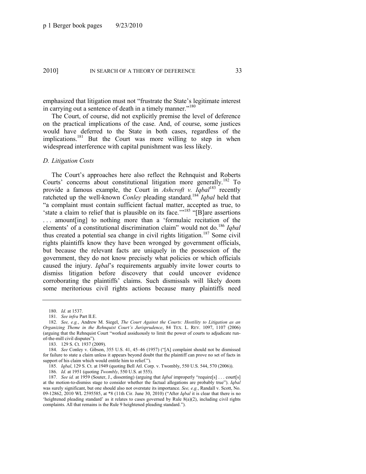emphasized that litigation must not "frustrate the State's legitimate interest" in carrying out a sentence of death in a timely manner."<sup>180</sup>

The Court, of course, did not explicitly premise the level of deference on the practical implications of the case. And, of course, some justices would have deferred to the State in both cases, regardless of the implications.<sup>181</sup> But the Court was more willing to step in when widespread interference with capital punishment was less likely.

#### *D. Litigation Costs*

<span id="page-33-0"></span>The Court's approaches here also reflect the Rehnquist and Roberts Courts' concerns about constitutional litigation more generally.<sup>182</sup> To provide a famous example, the Court in *Ashcroft v. Iqbal*<sup>183</sup> recently ratcheted up the well-known *Conley* pleading standard.<sup>184</sup> *Igbal* held that ―a complaint must contain sufficient factual matter, accepted as true, to 'state a claim to relief that is plausible on its face.'"<sup>185</sup> "[B]are assertions ... amount [ing] to nothing more than a 'formulaic recitation of the elements' of a constitutional discrimination claim" would not do.<sup>186</sup> *Igbal* thus created a potential sea change in civil rights litigation.<sup>187</sup> Some civil rights plaintiffs know they have been wronged by government officials, but because the relevant facts are uniquely in the possession of the government, they do not know precisely what policies or which officials caused the injury. *Iqbal*'s requirements arguably invite lower courts to dismiss litigation before discovery that could uncover evidence corroborating the plaintiffs' claims. Such dismissals will likely doom some meritorious civil rights actions because many plaintiffs need

183. 129 S. Ct. 1937 (2009).

185. *Iqbal*, 129 S. Ct. at 1949 (quoting Bell Atl. Corp. v. Twombly, 550 U.S. 544, 570 (2006)).

186. *Id.* at 1951 (quoting *Twombly*, 550 U.S. at 555).

187. *See id.* at 1959 (Souter, J., dissenting) (arguing that *Iqbal* improperly "require[s] . . . court[s] at the motion-to-dismiss stage to consider whether the factual allegations are probably true"). *Igbal* was surely significant, but one should also not overstate its importance. *See, e.g.*, Randall v. Scott, No. 09-12862, 2010 WL 2595585, at \*8 (11th Cir. June 30, 2010) ("After *Igbal* it is clear that there is no 'heightened pleading standard' as it relates to cases governed by Rule  $8(a)(2)$ , including civil rights complaints. All that remains is the Rule 9 heightened pleading standard.").

<sup>180.</sup> *Id.* at 1537.

<sup>181.</sup> *See infra* Part II.E.

<sup>182.</sup> *See, e.g.*, Andrew M. Siegel, *The Court Against the Courts: Hostility to Litigation as an Organizing Theme in the Rehnquist Court's Jurisprudence*, 84 TEX. L. REV. 1097, 1107 (2006) (arguing that the Rehnquist Court "worked assiduously to limit the power of courts to adjudicate runof-the-mill civil disputes").

<sup>184.</sup> *See* Conley v. Gibson, 355 U.S. 41, 45–46 (1957) ("[A] complaint should not be dismissed for failure to state a claim unless it appears beyond doubt that the plaintiff can prove no set of facts in support of his claim which would entitle him to relief.").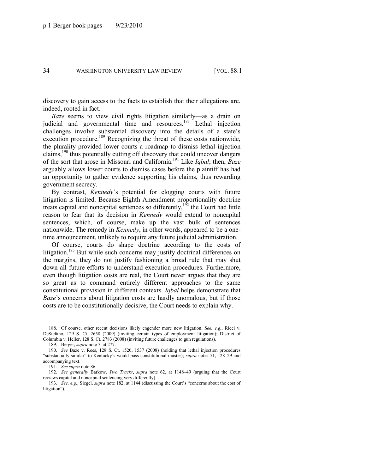discovery to gain access to the facts to establish that their allegations are, indeed, rooted in fact.

*Baze* seems to view civil rights litigation similarly—as a drain on judicial and governmental time and resources.<sup>188</sup> Lethal injection challenges involve substantial discovery into the details of a state's execution procedure.<sup>189</sup> Recognizing the threat of these costs nationwide, the plurality provided lower courts a roadmap to dismiss lethal injection claims,<sup>190</sup> thus potentially cutting off discovery that could uncover dangers of the sort that arose in Missouri and California.<sup>191</sup> Like *Iqbal*, then, *Baze*  arguably allows lower courts to dismiss cases before the plaintiff has had an opportunity to gather evidence supporting his claims, thus rewarding government secrecy.

By contrast, *Kennedy*'s potential for clogging courts with future litigation is limited. Because Eighth Amendment proportionality doctrine treats capital and noncapital sentences so differently,<sup>192</sup> the Court had little reason to fear that its decision in *Kennedy* would extend to noncapital sentences, which, of course, make up the vast bulk of sentences nationwide. The remedy in *Kennedy*, in other words, appeared to be a onetime announcement, unlikely to require any future judicial administration.

Of course, courts do shape doctrine according to the costs of litigation.<sup>193</sup> But while such concerns may justify doctrinal differences on the margins, they do not justify fashioning a broad rule that may shut down all future efforts to understand execution procedures. Furthermore, even though litigation costs are real, the Court never argues that they are so great as to command entirely different approaches to the same constitutional provision in different contexts. *Iqbal* helps demonstrate that *Baze*'s concerns about litigation costs are hardly anomalous, but if those costs are to be constitutionally decisive, the Court needs to explain why.

<sup>188.</sup> Of course, other recent decisions likely engender more new litigation. *See, e.g.*, Ricci v. DeStefano, 129 S. Ct. 2658 (2009) (inviting certain types of employment litigation); District of Columbia v. Heller, 128 S. Ct. 2783 (2008) (inviting future challenges to gun regulations).

<sup>189.</sup> Berger, *supra* not[e 7,](#page-4-1) at 277.

<sup>190.</sup> *See* Baze v. Rees, 128 S. Ct. 1520, 1537 (2008) (holding that lethal injection procedures ―substantially similar‖ to Kentucky's would pass constitutional muster); *supra* notes [51,](#page-13-0) [128](#page-25-0)–29 and accompanying text.

<sup>191</sup>*. See supra* not[e 86.](#page-18-0)

<sup>192.</sup> *See generally* Barkow, *Two Tracks*, *supra* note [62,](#page-15-0) at 1148–49 (arguing that the Court reviews capital and noncapital sentencing very differently).

<sup>193.</sup> *See, e.g.*, Siegel, *supra* not[e 182,](#page-33-0) at 1144 (discussing the Court's "concerns about the cost of litigation").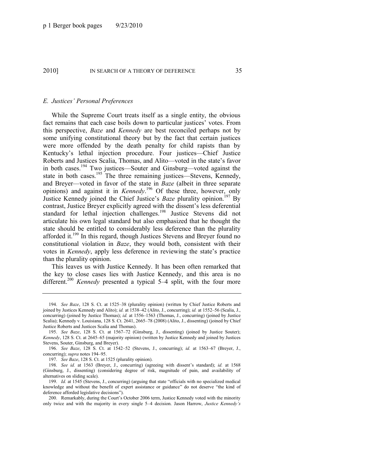#### *E. Justices' Personal Preferences*

<span id="page-35-0"></span>While the Supreme Court treats itself as a single entity, the obvious fact remains that each case boils down to particular justices' votes. From this perspective, *Baze* and *Kennedy* are best reconciled perhaps not by some unifying constitutional theory but by the fact that certain justices were more offended by the death penalty for child rapists than by Kentucky's lethal injection procedure. Four justices—Chief Justice Roberts and Justices Scalia, Thomas, and Alito—voted in the state's favor in both cases.<sup>194</sup> Two justices—Souter and Ginsburg—voted against the state in both cases.<sup>195</sup> The three remaining justices—Stevens, Kennedy, and Breyer—voted in favor of the state in *Baze* (albeit in three separate opinions) and against it in *Kennedy*. <sup>196</sup> Of these three, however, only Justice Kennedy joined the Chief Justice's *Baze* plurality opinion.<sup>197</sup> By contrast, Justice Breyer explicitly agreed with the dissent's less deferential standard for lethal injection challenges.<sup>198</sup> Justice Stevens did not articulate his own legal standard but also emphasized that he thought the state should be entitled to considerably less deference than the plurality afforded it.<sup>199</sup> In this regard, though Justices Stevens and Breyer found no constitutional violation in *Baze*, they would both, consistent with their votes in *Kennedy*, apply less deference in reviewing the state's practice than the plurality opinion.

This leaves us with Justice Kennedy. It has been often remarked that the key to close cases lies with Justice Kennedy, and this area is no different.<sup>200</sup> *Kennedy* presented a typical 5–4 split, with the four more

<sup>194.</sup> *See Baze*, 128 S. Ct. at 1525–38 (plurality opinion) (written by Chief Justice Roberts and joined by Justices Kennedy and Alito); *id.* at 1538–42 (Alito, J., concurring); *id.* at 1552–56 (Scalia, J., concurring) (joined by Justice Thomas); *id.* at 1556–1563 (Thomas, J., concurring) (joined by Justice Scalia); Kennedy v. Louisiana, 128 S. Ct. 2641, 2665–78 (2008) (Alito, J., dissenting) (joined by Chief Justice Roberts and Justices Scalia and Thomas).

<sup>195.</sup> *See Baze*, 128 S. Ct. at 1567–72 (Ginsburg, J., dissenting) (joined by Justice Souter); *Kennedy*, 128 S. Ct. at 2645–65 (majority opinion) (written by Justice Kennedy and joined by Justices Stevens, Souter, Ginsburg, and Breyer).

<sup>196.</sup> *See Baze*, 128 S. Ct. at 1542–52 (Stevens, J., concurring); *id.* at 1563–67 (Breyer, J., concurring); *supra* note[s 194](#page-35-0)–95.

<sup>197.</sup> *See Baze*, 128 S. Ct. at 1525 (plurality opinion).

<sup>198.</sup> *See id.* at 1563 (Breyer, J., concurring) (agreeing with dissent's standard); *id.* at 1568 (Ginsburg, J., dissenting) (considering degree of risk, magnitude of pain, and availability of alternatives on sliding scale).

<sup>199.</sup> *Id.* at 1545 (Stevens, J., concurring) (arguing that state "officials with no specialized medical knowledge and without the benefit of expert assistance or guidance" do not deserve "the kind of deference afforded legislative decisions").

<sup>200.</sup> Remarkably, during the Court's October 2006 term, Justice Kennedy voted with the minority only twice and with the majority in every single 5–4 decision. Jason Harrow, *Justice Kennedy's*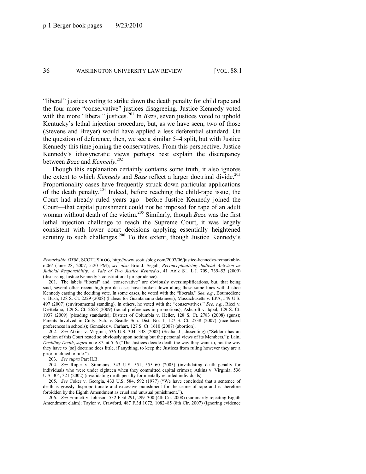"liberal" justices voting to strike down the death penalty for child rape and the four more "conservative" justices disagreeing. Justice Kennedy voted with the more "liberal" justices.<sup>201</sup> In *Baze*, seven justices voted to uphold Kentucky's lethal injection procedure, but, as we have seen, two of those (Stevens and Breyer) would have applied a less deferential standard. On the question of deference, then, we see a similar 5–4 split, but with Justice Kennedy this time joining the conservatives. From this perspective, Justice Kennedy's idiosyncratic views perhaps best explain the discrepancy between *Baze* and *Kennedy*. 202

Though this explanation certainly contains some truth, it also ignores the extent to which *Kennedy* and *Baze* reflect a larger doctrinal divide.<sup>203</sup> Proportionality cases have frequently struck down particular applications of the death penalty.<sup>204</sup> Indeed, before reaching the child-rape issue, the Court had already ruled years ago—before Justice Kennedy joined the Court—that capital punishment could not be imposed for rape of an adult woman without death of the victim.<sup>205</sup> Similarly, though *Baze* was the first lethal injection challenge to reach the Supreme Court, it was largely consistent with lower court decisions applying essentially heightened scrutiny to such challenges.<sup>206</sup> To this extent, though Justice Kennedy's

202*. See* Atkins v. Virginia, 536 U.S. 304, 338 (2002) (Scalia, J., dissenting) ("Seldom has an opinion of this Court rested so obviously upon nothing but the personal views of its Members.‖); Lain, *Deciding Death, supra* not[e 87,](#page-18-0) at 5–6 ("The Justices decide death the way they want to, not the way they have to [so] doctrine does little, if anything, to keep the Justices from ruling however they are a priori inclined to rule.").

203. *See supra* Part II.B.

204. *See* Roper v. Simmons, 543 U.S. 551, 555–60 (2005) (invalidating death penalty for individuals who were under eighteen when they committed capital crimes); Atkins v. Virginia, 536 U.S. 304, 321 (2002) (invalidating death penalty for mentally retarded individuals).

205. *See* Coker v. Georgia, 433 U.S. 584, 592 (1977) ("We have concluded that a sentence of death is grossly disproportionate and excessive punishment for the crime of rape and is therefore forbidden by the Eighth Amendment as cruel and unusual punishment.").

206. *See* Emmett v. Johnson, 532 F.3d 291, 299–300 (4th Cir. 2008) (summarily rejecting Eighth Amendment claim); Taylor v. Crawford, 487 F.3d 1072, 1082–85 (8th Cir. 2007) (ignoring evidence

*Remarkable OT06*, SCOTUSBLOG, http://www.scotusblog.com/2007/06/justice-kennedys-remarkableot06/ (June 28, 2007, 5:20 PM); *see also* Eric J. Segall, *Reconceptualizing Judicial Activism as Judicial Responsibility: A Tale of Two Justice Kennedys*, 41 ARIZ ST. L.J. 709, 739–53 (2009) (discussing Justice Kennedy's constitutional jurisprudence).

<sup>201.</sup> The labels "liberal" and "conservative" are obviously oversimplifications, but, that being said, several other recent high-profile cases have broken down along these same lines with Justice Kennedy casting the deciding vote. In some cases, he voted with the "liberals." See, e.g., Boumediene v. Bush, 128 S. Ct. 2229 (2008) (habeas for Guantanamo detainees); Massachusetts v. EPA, 549 U.S. 497 (2007) (environmental standing). In others, he voted with the "conservatives." See, e.g., Ricci v. DeStefano, 129 S. Ct. 2658 (2009) (racial preferences in promotions); Ashcroft v. Iqbal, 129 S. Ct. 1937 (2009) (pleading standards); District of Columbia v. Heller, 128 S. Ct. 2783 (2008) (guns); Parents Involved in Cmty. Sch. v. Seattle Sch. Dist. No. 1, 127 S. Ct. 2738 (2007) (race-based preferences in schools); Gonzalez v. Carhart, 127 S. Ct. 1610 (2007) (abortion).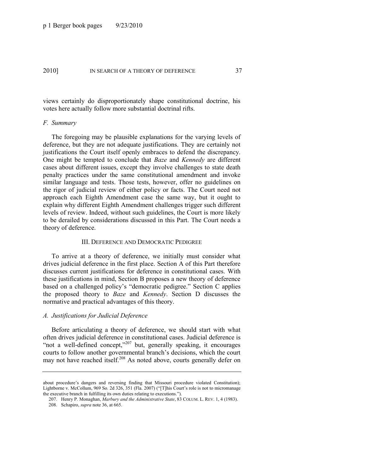views certainly do disproportionately shape constitutional doctrine, his votes here actually follow more substantial doctrinal rifts.

### *F. Summary*

The foregoing may be plausible explanations for the varying levels of deference, but they are not adequate justifications. They are certainly not justifications the Court itself openly embraces to defend the discrepancy. One might be tempted to conclude that *Baze* and *Kennedy* are different cases about different issues, except they involve challenges to state death penalty practices under the same constitutional amendment and invoke similar language and tests. Those tests, however, offer no guidelines on the rigor of judicial review of either policy or facts. The Court need not approach each Eighth Amendment case the same way, but it ought to explain why different Eighth Amendment challenges trigger such different levels of review. Indeed, without such guidelines, the Court is more likely to be derailed by considerations discussed in this Part. The Court needs a theory of deference.

#### III. DEFERENCE AND DEMOCRATIC PEDIGREE

To arrive at a theory of deference, we initially must consider what drives judicial deference in the first place. Section A of this Part therefore discusses current justifications for deference in constitutional cases. With these justifications in mind, Section B proposes a new theory of deference based on a challenged policy's "democratic pedigree." Section C applies the proposed theory to *Baze* and *Kennedy*. Section D discusses the normative and practical advantages of this theory.

# *A. Justifications for Judicial Deference*

Before articulating a theory of deference, we should start with what often drives judicial deference in constitutional cases. Judicial deference is "not a well-defined concept,"<sup>207</sup> but, generally speaking, it encourages courts to follow another governmental branch's decisions, which the court may not have reached itself.<sup>208</sup> As noted above, courts generally defer on

about procedure's dangers and reversing finding that Missouri procedure violated Constitution); Lightborne v. McCollum, 969 So. 2d 326, 351 (Fla. 2007) ("[T]his Court's role is not to micromanage the executive branch in fulfilling its own duties relating to executions.").

<sup>207.</sup> Henry P. Monaghan, *Marbury and the Administrative State*, 83 COLUM. L. REV. 1, 4 (1983).

<sup>208.</sup> Schapiro, *supra* not[e 36,](#page-11-0) at 665.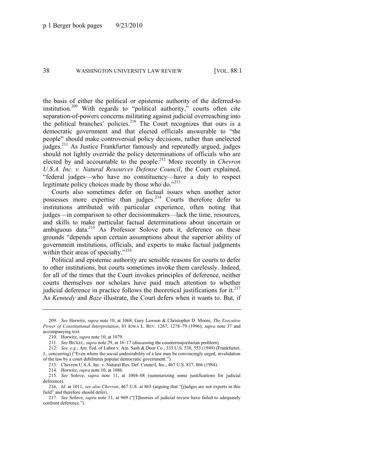the basis of either the political or epistemic authority of the deferred-to institution.<sup>209</sup> With regards to "political authority," courts often cite separation-of-powers concerns militating against judicial overreaching into the political branches' policies.<sup>210</sup> The Court recognizes that ours is a democratic government and that elected officials answerable to "the people" should make controversial policy decisions, rather than unelected judges.<sup>211</sup> As Justice Frankfurter famously and repeatedly argued, judges should not lightly override the policy determinations of officials who are elected by and accountable to the people.<sup>212</sup> More recently in *Chevron U.S.A. Inc. v. Natural Resources Defense Council*, the Court explained, ―federal judges—who have no constituency—have a duty to respect legitimate policy choices made by those who do. $1213$ 

Courts also sometimes defer on factual issues when another actor possesses more expertise than judges.<sup>214</sup> Courts therefore defer to institutions attributed with particular experience, often noting that judges—in comparison to other decisionmakers—lack the time, resources, and skills to make particular factual determinations about uncertain or ambiguous data.<sup>215</sup> As Professor Solove puts it, deference on these grounds "depends upon certain assumptions about the superior ability of government institutions, officials, and experts to make factual judgments within their areas of specialty."<sup>216</sup>

Political and epistemic authority are sensible reasons for courts to defer to other institutions, but courts sometimes invoke them carelessly. Indeed, for all of the times that the Court invokes principles of deference, neither courts themselves nor scholars have paid much attention to whether judicial deference in practice follows the theoretical justifications for it.<sup>217</sup> As *Kennedy* and *Baze* illustrate, the Court defers when it wants to. But, if

213. Chevron U.S.A. Inc. v. Natural Res. Def. Council, Inc., 467 U.S. 837, 866 (1984).

214. Horwitz, *supra* not[e 10,](#page-4-0) at 1086.

215*. See* Solove, *supra* note [11,](#page-4-1) at 1004–08 (summarizing some justifications for judicial deference).

<sup>209.</sup> *See* Horwitz, *supra* not[e 10,](#page-4-0) at 1068; Gary Lawson & Christopher D. Moore, *The Executive Power of Constitutional Interpretation*, 81 IOWA L. REV. 1267, 1278–79 (1996); *supra* note [37](#page-11-1) and accompanying text.

<sup>210.</sup> Horwitz, *supra* not[e 10,](#page-4-0) at 1079.

<sup>211.</sup> *See* BICKEL, *supra* note [29,](#page-8-0) at 16–17 (discussing the countermajoritarian problem).

<sup>212.</sup> *See, e.g.*, Am. Fed. of Labor v. Am. Sash & Door Co., 335 U.S. 538, 553 (1949) (Frankfurter, J., concurring) ("Even where the social undesirability of a law may be convincingly urged, invalidation of the law by a court debilitates popular democratic government.").

<sup>216.</sup> *Id.* at 1011; see also Chevron, 467 U.S. at 865 (arguing that "[j]udges are not experts in this field" and therefore should defer).

<sup>217.</sup> See Solove, *supra* not[e 11,](#page-4-1) at 969 ("[T]heories of judicial review have failed to adequately confront deference.").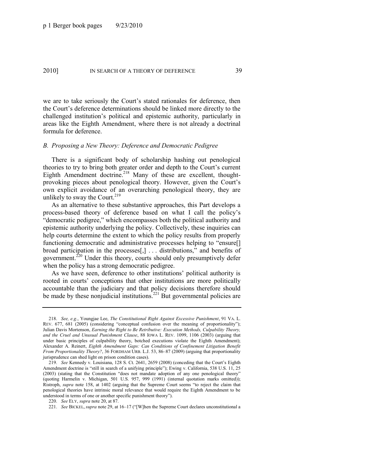we are to take seriously the Court's stated rationales for deference, then the Court's deference determinations should be linked more directly to the challenged institution's political and epistemic authority, particularly in areas like the Eighth Amendment, where there is not already a doctrinal formula for deference.

### *B. Proposing a New Theory: Deference and Democratic Pedigree*

<span id="page-39-0"></span>There is a significant body of scholarship hashing out penological theories to try to bring both greater order and depth to the Court's current Eighth Amendment doctrine.<sup>218</sup> Many of these are excellent, thoughtprovoking pieces about penological theory. However, given the Court's own explicit avoidance of an overarching penological theory, they are unlikely to sway the Court.<sup>219</sup>

As an alternative to these substantive approaches, this Part develops a process-based theory of deference based on what I call the policy's "democratic pedigree," which encompasses both the political authority and epistemic authority underlying the policy. Collectively, these inquiries can help courts determine the extent to which the policy results from properly functioning democratic and administrative processes helping to "ensure[] broad participation in the processes $[,$  ... distributions," and benefits of government.<sup>220</sup> Under this theory, courts should only presumptively defer when the policy has a strong democratic pedigree.

As we have seen, deference to other institutions' political authority is rooted in courts' conceptions that other institutions are more politically accountable than the judiciary and that policy decisions therefore should be made by these nonjudicial institutions.<sup>221</sup> But governmental policies are

<sup>218.</sup> *See, e.g.*, Youngjae Lee, *The Constitutional Right Against Excessive Punishment*, 91 VA. L. REV. 677, 681 (2005) (considering "conceptual confusion over the meaning of proportionality"); Julian Davis Mortenson, *Earning the Right to Be Retributive: Execution Methods, Culpability Theory, and the Cruel and Unusual Punishment Clause*, 88 IOWA L. REV. 1099, 1106 (2003) (arguing that under basic principles of culpability theory, botched executions violate the Eighth Amendment); Alexander A. Reinert, *Eighth Amendment Gaps: Can Conditions of Confinement Litigation Benefit From Proportionality Theory?*, 36 FORDHAM URB. L.J. 53, 86–87 (2009) (arguing that proportionality jurisprudence can shed light on prison condition cases).

<sup>219.</sup> *See* Kennedy v. Louisiana, 128 S. Ct. 2641, 2659 (2008) (conceding that the Court's Eighth Amendment doctrine is "still in search of a unifying principle"); Ewing v. California, 538 U.S. 11, 25 (2003) (stating that the Constitution "does not mandate adoption of any one penological theory" (quoting Harmelin v. Michigan, 501 U.S. 957, 999 (1991) (internal quotation marks omitted)); Ristroph, *supra* note [158,](#page-29-0) at 1402 (arguing that the Supreme Court seems "to reject the claim that penological theories have intrinsic moral relevance that would require the Eighth Amendment to be understood in terms of one or another specific punishment theory").

<sup>220.</sup> *See* ELY, *supra* not[e 20,](#page-6-0) at 87.

<sup>221.</sup> *See BICKEL, supra* not[e 29,](#page-8-0) at 16–17 ("[W]hen the Supreme Court declares unconstitutional a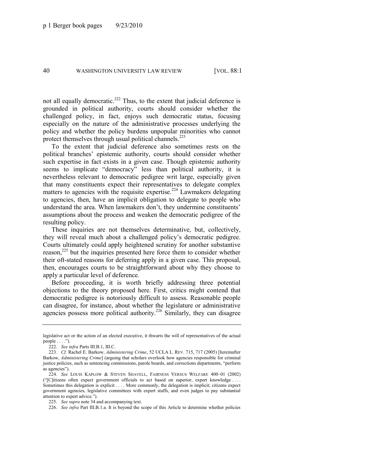not all equally democratic.<sup>222</sup> Thus, to the extent that judicial deference is grounded in political authority, courts should consider whether the challenged policy, in fact, enjoys such democratic status, focusing especially on the nature of the administrative processes underlying the policy and whether the policy burdens unpopular minorities who cannot protect themselves through usual political channels.<sup>223</sup>

<span id="page-40-1"></span>To the extent that judicial deference also sometimes rests on the political branches' epistemic authority, courts should consider whether such expertise in fact exists in a given case. Though epistemic authority seems to implicate "democracy" less than political authority, it is nevertheless relevant to democratic pedigree writ large, especially given that many constituents expect their representatives to delegate complex matters to agencies with the requisite expertise.<sup>224</sup> Lawmakers delegating to agencies, then, have an implicit obligation to delegate to people who understand the area. When lawmakers don't, they undermine constituents' assumptions about the process and weaken the democratic pedigree of the resulting policy.

<span id="page-40-0"></span>These inquiries are not themselves determinative, but, collectively, they will reveal much about a challenged policy's democratic pedigree. Courts ultimately could apply heightened scrutiny for another substantive reason,<sup>225</sup> but the inquiries presented here force them to consider whether their oft-stated reasons for deferring apply in a given case. This proposal, then, encourages courts to be straightforward about why they choose to apply a particular level of deference.

Before proceeding, it is worth briefly addressing three potential objections to the theory proposed here. First, critics might contend that democratic pedigree is notoriously difficult to assess. Reasonable people can disagree, for instance, about whether the legislature or administrative agencies possess more political authority.<sup>226</sup> Similarly, they can disagree

226. *See infra* Part III.B.1.a. It is beyond the scope of this Article to determine whether policies

legislative act or the action of an elected executive, it thwarts the will of representatives of the actual people  $\dots$ .").

<sup>222.</sup> *See infra* Parts III.B.1, III.C.

<sup>223.</sup> *Cf.* Rachel E. Barkow, *Administering Crime*, 52 UCLA L. REV. 715, 717 (2005) [hereinafter Barkow, *Administering Crime*] (arguing that scholars overlook how agencies responsible for criminal justice policies, such as sentencing commissions, parole boards, and corrections departments, "perform" as agencies").

<sup>224.</sup> *See* LOUIS KAPLOW & STEVEN SHAVELL, FAIRNESS VERSUS WELFARE 400–01 (2002) (―[C]itizens often expect government officials to act based on superior, expert knowledge . . . . Sometimes this delegation is explicit . . . . More commonly, the delegation is implicit; citizens expect government agencies, legislative committees with expert staffs, and even judges to pay substantial attention to expert advice.").

<sup>225.</sup> *See supra* not[e 34](#page-9-0) and accompanying text.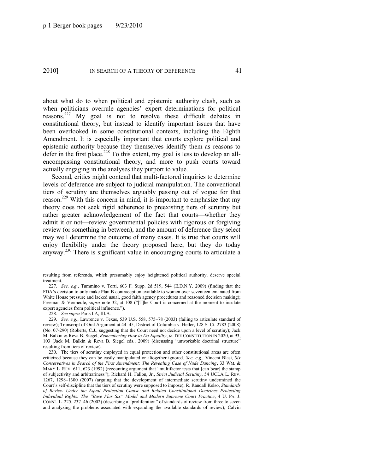about what do to when political and epistemic authority clash, such as when politicians overrule agencies' expert determinations for political reasons.<sup>227</sup> My goal is not to resolve these difficult debates in constitutional theory, but instead to identify important issues that have been overlooked in some constitutional contexts, including the Eighth Amendment. It is especially important that courts explore political and epistemic authority because they themselves identify them as reasons to defer in the first place.<sup>228</sup> To this extent, my goal is less to develop an allencompassing constitutional theory, and more to push courts toward actually engaging in the analyses they purport to value.

Second, critics might contend that multi-factored inquiries to determine levels of deference are subject to judicial manipulation. The conventional tiers of scrutiny are themselves arguably passing out of vogue for that reason.<sup>229</sup> With this concern in mind, it is important to emphasize that my theory does not seek rigid adherence to preexisting tiers of scrutiny but rather greater acknowledgement of the fact that courts—whether they admit it or not—review governmental policies with rigorous or forgiving review (or something in between), and the amount of deference they select may well determine the outcome of many cases. It is true that courts will enjoy flexibility under the theory proposed here, but they do today anyway.<sup>230</sup> There is significant value in encouraging courts to articulate a

228. *See supra* Parts I.A, III.A.

resulting from referenda, which presumably enjoy heightened political authority, deserve special treatment.

<sup>227.</sup> *See, e.g.*, Tummino v. Torti, 603 F. Supp. 2d 519, 544 (E.D.N.Y. 2009) (finding that the FDA's decision to only make Plan B contraception available to women over seventeen emanated from White House pressure and lacked usual, good faith agency procedures and reasoned decision making); Freeman & Vermeule, *supra* note [32](#page-8-1), at 108 ("[T]he Court is concerned at the moment to insulate expert agencies from political influence.").

<sup>229.</sup> *See, e.g.*, Lawrence v. Texas, 539 U.S. 558, 575–78 (2003) (failing to articulate standard of review); Transcript of Oral Argument at 44–45, District of Columbia v. Heller, 128 S. Ct. 2783 (2008) (No. 07-290) (Roberts, C.J., suggesting that the Court need not decide upon a level of scrutiny); Jack M. Balkin & Reva B. Siegel, *Remembering How to Do Equality*, *in* THE CONSTITUTION IN 2020, at 93, 103 (Jack M. Balkin & Reva B. Siegel eds., 2009) (discussing "unworkable doctrinal structure" resulting from tiers of review).

<sup>230.</sup> The tiers of scrutiny employed in equal protection and other constitutional areas are often criticized because they can be easily manipulated or altogether ignored. *See, e.g.*, Vincent Blasi, *Six Conservatives in Search of the First Amendment: The Revealing Case of Nude Dancing*, 33 WM. & MARY L. REV. 611, 623 (1992) (recounting argument that "multifactor tests that [can bear] the stamp of subjectivity and arbitrariness‖); Richard H. Fallon, Jr., *Strict Judicial Scrutiny*, 54 UCLA L. REV. 1267, 1298–1300 (2007) (arguing that the development of intermediate scrutiny undermined the Court's self-discipline that the tiers of scrutiny were supposed to impose); R. Randall Kelso, *Standards of Review Under the Equal Protection Clause and Related Constitutional Doctrines Protecting Individual Rights: The ―Base Plus Six‖ Model and Modern Supreme Court Practice*, 4 U. PA. J. CONST. L. 225, 237–46 (2002) (describing a "proliferation" of standards of review from three to seven and analyzing the problems associated with expanding the available standards of review); Calvin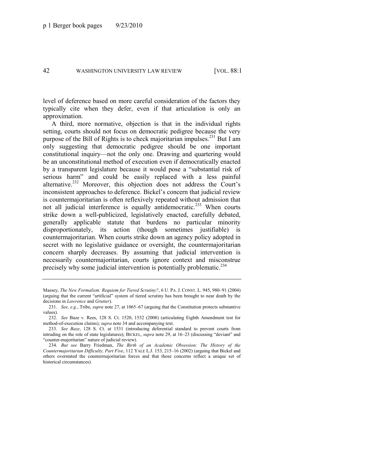level of deference based on more careful consideration of the factors they typically cite when they defer, even if that articulation is only an approximation.

A third, more normative, objection is that in the individual rights setting, courts should not focus on democratic pedigree because the very purpose of the Bill of Rights is to check majoritarian impulses.<sup>231</sup> But I am only suggesting that democratic pedigree should be one important constitutional inquiry—not the only one. Drawing and quartering would be an unconstitutional method of execution even if democratically enacted by a transparent legislature because it would pose a "substantial risk of serious harm" and could be easily replaced with a less painful alternative.<sup>232</sup> Moreover, this objection does not address the Court's inconsistent approaches to deference. Bickel's concern that judicial review is countermajoritarian is often reflexively repeated without admission that not all judicial interference is equally antidemocratic.<sup>233</sup> When courts strike down a well-publicized, legislatively enacted, carefully debated, generally applicable statute that burdens no particular minority disproportionately, its action (though sometimes justifiable) is countermajoritarian. When courts strike down an agency policy adopted in secret with no legislative guidance or oversight, the countermajoritarian concern sharply decreases. By assuming that judicial intervention is necessarily countermajoritarian, courts ignore context and misconstrue precisely why some judicial intervention is potentially problematic.<sup>234</sup>

Massey, *The New Formalism: Requiem for Tiered Scrutiny?*, 6 U. PA. J. CONST. L. 945, 980–91 (2004) (arguing that the current "artificial" system of tiered scrutiny has been brought to near death by the decisions in *Lawrence* and *Grutter*).

<sup>231.</sup> *See, e.g.*, Tribe, *supra* not[e 27,](#page-7-0) at 1065–67 (arguing that the Constitution protects substantive values).

<sup>232.</sup> *See* Baze v. Rees, 128 S. Ct. 1520, 1532 (2008) (articulating Eighth Amendment test for method-of-execution claims); *supra* note [34](#page-9-0) and accompanying text.

<sup>233.</sup> *See Baze*, 128 S. Ct. at 1531 (introducing deferential standard to prevent courts from intruding on the role of state legislatures); BICKEL, *supra* not[e 29,](#page-8-0) at 16–23 (discussing "deviant" and ―counter-majoritarian‖ nature of judicial review).

<sup>234.</sup> *But see* Barry Friedman, *The Birth of an Academic Obsession: The History of the Countermajoritarian Difficulty, Part Five*, 112 YALE L.J. 153, 215–16 (2002) (arguing that Bickel and others overstated the countermajoritarian forces and that those concerns reflect a unique set of historical circumstances).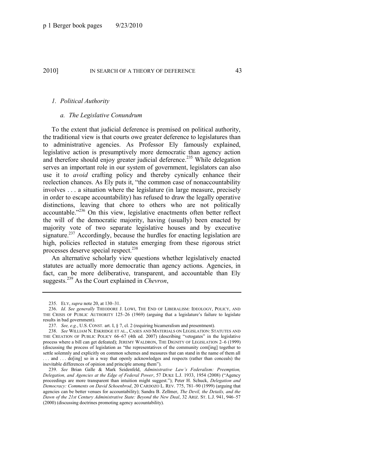### *1. Political Authority*

# *a. The Legislative Conundrum*

To the extent that judicial deference is premised on political authority, the traditional view is that courts owe greater deference to legislatures than to administrative agencies. As Professor Ely famously explained, legislative action is presumptively more democratic than agency action and therefore should enjoy greater judicial deference.<sup>235</sup> While delegation serves an important role in our system of government, legislators can also use it to *avoid* crafting policy and thereby cynically enhance their reelection chances. As Ely puts it, "the common case of nonaccountability involves . . . a situation where the legislature (in large measure, precisely in order to escape accountability) has refused to draw the legally operative distinctions, leaving that chore to others who are not politically accountable.<sup>2236</sup> On this view, legislative enactments often better reflect the will of the democratic majority, having (usually) been enacted by majority vote of two separate legislative houses and by executive signature.<sup>237</sup> Accordingly, because the hurdles for enacting legislation are high, policies reflected in statutes emerging from these rigorous strict processes deserve special respect.<sup>238</sup>

<span id="page-43-1"></span>An alternative scholarly view questions whether legislatively enacted statutes are actually more democratic than agency actions. Agencies, in fact, can be more deliberative, transparent, and accountable than Ely suggests.<sup>239</sup> As the Court explained in *Chevron*,

<span id="page-43-0"></span><sup>235.</sup> ELY, *supra* note [20,](#page-6-0) at 130–31.

<sup>236.</sup> *Id*. *See generally* THEODORE J. LOWI, THE END OF LIBERALISM: IDEOLOGY, POLICY, AND THE CRISIS OF PUBLIC AUTHORITY 125–26 (1969) (arguing that a legislature's failure to legislate results in bad government).

<sup>237.</sup> *See, e.g.*, U.S. CONST. art. I, § 7, cl. 2 (requiring bicameralism and presentment).

<sup>238.</sup> *See* WILLIAM N. ESKRIDGE ET AL., CASES AND MATERIALS ON LEGISLATION: STATUTES AND THE CREATION OF PUBLIC POLICY 66–67 (4th ed. 2007) (describing "vetogates" in the legislative process where a bill can get defeated); JEREMY WALDRON, THE DIGNITY OF LEGISLATION 2–6 (1999) (discussing the process of legislation as "the representatives of the community com[ing] together to settle solemnly and explicitly on common schemes and measures that can stand in the name of them all ... and ... do [ing] so in a way that openly acknowledges and respects (rather than conceals) the inevitable differences of opinion and principle among them").

<sup>239.</sup> *See* Brian Galle & Mark Seidenfeld, *Administrative Law's Federalism: Preemption, Delegation, and Agencies at the Edge of Federal Power*, 57 DUKE L.J. 1933, 1954 (2008) ("Agency proceedings are more transparent than intuition might suggest.‖); Peter H. Schuck, *Delegation and Democracy: Comments on David Schoenbrod*, 20 CARDOZO L. REV. 775, 781–90 (1999) (arguing that agencies can be better venues for accountability); Sandra B. Zellmer, *The Devil, the Details, and the Dawn of the 21st Century Administrative State: Beyond the New Deal*, 32 ARIZ. ST. L.J. 941, 946–57 (2000) (discussing doctrines promoting agency accountability).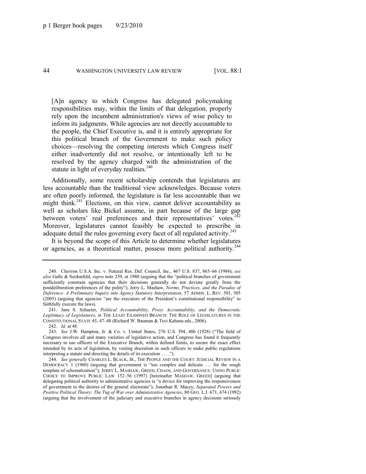[A]n agency to which Congress has delegated policymaking responsibilities may, within the limits of that delegation, properly rely upon the incumbent administration's views of wise policy to inform its judgments. While agencies are not directly accountable to the people, the Chief Executive is, and it is entirely appropriate for this political branch of the Government to make such policy choices—resolving the competing interests which Congress itself either inadvertently did not resolve, or intentionally left to be resolved by the agency charged with the administration of the statute in light of everyday realities. $240$ 

Additionally, some recent scholarship contends that legislatures are less accountable than the traditional view acknowledges. Because voters are often poorly informed, the legislature is far less accountable than we might think.<sup>241</sup> Elections, on this view, cannot deliver accountability as well as scholars like Bickel assume, in part because of the large gap between voters' real preferences and their representatives' votes.<sup>242</sup> Moreover, legislatures cannot feasibly be expected to prescribe in adequate detail the rules governing every facet of all regulated activity.<sup>243</sup>

<span id="page-44-0"></span>It is beyond the scope of this Article to determine whether legislatures or agencies, as a theoretical matter, possess more political authority.<sup>244</sup>

<sup>240.</sup> Chevron U.S.A. Inc. v. Natural Res. Def. Council, Inc., 467 U.S. 837, 865–66 (1984); *see also* Galle & Seidenfeld, *supra* note [239,](#page-43-0) at 1980 (arguing that the "political branches of government sufficiently constrain agencies that their decisions generally do not deviate greatly from the postdeliberation preferences of the polity"); Jerry L. Mashaw, *Norms, Practices, and the Paradox of Deference: A Preliminary Inquiry into Agency Statutory Interpretation*, 57 ADMIN. L. REV. 501, 505  $(2005)$  (arguing that agencies "are the executors of the President's constitutional responsibility" to faithfully execute the laws).

<sup>241.</sup> Jane S. Schacter, *Political Accountability, Proxy Accountability, and the Democratic Legitimacy of Legislatures*, *in* THE LEAST EXAMINED BRANCH: THE ROLE OF LEGISLATURES IN THE CONSTITUTIONAL STATE 45, 47–48 (Richard W. Bauman & Tsvi Kahana eds., 2006).

<sup>242.</sup> *Id.* at 48.

<sup>243.</sup> *See* J.W. Hampton, Jr. & Co. v. United States, 276 U.S. 394, 406 (1928) ("The field of Congress involves all and many varieties of legislative action, and Congress has found it frequently necessary to use officers of the Executive Branch, within defined limits, to secure the exact effect intended by its acts of legislation, by vesting discretion in such officers to make public regulations interpreting a statute and directing the details of its execution  $\dots$  ...

<sup>244.</sup> *See generally* CHARLES L. BLACK, JR., THE PEOPLE AND THE COURT: JUDICIAL REVIEW IN A DEMOCRACY 1 (1960) (arguing that government is "too complex and delicate  $\dots$  for the rough template of schematization"); JERRY L. MASHAW, GREED, CHAOS, AND GOVERNANCE: USING PUBLIC CHOICE TO IMPROVE PUBLIC LAW 152–56 (1997) [hereinafter MASHAW, GREED] (arguing that delegating political authority to administrative agencies is "a device for improving the responsiveness of government to the desires of the general electorate"); Jonathan R. Macey, *Separated Powers and Positive Political Theory: The Tug of War over Administrative Agencies*, 80 GEO. L.J. 671, 674 (1992) (arguing that the involvement of the judiciary and executive branches in agency decisions seriously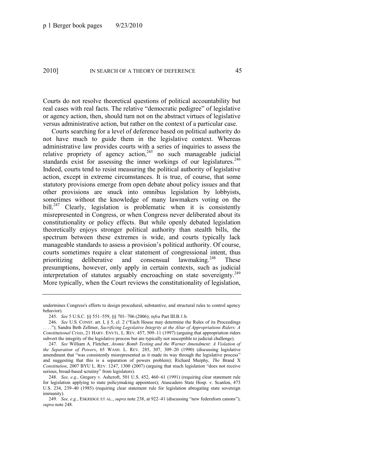Courts do not resolve theoretical questions of political accountability but real cases with real facts. The relative "democratic pedigree" of legislative or agency action, then, should turn not on the abstract virtues of legislative versus administrative action, but rather on the context of a particular case.

<span id="page-45-1"></span>Courts searching for a level of deference based on political authority do not have much to guide them in the legislative context. Whereas administrative law provides courts with a series of inquiries to assess the relative propriety of agency action,  $245$  no such manageable judicial standards exist for assessing the inner workings of our legislatures.<sup>246</sup> Indeed, courts tend to resist measuring the political authority of legislative action, except in extreme circumstances. It is true, of course, that some statutory provisions emerge from open debate about policy issues and that other provisions are snuck into omnibus legislation by lobbyists, sometimes without the knowledge of many lawmakers voting on the bill.<sup>247</sup> Clearly, legislation is problematic when it is consistently misrepresented in Congress, or when Congress never deliberated about its constitutionality or policy effects. But while openly debated legislation theoretically enjoys stronger political authority than stealth bills, the spectrum between these extremes is wide, and courts typically lack manageable standards to assess a provision's political authority. Of course, courts sometimes require a clear statement of congressional intent, thus prioritizing deliberative and consensual lawmaking.<sup>248</sup> These presumptions, however, only apply in certain contexts, such as judicial interpretation of statutes arguably encroaching on state sovereignty.<sup>249</sup> More typically, when the Court reviews the constitutionality of legislation,

undermines Congress's efforts to design procedural, substantive, and structural rules to control agency behavior).

<span id="page-45-0"></span><sup>245.</sup> *See* 5 U.S.C. §§ 551–559, §§ 701–706 (2006); *infra* Part III.B.1.b.

<sup>246.</sup> *See U.S. CONST. art. I, § 5, cl. 2 ("Each House may determine the Rules of its Proceedings* ..."); Sandra Beth Zellmer, *Sacrificing Legislative Integrity at the Altar of Appropriations Riders: A Constitutional Crisis*, 21 HARV. ENVTL. L. REV. 457, 509–11 (1997) (arguing that appropriation riders subvert the integrity of the legislative process but are typically not susceptible to judicial challenge).

<sup>247.</sup> *See* William A. Fletcher, *Atomic Bomb Testing and the Warner Amendment: A Violation of the Separation of Powers*, 65 WASH. L. REV. 285, 307, 309–20 (1990) (discussing legislative amendment that "was consistently misrepresented as it made its way through the legislative process" and suggesting that this is a separation of powers problem); Richard Murphy, *The* Brand X *Constitution*, 2007 BYU L. REV. 1247, 1300 (2007) (arguing that much legislation "does not receive serious, broad-based scrutiny" from legislators).

<sup>248.</sup> *See, e.g.*, Gregory v. Ashcroft, 501 U.S. 452, 460–61 (1991) (requiring clear statement rule for legislation applying to state policymaking appointees); Atascadero State Hosp. v. Scanlon, 473 U.S. 234, 239–40 (1985) (requiring clear statement rule for legislation abrogating state sovereign immunity).

<sup>249.</sup> *See, e.g.*, ESKRIDGE ET AL., *supra* note [238,](#page-43-1) at 922-41 (discussing "new federalism canons"); *supra* not[e 248.](#page-45-0)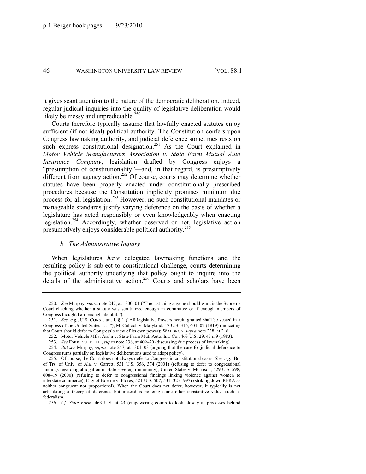it gives scant attention to the nature of the democratic deliberation. Indeed, regular judicial inquiries into the quality of legislative deliberation would likely be messy and unpredictable.<sup>250</sup>

Courts therefore typically assume that lawfully enacted statutes enjoy sufficient (if not ideal) political authority. The Constitution confers upon Congress lawmaking authority, and judicial deference sometimes rests on such express constitutional designation.<sup>251</sup> As the Court explained in *Motor Vehicle Manufacturers Association v. State Farm Mutual Auto Insurance Company*, legislation drafted by Congress enjoys a "presumption of constitutionality"—and, in that regard, is presumptively different from agency action.<sup>252</sup> Of course, courts may determine whether statutes have been properly enacted under constitutionally prescribed procedures because the Constitution implicitly promises minimum due process for all legislation.<sup>253</sup> However, no such constitutional mandates or manageable standards justify varying deference on the basis of whether a legislature has acted responsibly or even knowledgeably when enacting legislation.<sup>254</sup> Accordingly, whether deserved or not, legislative action presumptively enjoys considerable political authority.<sup>255</sup>

### *b. The Administrative Inquiry*

When legislatures *have* delegated lawmaking functions and the resulting policy is subject to constitutional challenge, courts determining the political authority underlying that policy ought to inquire into the details of the administrative action.<sup>256</sup> Courts and scholars have been

<sup>250.</sup> *See* Murphy, *supra* not[e 247,](#page-45-1) at 1300–01 ("The last thing anyone should want is the Supreme Court checking whether a statute was scrutinized enough in committee or if enough members of Congress thought hard enough about it.").

<sup>251.</sup> *See, e.g.*, U.S. CONST. art. I, § 1 ("All legislative Powers herein granted shall be vested in a Congress of the United States . . . ."); McCulloch v. Maryland, 17 U.S. 316, 401–02 (1819) (indicating that Court should defer to Congress's view of its own power); WALDRON, *supra* not[e 238,](#page-43-1) at 2–6.

<sup>252.</sup> Motor Vehicle Mfrs. Ass'n v. State Farm Mut. Auto. Ins. Co., 463 U.S. 29, 43 n.9 (1983).

<sup>253.</sup> *See* ESKRIDGE ET AL., *supra* not[e 238,](#page-43-1) at 409–20 (discussing due process of lawmaking).

<sup>254.</sup> *But see* Murphy, *supra* note [247,](#page-45-1) at 1301–03 (arguing that the case for judicial deference to Congress turns partially on legislative deliberations used to adopt policy).

<sup>255.</sup> Of course, the Court does not always defer to Congress in constitutional cases. *See, e.g*., Bd. of Trs. of Univ. of Ala. v. Garrett, 531 U.S. 356, 374 (2001) (refusing to defer to congressional findings regarding abrogation of state sovereign immunity); United States v. Morrison, 529 U.S. 598, 608–19 (2000) (refusing to defer to congressional findings linking violence against women to interstate commerce); City of Boerne v. Flores, 521 U.S. 507, 531–32 (1997) (striking down RFRA as neither congruent nor proportional). When the Court does not defer, however, it typically is not articulating a theory of deference but instead is policing some other substantive value, such as federalism.

<sup>256.</sup> *Cf. State Farm*, 463 U.S. at 43 (empowering courts to look closely at processes behind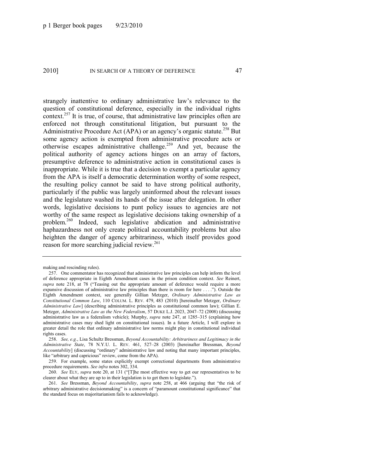<span id="page-47-1"></span><span id="page-47-0"></span>strangely inattentive to ordinary administrative law's relevance to the question of constitutional deference, especially in the individual rights context.<sup>257</sup> It is true, of course, that administrative law principles often are enforced not through constitutional litigation, but pursuant to the Administrative Procedure Act (APA) or an agency's organic statute.<sup>258</sup> But some agency action is exempted from administrative procedure acts or otherwise escapes administrative challenge.<sup>259</sup> And yet, because the political authority of agency actions hinges on an array of factors, presumptive deference to administrative action in constitutional cases is inappropriate. While it is true that a decision to exempt a particular agency from the APA is itself a democratic determination worthy of some respect, the resulting policy cannot be said to have strong political authority, particularly if the public was largely uninformed about the relevant issues and the legislature washed its hands of the issue after delegation. In other words, legislative decisions to punt policy issues to agencies are not worthy of the same respect as legislative decisions taking ownership of a problem.<sup>260</sup> Indeed, such legislative abdication and administrative haphazardness not only create political accountability problems but also heighten the danger of agency arbitrariness, which itself provides good reason for more searching judicial review.<sup>261</sup>

making and rescinding rules).

<sup>257.</sup> One commentator has recognized that administrative law principles can help inform the level of deference appropriate in Eighth Amendment cases in the prison condition context. *See* Reinert, supra note [218,](#page-39-0) at 78 ("Teasing out the appropriate amount of deference would require a more expansive discussion of administrative law principles than there is room for here ...."). Outside the Eighth Amendment context, see generally Gillian Metzger, *Ordinary Administrative Law as Constitutional Common Law*, 110 COLUM. L. REV. 479, 483 (2010) [hereinafter Metzger, *Ordinary Administrative Law*] (describing administrative principles as constitutional common law); Gillian E. Metzger, *Administrative Law as the New Federalism*, 57 DUKE L.J. 2023, 2047–72 (2008) (discussing administrative law as a federalism vehicle); Murphy, *supra* note [247,](#page-45-1) at 1285–315 (explaining how administrative cases may shed light on constitutional issues). In a future Article, I will explore in greater detail the role that ordinary administrative law norms might play in constitutional individual rights cases.

<sup>258.</sup> *See, e.g.*, Lisa Schultz Bressman, *Beyond Accountability: Arbitrariness and Legitimacy in the Administrative State*, 78 N.Y.U. L. REV. 461, 527–28 (2003) [hereinafter Bressman, *Beyond Accountability*] (discussing "ordinary" administrative law and noting that many important principles, like "arbitrary and capricious" review, come from the APA).

<sup>259.</sup> For example, some states explicitly exempt correctional departments from administrative procedure requirements. *See infra* note[s 302,](#page-54-0) [334.](#page-60-0)

<sup>260.</sup> *See ELY, supra* note [20,](#page-6-0) at 131 ("T]he most effective way to get our representatives to be clearer about what they are up to in their legislation is to get them to legislate.").

<sup>261.</sup> *See Bressman, Beyond Accountability, supra* note [258,](#page-47-0) at 466 (arguing that "the risk of arbitrary administrative decisionmaking" is a concern of "paramount constitutional significance" that the standard focus on majoritarianism fails to acknowledge).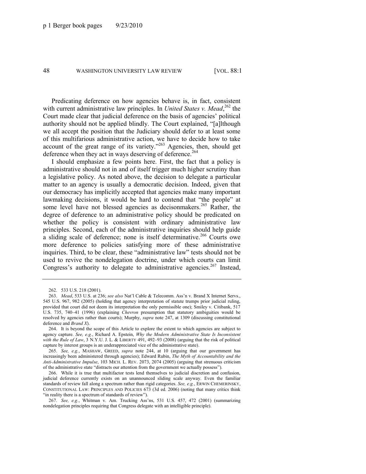Predicating deference on how agencies behave is, in fact, consistent with current administrative law principles. In *United States v. Mead*,<sup>262</sup> the Court made clear that judicial deference on the basis of agencies' political authority should not be applied blindly. The Court explained, "[a]lthough we all accept the position that the Judiciary should defer to at least some of this multifarious administrative action, we have to decide how to take account of the great range of its variety.<sup> $263$ </sup> Agencies, then, should get deference when they act in ways deserving of deference.<sup>264</sup>

I should emphasize a few points here. First, the fact that a policy is administrative should not in and of itself trigger much higher scrutiny than a legislative policy. As noted above, the decision to delegate a particular matter to an agency is usually a democratic decision. Indeed, given that our democracy has implicitly accepted that agencies make many important lawmaking decisions, it would be hard to contend that "the people" at some level have not blessed agencies as decisonmakers.<sup>265</sup> Rather, the degree of deference to an administrative policy should be predicated on whether the policy is consistent with ordinary administrative law principles. Second, each of the administrative inquiries should help guide a sliding scale of deference; none is itself determinative.<sup>266</sup> Courts owe more deference to policies satisfying more of these administrative inquiries. Third, to be clear, these "administrative law" tests should not be used to revive the nondelegation doctrine, under which courts can limit Congress's authority to delegate to administrative agencies.<sup>267</sup> Instead,

265. *See, e.g.*, MASHAW, GREED, *supra* note [244,](#page-44-0) at 10 (arguing that our government has increasingly been administered through agencies); Edward Rubin, *The Myth of Accountability and the Anti-Administrative Impulse*, 103 MICH. L. REV. 2073, 2074 (2005) (arguing that strenuous criticism of the administrative state "distracts our attention from the government we actually possess").

266. While it is true that multifactor tests lend themselves to judicial discretion and confusion, judicial deference currently exists on an unannounced sliding scale anyway. Even the familiar standards of review fall along a spectrum rather than rigid categories. *See, e.g.*, ERWIN CHEMERINSKY, CONSTITUTIONAL LAW: PRINCIPLES AND POLICIES 673 (3d ed. 2006) (noting that many critics think "in reality there is a spectrum of standards of review").

267. *See, e.g.*, Whitman v. Am. Trucking Ass'ns, 531 U.S. 457, 472 (2001) (summarizing nondelegation principles requiring that Congress delegate with an intelligible principle).

<span id="page-48-0"></span><sup>262.</sup> 533 U.S. 218 (2001).

<sup>263.</sup> *Mead*, 533 U.S. at 236; *see also* Nat'l Cable & Telecomm. Ass'n v. Brand X Internet Servs., 545 U.S. 967, 982 (2005) (holding that agency interpretation of statute trumps prior judicial ruling, provided that court did not deem its interpretation the only permissible one); Smiley v. Citibank, 517 U.S. 735, 740–41 (1996) (explaining *Chevron* presumption that statutory ambiguities would be resolved by agencies rather than courts); Murphy, *supra* note [247,](#page-45-1) at 1309 (discussing constitutional deference and *Brand X*).

<sup>264.</sup> It is beyond the scope of this Article to explore the extent to which agencies are subject to agency capture. *See, e.g.*, Richard A. Epstein, *Why the Modern Administrative State Is Inconsistent with the Rule of Law*, 3 N.Y.U. J. L. & LIBERTY 491, 492–93 (2008) (arguing that the risk of political capture by interest groups is an underappreciated vice of the administrative state).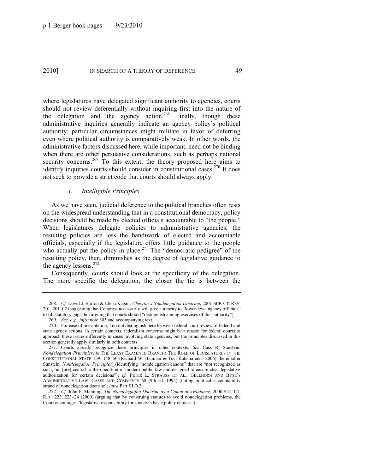where legislatures have delegated significant authority to agencies, courts should not review deferentially without inquiring first into the nature of the delegation and the agency action.<sup>268</sup> Finally, though these administrative inquiries generally indicate an agency policy's political authority, particular circumstances might militate in favor of deferring even where political authority is comparatively weak. In other words, the administrative factors discussed here, while important, need not be binding when there are other persuasive considerations, such as perhaps national security concerns.<sup>269</sup> To this extent, the theory proposed here aims to identify inquiries courts should consider in constitutional cases.<sup>270</sup> It does not seek to provide a strict code that courts should always apply.

### <span id="page-49-1"></span><span id="page-49-0"></span>*i. Intelligible Principles*

As we have seen, judicial deference to the political branches often rests on the widespread understanding that in a constitutional democracy, policy decisions should be made by elected officials accountable to "the people." When legislatures delegate policies to administrative agencies, the resulting policies are less the handiwork of elected and accountable officials, especially if the legislature offers little guidance to the people who actually put the policy in place.<sup>271</sup> The "democratic pedigree" of the resulting policy, then, diminishes as the degree of legislative guidance to the agency lessens.<sup>272</sup>

Consequently, courts should look at the specificity of the delegation. The more specific the delegation, the closer the tie is between the

<sup>268.</sup> *Cf.* David J. Barron & Elena Kagan, *Chevron's Nondelegation Doctrine*, 2001 SUP. CT. REV. 201, 201–02 (suggesting that Congress necessarily will give authority to "lower-level agency officials" to fill statutory gaps, but arguing that courts should "distinguish among exercises of this authority").

<sup>269.</sup> *See, e.g.*, *infra* not[e 303](#page-55-0) and accompanying text.

<sup>270.</sup> For ease of presentation, I do not distinguish here between federal court review of federal and state agency actions. In certain contexts, federalism concerns might be a reason for federal courts to approach these issues differently in cases involving state agencies, but the principles discussed in this section generally apply similarly in both contexts.

<sup>271.</sup> Courts already recognize these principles in other contexts. *See* Cass R. Sunstein, *Nondelegation Principles*, *in* THE LEAST EXAMINED BRANCH: THE ROLE OF LEGISLATURES IN THE CONSTITUTIONAL STATE 139, 148–50 (Richard W. Bauman & Tsvi Kahana eds., 2006) [hereinafter Sunstein, *Nondelegation Principles*] (identifying "nondelegation canons" that are "not recognized as such, but [are] central to the operation of modern public law and designed to ensure clear legislative authorization for certain decisions"); *cf.* PETER L. STRAUSS ET AL., GELLHORN AND BYSE'S ADMINISTRATIVE LAW: CASES AND COMMENTS 68 (9th ed. 1995) (noting political accountability strand of nondelegation doctrine); *infra* Part III.D.2.

<sup>272.</sup> *Cf.* John F. Manning, *The Nondelegation Doctrine as a Canon of Avoidance*, 2000 SUP. CT. REV. 223, 223–24 (2000) (arguing that by construing statutes to avoid nondelegation problems, the Court encourages "legislative responsibility for society's basic policy choices").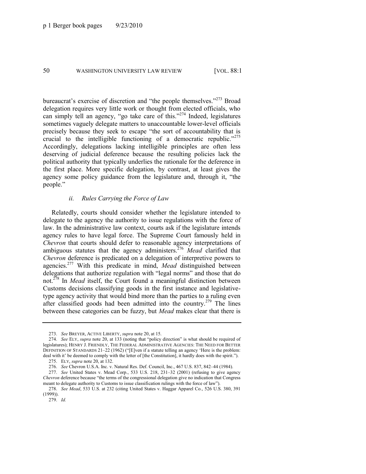bureaucrat's exercise of discretion and "the people themselves. $273$  Broad delegation requires very little work or thought from elected officials, who can simply tell an agency, "go take care of this."<sup>274</sup> Indeed, legislatures sometimes vaguely delegate matters to unaccountable lower-level officials precisely because they seek to escape "the sort of accountability that is crucial to the intelligible functioning of a democratic republic." $275$ Accordingly, delegations lacking intelligible principles are often less deserving of judicial deference because the resulting policies lack the political authority that typically underlies the rationale for the deference in the first place. More specific delegation, by contrast, at least gives the agency some policy guidance from the legislature and, through it, "the people."

## *ii. Rules Carrying the Force of Law*

Relatedly, courts should consider whether the legislature intended to delegate to the agency the authority to issue regulations with the force of law. In the administrative law context, courts ask if the legislature intends agency rules to have legal force. The Supreme Court famously held in *Chevron* that courts should defer to reasonable agency interpretations of ambiguous statutes that the agency administers.<sup>276</sup> *Mead* clarified that *Chevron* deference is predicated on a delegation of interpretive powers to agencies.<sup>277</sup> With this predicate in mind, *Mead* distinguished between delegations that authorize regulation with "legal norms" and those that do not.<sup>278</sup> In *Mead* itself, the Court found a meaningful distinction between Customs decisions classifying goods in the first instance and legislativetype agency activity that would bind more than the parties to a ruling even after classified goods had been admitted into the country.<sup>279</sup> The lines between these categories can be fuzzy, but *Mead* makes clear that there is

<sup>273.</sup> *See* BREYER, ACTIVE LIBERTY, *supra* not[e 20,](#page-6-0) at 15.

<sup>274.</sup> *See ELY, supra* note [20,](#page-6-0) at 133 (noting that "policy direction" is what should be required of legislatures); HENRY J. FRIENDLY, THE FEDERAL ADMINISTRATIVE AGENCIES: THE NEED FOR BETTER DEFINITION OF STANDARDS  $21-22$  (1962) ("[E]ven if a statute telling an agency 'Here is the problem: deal with it' be deemed to comply with the letter of [the Constitution], it hardly does with the spirit.").

<sup>275.</sup> ELY, *supra* note [20,](#page-6-0) at 132.

<sup>276.</sup> *See* Chevron U.S.A. Inc. v. Natural Res. Def. Council, Inc., 467 U.S. 837, 842–44 (1984).

<sup>277.</sup> *See* United States v. Mead Corp., 533 U.S. 218, 231–32 (2001) (refusing to give agency *Chevron* deference because "the terms of the congressional delegation give no indication that Congress meant to delegate authority to Customs to issue classification rulings with the force of law").

<sup>278.</sup> *See Mead*, 533 U.S. at 232 (citing United States v. Haggar Apparel Co., 526 U.S. 380, 391 (1999)).

<sup>279.</sup> *Id.*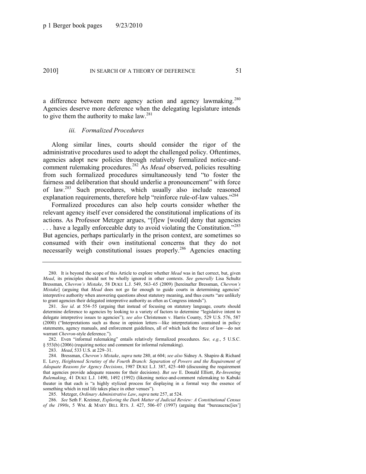a difference between mere agency action and agency lawmaking.<sup>280</sup> Agencies deserve more deference when the delegating legislature intends to give them the authority to make  $law.^{281}$ 

### <span id="page-51-0"></span>*iii. Formalized Procedures*

Along similar lines, courts should consider the rigor of the administrative procedures used to adopt the challenged policy. Oftentimes, agencies adopt new policies through relatively formalized notice-andcomment rulemaking procedures.<sup>282</sup> As *Mead* observed, policies resulting from such formalized procedures simultaneously tend "to foster the fairness and deliberation that should underlie a pronouncement" with force of law.<sup>283</sup> Such procedures, which usually also include reasoned explanation requirements, therefore help "reinforce rule-of-law values."<sup>284</sup>

Formalized procedures can also help courts consider whether the relevant agency itself ever considered the constitutional implications of its actions. As Professor Metzger argues, "[f]ew [would] deny that agencies  $\ldots$  have a legally enforceable duty to avoid violating the Constitution.<sup>285</sup> But agencies, perhaps particularly in the prison context, are sometimes so consumed with their own institutional concerns that they do not necessarily weigh constitutional issues properly.<sup>286</sup> Agencies enacting

286. *See* Seth F. Kreimer, *Exploring the Dark Matter of Judicial Review: A Constitutional Census of the 1990s*, 5 WM. & MARY BILL RTS. J. 427, 506–07 (1997) (arguing that "bureaucrac[ies']

<sup>280.</sup> It is beyond the scope of this Article to explore whether *Mead* was in fact correct, but, given *Mead*, its principles should not be wholly ignored in other contexts. *See generally* Lisa Schultz Bressman, *Chevron's Mistake*, 58 DUKE L.J. 549, 563–65 (2009) [hereinafter Bressman, *Chevron's Mistake*] (arguing that *Mead* does not go far enough to guide courts in determining agencies' interpretive authority when answering questions about statutory meaning, and thus courts "are unlikely to grant agencies their delegated interpretive authority as often as Congress intends").

<sup>281.</sup> *See id*. at 554–55 (arguing that instead of focusing on statutory language, courts should determine deference to agencies by looking to a variety of factors to determine "legislative intent to delegate interpretive issues to agencies"); *see also* Christensen v. Harris County, 529 U.S. 576, 587 (2000) ("Interpretations such as those in opinion letters—like interpretations contained in policy statements, agency manuals, and enforcement guidelines, all of which lack the force of law—do not warrant *Chevron*-style deference.").

<sup>282.</sup> Even "informal rulemaking" entails relatively formalized procedures. *See, e.g.*, 5 U.S.C. § 553(b) (2006) (requiring notice and comment for informal rulemaking).

<sup>283.</sup> *Mead*, 533 U.S. at 229–31.

<sup>284.</sup> Bressman, *Chevron's Mistake*, *supra* not[e 280,](#page-51-0) at 604; *see also* Sidney A. Shapiro & Richard E. Levy, *Heightened Scrutiny of the Fourth Branch: Separation of Powers and the Requirement of Adequate Reasons for Agency Decisions*, 1987 DUKE L.J. 387, 425–440 (discussing the requirement that agencies provide adequate reasons for their decisions). *But see* E. Donald Elliott, *Re-Inventing Rulemaking*, 41 DUKE L.J. 1490, 1492 (1992) (likening notice-and-comment rulemaking to Kabuki theater in that each is "a highly stylized process for displaying in a formal way the essence of something which in real life takes place in other venues").

<sup>285.</sup> Metzger, *Ordinary Administrative Law*, *supra* not[e 257,](#page-47-1) at 524.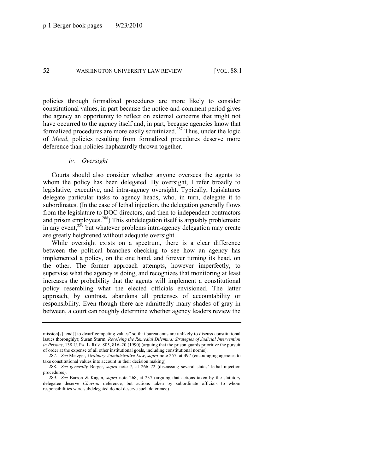policies through formalized procedures are more likely to consider constitutional values, in part because the notice-and-comment period gives the agency an opportunity to reflect on external concerns that might not have occurred to the agency itself and, in part, because agencies know that formalized procedures are more easily scrutinized.<sup>287</sup> Thus, under the logic of *Mead*, policies resulting from formalized procedures deserve more deference than policies haphazardly thrown together.

#### *iv. Oversight*

Courts should also consider whether anyone oversees the agents to whom the policy has been delegated. By oversight, I refer broadly to legislative, executive, and intra-agency oversight. Typically, legislatures delegate particular tasks to agency heads, who, in turn, delegate it to subordinates. (In the case of lethal injection, the delegation generally flows from the legislature to DOC directors, and then to independent contractors and prison employees.<sup>288</sup>) This subdelegation itself is arguably problematic in any event,<sup>289</sup> but whatever problems intra-agency delegation may create are greatly heightened without adequate oversight.

While oversight exists on a spectrum, there is a clear difference between the political branches checking to see how an agency has implemented a policy, on the one hand, and forever turning its head, on the other. The former approach attempts, however imperfectly, to supervise what the agency is doing, and recognizes that monitoring at least increases the probability that the agents will implement a constitutional policy resembling what the elected officials envisioned. The latter approach, by contrast, abandons all pretenses of accountability or responsibility. Even though there are admittedly many shades of gray in between, a court can roughly determine whether agency leaders review the

mission $[s]$  tend $[]$  to dwarf competing values" so that bureaucrats are unlikely to discuss constitutional issues thoroughly); Susan Sturm, *Resolving the Remedial Dilemma: Strategies of Judicial Intervention in Prisons*, 138 U. PA. L. REV. 805, 816–20 (1990) (arguing that the prison guards prioritize the pursuit of order at the expense of all other institutional goals, including constitutional norms).

<sup>287.</sup> *See* Metzger, *Ordinary Administrative Law*, *supra* note [257,](#page-47-1) at 497 (encouraging agencies to take constitutional values into account in their decision making).

<sup>288.</sup> *See generally* Berger, *supra* note [7,](#page-4-2) at 266–72 (discussing several states' lethal injection procedures).

<sup>289.</sup> *See* Barron & Kagan, *supra* note [268,](#page-49-0) at 237 (arguing that actions taken by the statutory delegatee deserve *Chevron* deference, but actions taken by subordinate officials to whom responsibilities were subdelegated do not deserve such deference).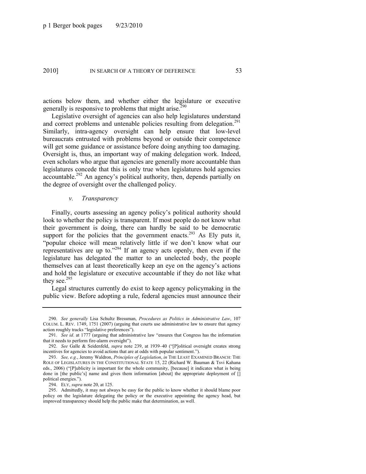actions below them, and whether either the legislature or executive generally is responsive to problems that might arise.<sup>290</sup>

Legislative oversight of agencies can also help legislatures understand and correct problems and untenable policies resulting from delegation.<sup>291</sup> Similarly, intra-agency oversight can help ensure that low-level bureaucrats entrusted with problems beyond or outside their competence will get some guidance or assistance before doing anything too damaging. Oversight is, thus, an important way of making delegation work. Indeed, even scholars who argue that agencies are generally more accountable than legislatures concede that this is only true when legislatures hold agencies accountable.<sup>292</sup> An agency's political authority, then, depends partially on the degree of oversight over the challenged policy.

### *v. Transparency*

Finally, courts assessing an agency policy's political authority should look to whether the policy is transparent. If most people do not know what their government is doing, there can hardly be said to be democratic support for the policies that the government enacts.<sup>293</sup> As Ely puts it, "popular choice will mean relatively little if we don't know what our representatives are up to.<sup> $294$ </sup> If an agency acts openly, then even if the legislature has delegated the matter to an unelected body, the people themselves can at least theoretically keep an eye on the agency's actions and hold the legislature or executive accountable if they do not like what they see. $295$ 

Legal structures currently do exist to keep agency policymaking in the public view. Before adopting a rule, federal agencies must announce their

<sup>290.</sup> *See generally* Lisa Schultz Bressman, *Procedures as Politics in Administrative Law*, 107 COLUM. L. REV. 1749, 1751 (2007) (arguing that courts use administrative law to ensure that agency action roughly tracks "legislative preferences").

<sup>291.</sup> See id. at 1777 (arguing that administrative law "ensures that Congress has the information that it needs to perform fire-alarm oversight").

<sup>292.</sup> *See* Galle & Seidenfeld, *supra* note [239,](#page-43-0) at 1939-40 ("[P]olitical oversight creates strong incentives for agencies to avoid actions that are at odds with popular sentiment.").

<sup>293.</sup> *See, e.g.*, Jeremy Waldron, *Principles of Legislation*, *in* THE LEAST EXAMINED BRANCH: THE ROLE OF LEGISLATURES IN THE CONSTITUTIONAL STATE 15, 22 (Richard W. Bauman & Tsvi Kahana eds., 2006) ("[P]ublicity is important for the whole community, [because] it indicates what is being done in [the public's] name and gives them information [about] the appropriate deployment of [] political energies.").

<sup>294.</sup> ELY, *supra* note [20,](#page-6-0) at 125.

<sup>295.</sup> Admittedly, it may not always be easy for the public to know whether it should blame poor policy on the legislature delegating the policy or the executive appointing the agency head, but improved transparency should help the public make that determination, as well.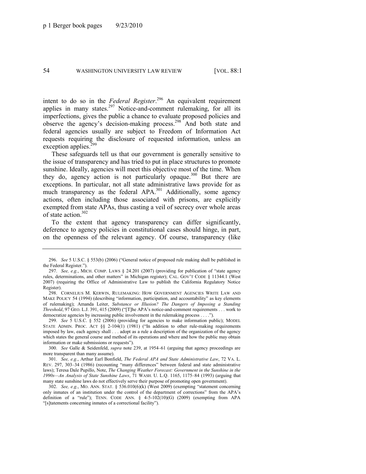intent to do so in the *Federal Register*. <sup>296</sup> An equivalent requirement applies in many states. $297$  Notice-and-comment rulemaking, for all its imperfections, gives the public a chance to evaluate proposed policies and observe the agency's decision-making process.<sup>298</sup> And both state and federal agencies usually are subject to Freedom of Information Act requests requiring the disclosure of requested information, unless an exception applies.<sup>299</sup>

These safeguards tell us that our government is generally sensitive to the issue of transparency and has tried to put in place structures to promote sunshine. Ideally, agencies will meet this objective most of the time. When they do, agency action is not particularly opaque.<sup>300</sup> But there are exceptions. In particular, not all state administrative laws provide for as much transparency as the federal APA.<sup>301</sup> Additionally, some agency actions, often including those associated with prisons, are explicitly exempted from state APAs, thus casting a veil of secrecy over whole areas of state action.<sup>302</sup>

<span id="page-54-0"></span>To the extent that agency transparency can differ significantly, deference to agency policies in constitutional cases should hinge, in part, on the openness of the relevant agency. Of course, transparency (like

300. *See* Galle & Seidenfeld, *supra* note [239,](#page-43-0) at 1954–61 (arguing that agency proceedings are more transparent than many assume).

301. *See, e.g.*, Arthur Earl Bonfield, *The Federal APA and State Administrative Law*, 72 VA. L. REV. 297, 303-34 (1986) (recounting "many differences" between federal and state administrative laws); Teresa Dale Pupillo, Note, *The Changing Weather Forecast: Government in the Sunshine in the 1990s—An Analysis of State Sunshine Laws*, 71 WASH. U. L.Q. 1165, 1175–84 (1993) (arguing that many state sunshine laws do not effectively serve their purpose of promoting open government).

302. *See, e.g.*, MO. ANN. STAT. § 536.010(6)(k) (West 2009) (exempting "statement concerning only inmates of an institution under the control of the department of corrections" from the APA's definition of a "rule"); TENN. CODE ANN.  $\frac{6}{7}$  4-5-102(10)(G) (2009) (exempting from APA "[s]tatements concerning inmates of a correctional facility").

<sup>296.</sup> *See* 5 U.S.C. § 553(b) (2006) ("General notice of proposed rule making shall be published in the Federal Register.").

<sup>297.</sup> *See, e.g.*, MICH. COMP. LAWS  $\S$  24.201 (2007) (providing for publication of "state agency rules, determinations, and other matters" in Michigan register); CAL. GOV'T CODE § 11344.1 (West 2007) (requiring the Office of Administrative Law to publish the California Regulatory Notice Register).

<sup>298.</sup> CORNELIUS M. KERWIN, RULEMAKING: HOW GOVERNMENT AGENCIES WRITE LAW AND MAKE POLICY 54 (1994) (describing "information, participation, and accountability" as key elements of rulemaking); Amanda Leiter, *Substance or Illusion? The Dangers of Imposing a Standing Threshold*, 97 GEO. L.J. 391, 415 (2009) ("[T]he APA's notice-and-comment requirements . . . work to democratize agencies by increasing public involvement in the rulemaking process . . . .").

<sup>299.</sup> *See* 5 U.S.C. § 552 (2006) (providing for agencies to make information public); MODEL STATE ADMIN. PROC. ACT  $\S$  2-104(1) (1981) ("In addition to other rule-making requirements imposed by law, each agency shall . . . adopt as a rule a description of the organization of the agency which states the general course and method of its operations and where and how the public may obtain information or make submissions or requests").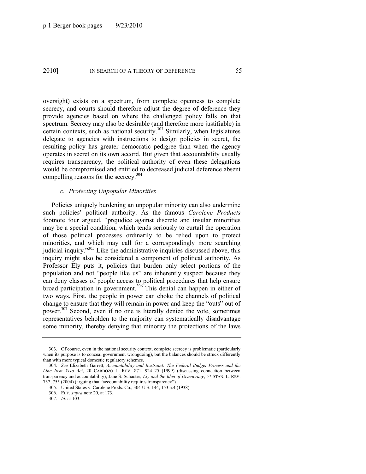oversight) exists on a spectrum, from complete openness to complete secrecy, and courts should therefore adjust the degree of deference they provide agencies based on where the challenged policy falls on that spectrum. Secrecy may also be desirable (and therefore more justifiable) in certain contexts, such as national security. $303$  Similarly, when legislatures delegate to agencies with instructions to design policies in secret, the resulting policy has greater democratic pedigree than when the agency operates in secret on its own accord. But given that accountability usually requires transparency, the political authority of even these delegations would be compromised and entitled to decreased judicial deference absent compelling reasons for the secrecy.<sup>304</sup>

## <span id="page-55-0"></span>*c. Protecting Unpopular Minorities*

Policies uniquely burdening an unpopular minority can also undermine such policies' political authority. As the famous *Carolene Products*  footnote four argued, "prejudice against discrete and insular minorities may be a special condition, which tends seriously to curtail the operation of those political processes ordinarily to be relied upon to protect minorities, and which may call for a correspondingly more searching judicial inquiry."<sup>305</sup> Like the administrative inquiries discussed above, this inquiry might also be considered a component of political authority. As Professor Ely puts it, policies that burden only select portions of the population and not "people like us" are inherently suspect because they can deny classes of people access to political procedures that help ensure broad participation in government.<sup>306</sup> This denial can happen in either of two ways. First, the people in power can choke the channels of political change to ensure that they will remain in power and keep the "outs" out of power.<sup>307</sup> Second, even if no one is literally denied the vote, sometimes representatives beholden to the majority can systematically disadvantage some minority, thereby denying that minority the protections of the laws

<sup>303.</sup> Of course, even in the national security context, complete secrecy is problematic (particularly when its purpose is to conceal government wrongdoing), but the balances should be struck differently than with more typical domestic regulatory schemes.

<sup>304.</sup> *See* Elizabeth Garrett, *Accountability and Restraint: The Federal Budget Process and the Line Item Veto Act*, 20 CARDOZO L. REV. 871, 924–25 (1999) (discussing connection between transparency and accountability); Jane S. Schacter, *Ely and the Idea of Democracy*, 57 STAN. L. REV. 737, 755 (2004) (arguing that "accountability requires transparency").

<sup>305.</sup> United States v. Carolene Prods. Co., 304 U.S. 144, 153 n.4 (1938).

<sup>306.</sup> ELY, *supra* note [20,](#page-6-1) at 173.

<sup>307.</sup> *Id.* at 103.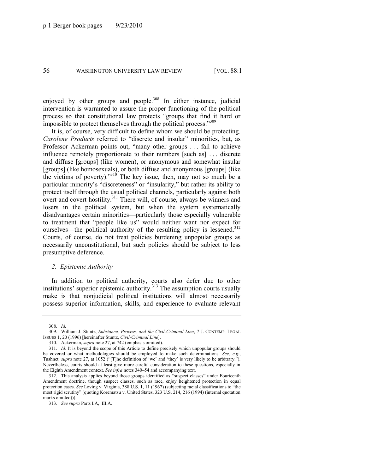enjoyed by other groups and people.<sup>308</sup> In either instance, judicial intervention is warranted to assure the proper functioning of the political process so that constitutional law protects "groups that find it hard or impossible to protect themselves through the political process."<sup>309</sup>

<span id="page-56-0"></span>It is, of course, very difficult to define whom we should be protecting. *Carolene Products* referred to "discrete and insular" minorities, but, as Professor Ackerman points out, "many other groups . . . fail to achieve influence remotely proportionate to their numbers [such as] . . . discrete and diffuse [groups] (like women), or anonymous and somewhat insular [groups] (like homosexuals), or both diffuse and anonymous [groups] (like the victims of poverty)." $310$  The key issue, then, may not so much be a particular minority's "discreteness" or "insularity," but rather its ability to protect itself through the usual political channels, particularly against both overt and covert hostility.<sup>311</sup> There will, of course, always be winners and losers in the political system, but when the system systematically disadvantages certain minorities—particularly those especially vulnerable to treatment that "people like us" would neither want nor expect for ourselves—the political authority of the resulting policy is lessened.<sup>312</sup> Courts, of course, do not treat policies burdening unpopular groups as necessarily unconstitutional, but such policies should be subject to less presumptive deference.

### *2. Epistemic Authority*

In addition to political authority, courts also defer due to other institutions' superior epistemic authority.<sup>313</sup> The assumption courts usually make is that nonjudicial political institutions will almost necessarily possess superior information, skills, and experience to evaluate relevant

<sup>308.</sup> *Id.*

<sup>309.</sup> William J. Stuntz, *Substance, Process, and the Civil-Criminal Line*, 7 J. CONTEMP. LEGAL ISSUES 1, 20 (1996) [hereinafter Stuntz, *Civil-Criminal Line*].

<sup>310.</sup> Ackerman, *supra* not[e 27,](#page-7-0) at 742 (emphasis omitted).

<sup>311.</sup> *Id*. It is beyond the scope of this Article to define precisely which unpopular groups should be covered or what methodologies should be employed to make such determinations. *See, e.g.*, Tushnet, *supra* note [27,](#page-7-0) at 1052 ("[T]he definition of 'we' and 'they' is very likely to be arbitrary."). Nevertheless, courts should at least give more careful consideration to these questions, especially in the Eighth Amendment context. *See infra* notes [340](#page-61-0)–54 and accompanying text.

<sup>312.</sup> This analysis applies beyond those groups identified as "suspect classes" under Fourteenth Amendment doctrine, though suspect classes, such as race, enjoy heightened protection in equal protection cases. *See* Loving v. Virginia, 388 U.S. 1, 11 (1967) (subjecting racial classifications to "the most rigid scrutiny" (quoting Korematsu v. United States, 323 U.S. 214, 216 (1994) (internal quotation marks omitted))).

<sup>313.</sup> *See supra* Parts I.A, III.A.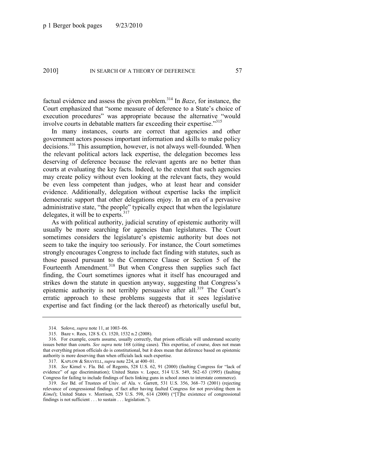factual evidence and assess the given problem.<sup>314</sup> In *Baze*, for instance, the Court emphasized that "some measure of deference to a State's choice of execution procedures" was appropriate because the alternative "would involve courts in debatable matters far exceeding their expertise."<sup>315</sup>

In many instances, courts are correct that agencies and other government actors possess important information and skills to make policy decisions.<sup>316</sup> This assumption, however, is not always well-founded. When the relevant political actors lack expertise, the delegation becomes less deserving of deference because the relevant agents are no better than courts at evaluating the key facts. Indeed, to the extent that such agencies may create policy without even looking at the relevant facts, they would be even less competent than judges, who at least hear and consider evidence. Additionally, delegation without expertise lacks the implicit democratic support that other delegations enjoy. In an era of a pervasive administrative state, "the people" typically expect that when the legislature delegates, it will be to experts.<sup>317</sup>

As with political authority, judicial scrutiny of epistemic authority will usually be more searching for agencies than legislatures. The Court sometimes considers the legislature's epistemic authority but does not seem to take the inquiry too seriously. For instance, the Court sometimes strongly encourages Congress to include fact finding with statutes, such as those passed pursuant to the Commerce Clause or Section 5 of the Fourteenth Amendment.<sup>318</sup> But when Congress then supplies such fact finding, the Court sometimes ignores what it itself has encouraged and strikes down the statute in question anyway, suggesting that Congress's epistemic authority is not terribly persuasive after all.<sup>319</sup> The Court's erratic approach to these problems suggests that it sees legislative expertise and fact finding (or the lack thereof) as rhetorically useful but,

<sup>314.</sup> Solove, *supra* note [11,](#page-4-1) at 1003–06.

<sup>315.</sup> Baze v. Rees, 128 S. Ct. 1520, 1532 n.2 (2008).

<sup>316.</sup> For example, courts assume, usually correctly, that prison officials will understand security issues better than courts. *See supra* note [168](#page-30-0) (citing cases). This expertise, of course, does not mean that everything prison officials do is constitutional, but it does mean that deference based on epistemic authority is more deserving than when officials lack such expertise.

<sup>317.</sup> KAPLOW & SHAVELL, *supra* not[e 224,](#page-40-0) at 400–01.

<sup>318.</sup> *See* Kimel v. Fla. Bd. of Regents, 528 U.S. 62, 91 (2000) (faulting Congress for "lack of evidence" of age discrimination); United States v. Lopez, 514 U.S. 549, 562–63 (1995) (faulting Congress for failing to include findings of facts linking guns in school zones to interstate commerce).

<sup>319.</sup> *See* Bd. of Trustees of Univ. of Ala. v. Garrett, 531 U.S. 356, 368–73 (2001) (rejecting relevance of congressional findings of fact after having faulted Congress for not providing them in *Kimel*); United States v. Morrison, 529 U.S. 598, 614 (2000) ("[T]he existence of congressional findings is not sufficient  $\dots$  to sustain  $\dots$  legislation.").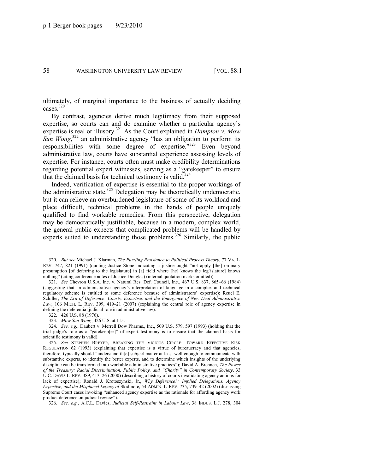ultimately, of marginal importance to the business of actually deciding cases.<sup>320</sup>

By contrast, agencies derive much legitimacy from their supposed expertise, so courts can and do examine whether a particular agency's expertise is real or illusory.<sup>321</sup> As the Court explained in *Hampton v. Mow Sun Wong*<sup>322</sup> an administrative agency "has an obligation to perform its responsibilities with some degree of expertise.<sup>323</sup> Even beyond administrative law, courts have substantial experience assessing levels of expertise. For instance, courts often must make credibility determinations regarding potential expert witnesses, serving as a "gatekeeper" to ensure that the claimed basis for technical testimony is valid.<sup>324</sup>

Indeed, verification of expertise is essential to the proper workings of the administrative state.<sup>325</sup> Delegation may be theoretically undemocratic, but it can relieve an overburdened legislature of some of its workload and place difficult, technical problems in the hands of people uniquely qualified to find workable remedies. From this perspective, delegation may be democratically justifiable, because in a modern, complex world, the general public expects that complicated problems will be handled by experts suited to understanding those problems.<sup>326</sup> Similarly, the public

323. *Mow Sun Wong*, 426 U.S. at 115.

324. *See, e.g.*, Daubert v. Merrell Dow Pharms., Inc., 509 U.S. 579, 597 (1993) (holding that the trial judge's role as a "gatekeep[er]" of expert testimony is to ensure that the claimed basis for scientific testimony is valid).

325. *See* STEPHEN BREYER, BREAKING THE VICIOUS CIRCLE: TOWARD EFFECTIVE RISK REGULATION 62 (1993) (explaining that expertise is a virtue of bureaucracy and that agencies, therefore, typically should "understand th[e] subject matter at least well enough to communicate with substantive experts, to identify the better experts, and to determine which insights of the underlying discipline can be transformed into workable administrative practices"); David A. Brennen, *The Power of the Treasury: Racial Discrimination, Public Policy, and ―Charity‖ in Contemporary Society*, 33 U.C. DAVIS L. REV. 389, 413–26 (2000) (describing a history of courts invalidating agency actions for lack of expertise); Ronald J. Krotoszynski, Jr., *Why Deference?: Implied Delegations, Agency Expertise, and the Misplaced Legacy of* Skidmore, 54 ADMIN. L. REV. 735, 739–42 (2002) (discussing Supreme Court cases invoking "enhanced agency expertise as the rationale for affording agency work product deference on judicial review").

326. *See, e.g.*, A.C.L. Davies, *Judicial Self-Restraint in Labour Law*, 38 INDUS. L.J. 278, 304

<sup>320.</sup> *But see* Michael J. Klarman, *The Puzzling Resistance to Political Process Theory*, 77 VA. L. REV. 747, 821 (1991) (quoting Justice Stone indicating a justice ought "not apply [the] ordinary presumption [of deferring to the legislature] in [a] field where [he] knows the leg[islature] knows nothing" (citing conference notes of Justice Douglas) (internal quotation marks omitted)).

<sup>321.</sup> *See* Chevron U.S.A. Inc. v. Natural Res. Def. Council, Inc., 467 U.S. 837, 865–66 (1984) (suggesting that an administrative agency's interpretation of language in a complex and technical regulatory scheme is entitled to some deference because of administrators' expertise); Reuel E. Schiller, *The Era of Deference: Courts, Expertise, and the Emergence of New Deal Administrative*  Law, 106 MICH. L. REV. 399, 419-21 (2007) (explaining the central role of agency expertise in defining the deferential judicial role in administrative law).

<sup>322.</sup> 426 U.S. 88 (1976).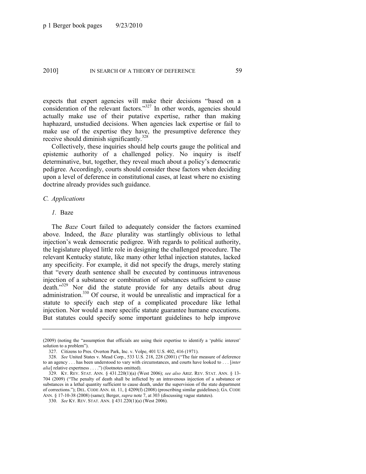expects that expert agencies will make their decisions "based on a consideration of the relevant factors." $327$  In other words, agencies should actually make use of their putative expertise, rather than making haphazard, unstudied decisions. When agencies lack expertise or fail to make use of the expertise they have, the presumptive deference they receive should diminish significantly.<sup>328</sup>

Collectively, these inquiries should help courts gauge the political and epistemic authority of a challenged policy. No inquiry is itself determinative, but, together, they reveal much about a policy's democratic pedigree. Accordingly, courts should consider these factors when deciding upon a level of deference in constitutional cases, at least where no existing doctrine already provides such guidance.

#### *C. Applications*

#### *1.* Baze

The *Baze* Court failed to adequately consider the factors examined above. Indeed, the *Baze* plurality was startlingly oblivious to lethal injection's weak democratic pedigree. With regards to political authority, the legislature played little role in designing the challenged procedure. The relevant Kentucky statute, like many other lethal injection statutes, lacked any specificity. For example, it did not specify the drugs, merely stating that "every death sentence shall be executed by continuous intravenous injection of a substance or combination of substances sufficient to cause death."<sup>329</sup> Nor did the statute provide for any details about drug administration.<sup>330</sup> Of course, it would be unrealistic and impractical for a statute to specify each step of a complicated procedure like lethal injection. Nor would a more specific statute guarantee humane executions. But statutes could specify some important guidelines to help improve

<sup>(2009) (</sup>noting the "assumption that officials are using their expertise to identify a 'public interest' solution to a problem").

<sup>327.</sup> Citizens to Pres. Overton Park, Inc. v. Volpe, 401 U.S. 402, 416 (1971).

<sup>328.</sup> *See United States v. Mead Corp., 533 U.S. 218, 228 (2001)* ("The fair measure of deference to an agency . . . has been understood to vary with circumstances, and courts have looked to . . . [*inter alia*] relative expertness . . . .") (footnotes omitted).

<sup>329.</sup> KY. REV. STAT. ANN. § 431.220(1)(a) (West 2006); *see also* ARIZ. REV. STAT. ANN. § 13- 704 (2009) ("The penalty of death shall be inflicted by an intravenous injection of a substance or substances in a lethal quantity sufficient to cause death, under the supervision of the state department of corrections.‖); DEL. CODE ANN. tit. 11, § 4209(f) (2008) (proscribing similar guidelines); GA. CODE ANN. § 17-10-38 (2008) (same); Berger, *supra* not[e 7,](#page-4-2) at 303 (discussing vague statutes).

<sup>330.</sup> *See* KY. REV. STAT. ANN. § 431.220(1)(a) (West 2006).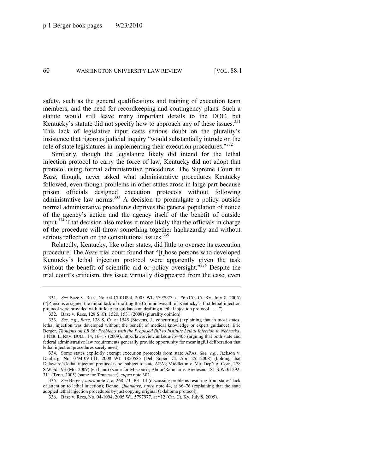safety, such as the general qualifications and training of execution team members, and the need for recordkeeping and contingency plans. Such a statute would still leave many important details to the DOC, but Kentucky's statute did not specify how to approach any of these issues. $331$ This lack of legislative input casts serious doubt on the plurality's insistence that rigorous judicial inquiry "would substantially intrude on the role of state legislatures in implementing their execution procedures.<sup>3332</sup>

Similarly, though the legislature likely did intend for the lethal injection protocol to carry the force of law, Kentucky did not adopt that protocol using formal administrative procedures. The Supreme Court in *Baze*, though, never asked what administrative procedures Kentucky followed, even though problems in other states arose in large part because prison officials designed execution protocols without following administrative law norms.<sup>333</sup> A decision to promulgate a policy outside normal administrative procedures deprives the general population of notice of the agency's action and the agency itself of the benefit of outside input.<sup>334</sup> That decision also makes it more likely that the officials in charge of the procedure will throw something together haphazardly and without serious reflection on the constitutional issues.<sup>335</sup>

<span id="page-60-0"></span>Relatedly, Kentucky, like other states, did little to oversee its execution procedure. The *Baze* trial court found that "[t]hose persons who developed Kentucky's lethal injection protocol were apparently given the task without the benefit of scientific aid or policy oversight.<sup>336</sup> Despite the trial court's criticism, this issue virtually disappeared from the case, even

<sup>331.</sup> *See* Baze v. Rees, No. 04-CI-01094, 2005 WL 5797977, at \*6 (Cir. Ct. Ky. July 8, 2005) (―[P]ersons assigned the initial task of drafting the Commonwealth of Kentucky's first lethal injection protocol were provided with little to no guidance on drafting a lethal injection protocol . . . .").

<sup>332.</sup> Baze v. Rees, 128 S. Ct. 1520, 1531 (2008) (plurality opinion).

<sup>333.</sup> *See, e.g.*, *Baze*, 128 S. Ct. at 1545 (Stevens, J., concurring) (explaining that in most states, lethal injection was developed without the benefit of medical knowledge or expert guidance); Eric Berger, *Thoughts on LB 36: Problems with the Proposed Bill to Institute Lethal Injection in Nebraska*, 1 NEB. L. REV. BULL. 14, 16–17 (2009), http://lawreview.unl.edu/?p=405 (arguing that both state and federal administrative law requirements generally provide opportunity for meaningful deliberation that lethal injection procedures sorely need).

<sup>334.</sup> Some states explicitly exempt execution protocols from state APAs. *See, e.g.*, Jackson v. Danberg, No. 07M-09-141, 2008 WL 1850585 (Del. Super. Ct. Apr. 25, 2008) (holding that Delaware's lethal injection protocol is not subject to state APA); Middleton v. Mo. Dep't of Corr., 278 S.W.3d 193 (Mo. 2009) (en banc) (same for Missouri); Abdur'Rahman v. Bredesen, 181 S.W.3d 292, 311 (Tenn. 2005) (same for Tennessee); *supra* not[e 302.](#page-54-0)

<sup>335.</sup> *See* Berger, *supra* note [7,](#page-4-2) at 268–73, 301–14 (discussing problems resulting from states' lack of attention to lethal injection); Denno, *Quandary*, *supra* not[e 44,](#page-12-0) at 66–76 (explaining that the state adopted lethal injection procedures by just copying original Oklahoma protocol).

<sup>336.</sup> Baze v. Rees, No. 04-1094, 2005 WL 5797977, at \*12 (Cir. Ct. Ky. July 8, 2005).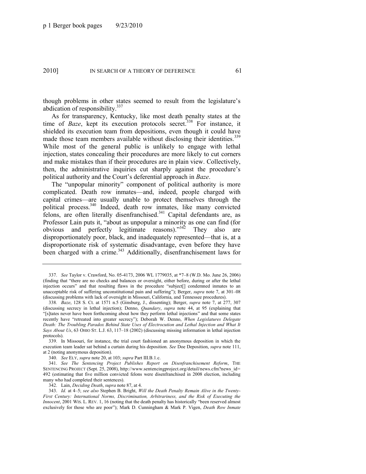though problems in other states seemed to result from the legislature's abdication of responsibility. $337$ 

As for transparency, Kentucky, like most death penalty states at the time of *Baze*, kept its execution protocols secret.<sup>338</sup> For instance, it shielded its execution team from depositions, even though it could have made those team members available without disclosing their identities.<sup>339</sup> While most of the general public is unlikely to engage with lethal injection, states concealing their procedures are more likely to cut corners and make mistakes than if their procedures are in plain view. Collectively, then, the administrative inquiries cut sharply against the procedure's political authority and the Court's deferential approach in *Baze*.

<span id="page-61-0"></span>The "unpopular minority" component of political authority is more complicated. Death row inmates—and, indeed, people charged with capital crimes—are usually unable to protect themselves through the political process.<sup>340</sup> Indeed, death row inmates, like many convicted felons, are often literally disenfranchised.<sup>341</sup> Capital defendants are, as Professor Lain puts it, "about as unpopular a minority as one can find (for obvious and perfectly legitimate reasons). $1342$  They also are disproportionately poor, black, and inadequately represented—that is, at a disproportionate risk of systematic disadvantage, even before they have been charged with a crime.<sup>343</sup> Additionally, disenfranchisement laws for

<span id="page-61-1"></span><sup>337.</sup> *See* Taylor v. Crawford, No. 05-4173, 2006 WL 1779035, at \*7–8 (W.D. Mo. June 26, 2006) (finding that "there are no checks and balances or oversight, either before, during or after the lethal injection occurs" and that resulting flaws in the procedure "subject[] condemned inmates to an unacceptable risk of suffering unconstitutional pain and suffering"); Berger, *supra* note [7,](#page-4-2) at 301–08 (discussing problems with lack of oversight in Missouri, California, and Tennessee procedures).

<sup>338</sup>*. Baze*, 128 S. Ct. at 1571 n.5 (Ginsburg, J., dissenting); Berger, *supra* note [7,](#page-4-2) at 277, 307 (discussing secrecy in lethal injection); Denno, *Quandary*, *supra* note [44,](#page-12-0) at 95 (explaining that ―[s]tates never have been forthcoming about how they perform lethal injections‖ and that some states recently have "retreated into greater secrecy"); Deborah W. Denno, *When Legislatures Delegate Death: The Troubling Paradox Behind State Uses of Electrocution and Lethal Injection and What It Says About Us*, 63 OHIO ST. L.J. 63, 117–18 (2002) (discussing missing information in lethal injection protocols).

<sup>339.</sup> In Missouri, for instance, the trial court fashioned an anonymous deposition in which the execution team leader sat behind a curtain during his deposition. *See* Doe Deposition, *supra* not[e 111,](#page-22-0)  at 2 (noting anonymous deposition).

<sup>340.</sup> *See* ELY, *supra* not[e 20,](#page-6-0) at 103; *supra* Part III.B.1.c.

<sup>341.</sup> *See The Sentencing Project Publishes Report on Disenfranchisement Reform*, THE SENTENCING PROJECT (Sept. 25, 2008), http://www.sentencingproject.org/detail/news.cfm?news\_id= 492 (estimating that five million convicted felons were disenfranchised in 2008 election, including many who had completed their sentences).

<sup>342.</sup> Lain, *Deciding Death*, *supra* note [87,](#page-18-0) at 4.

<sup>343.</sup> *Id.* at 4–5; *see also* Stephen B. Bright, *Will the Death Penalty Remain Alive in the Twenty-First Century: International Norms, Discrimination, Arbitrariness, and the Risk of Executing the Innocent*, 2001 WIS. L. REV. 1, 16 (noting that the death penalty has historically "been reserved almost" exclusively for those who are poor"); Mark D. Cunningham & Mark P. Vigen, *Death Row Inmate*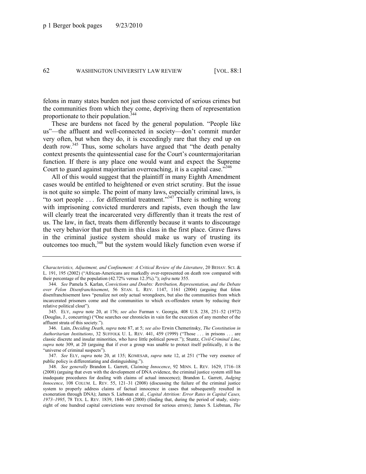felons in many states burden not just those convicted of serious crimes but the communities from which they come, depriving them of representation proportionate to their population.<sup>344</sup>

These are burdens not faced by the general population. "People like us"—the affluent and well-connected in society—don't commit murder very often, but when they do, it is exceedingly rare that they end up on death row.<sup>345</sup> Thus, some scholars have argued that "the death penalty" context presents the quintessential case for the Court's countermajoritarian function. If there is any place one would want and expect the Supreme Court to guard against majoritarian overreaching, it is a capital case.<sup>346</sup>

All of this would suggest that the plaintiff in many Eighth Amendment cases would be entitled to heightened or even strict scrutiny. But the issue is not quite so simple. The point of many laws, especially criminal laws, is "to sort people  $\ldots$  for differential treatment."<sup>347</sup> There is nothing wrong with imprisoning convicted murderers and rapists, even though the law will clearly treat the incarcerated very differently than it treats the rest of us. The law, in fact, treats them differently because it wants to discourage the very behavior that put them in this class in the first place. Grave flaws in the criminal justice system should make us wary of trusting its outcomes too much,<sup>348</sup> but the system would likely function even worse if

347. *See ELY, supra* note [20,](#page-6-0) at 135; KOMESAR, *supra* note [12,](#page-5-0) at 251 ("The very essence of public policy is differentiating and distinguishing.").

*Characteristics, Adjustment, and Confinement: A Critical Review of the Literature*, 20 BEHAV. SCI. & L. 191, 195 (2002) ("African-Americans are markedly over-represented on death row compared with their percentage of the population (42.72% versus 12.3%)."); *infra* not[e 355.](#page-64-0)

<sup>344.</sup> *See* Pamela S. Karlan, *Convictions and Doubts: Retribution, Representation, and the Debate over Felon Disenfranchisement*, 56 STAN. L. REV. 1147, 1161 (2004) (arguing that felon disenfranchisement laws "penalize not only actual wrongdoers, but also the communities from which incarcerated prisoners come and the communities to which ex-offenders return by reducing their relative political clout").

<sup>345.</sup> ELY, *supra* note [20,](#page-6-0) at 176; *see also* Furman v. Georgia, 408 U.S. 238, 251–52 (1972) (Douglas, J., concurring) ("One searches our chronicles in vain for the execution of any member of the affluent strata of this society.").

<sup>346.</sup> Lain, *Deciding Death*, *supra* not[e 87,](#page-18-0) at 5; *see also* Erwin Chemerinsky, *The Constitution in Authoritarian Institutions*, 32 SUFFOLK U. L. REV. 441, 459 (1999) ("Those ... in prisons ... are classic discrete and insular minorities, who have little political power.‖); Stuntz, *Civil-Criminal Line*, *supra* note [309,](#page-56-0) at 20 (arguing that if ever a group was unable to protect itself politically, it is the "universe of criminal suspects").

<sup>348.</sup> *See generally* Brandon L. Garrett, *Claiming Innocence*, 92 MINN. L. REV. 1629, 1716–18 (2008) (arguing that even with the development of DNA evidence, the criminal justice system still has inadequate procedures for dealing with claims of actual innocence); Brandon L. Garrett, *Judging Innocence*, 108 COLUM. L. REV. 55, 121–31 (2008) (discussing the failure of the criminal justice system to properly address claims of factual innocence in cases that subsequently resulted in exoneration through DNA); James S. Liebman et al., *Capital Attrition: Error Rates in Capital Cases, 1973–1995*, 78 TEX. L. REV. 1839, 1846–60 (2000) (finding that, during the period of study, sixtyeight of one hundred capital convictions were reversed for serious errors); James S. Liebman, *The*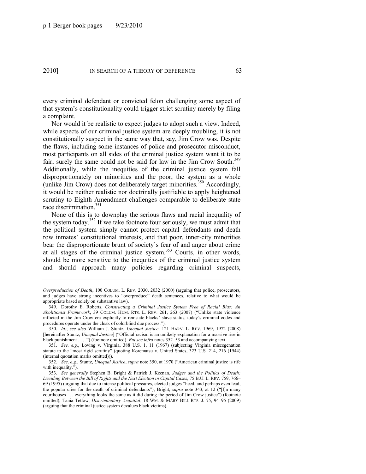every criminal defendant or convicted felon challenging some aspect of that system's constitutionality could trigger strict scrutiny merely by filing a complaint.

Nor would it be realistic to expect judges to adopt such a view. Indeed, while aspects of our criminal justice system are deeply troubling, it is not constitutionally suspect in the same way that, say, Jim Crow was. Despite the flaws, including some instances of police and prosecutor misconduct, most participants on all sides of the criminal justice system want it to be fair; surely the same could not be said for law in the Jim Crow South.<sup>349</sup> Additionally, while the inequities of the criminal justice system fall disproportionately on minorities and the poor, the system as a whole (unlike Jim Crow) does not deliberately target minorities.<sup>350</sup> Accordingly, it would be neither realistic nor doctrinally justifiable to apply heightened scrutiny to Eighth Amendment challenges comparable to deliberate state race discrimination.<sup>351</sup>

<span id="page-63-1"></span><span id="page-63-0"></span>None of this is to downplay the serious flaws and racial inequality of the system today.<sup>352</sup> If we take footnote four seriously, we must admit that the political system simply cannot protect capital defendants and death row inmates' constitutional interests, and that poor, inner-city minorities bear the disproportionate brunt of society's fear of and anger about crime at all stages of the criminal justice system.<sup>353</sup> Courts, in other words, should be more sensitive to the inequities of the criminal justice system and should approach many policies regarding criminal suspects,

*Overproduction of Death*, 100 COLUM. L. REV. 2030, 2032 (2000) (arguing that police, prosecutors, and judges have strong incentives to "overproduce" death sentences, relative to what would be appropriate based solely on substantive law).

<sup>349.</sup> Dorothy E. Roberts, *Constructing a Criminal Justice System Free of Racial Bias: An Abolitionist Framework*, 39 COLUM. HUM. RTS. L. REV. 261, 263 (2007) ("Unlike state violence inflicted in the Jim Crow era explicitly to reinstate blacks' slave status, today's criminal codes and procedures operate under the cloak of colorblind due process.").

<sup>350.</sup> *Id.*; *see also* William J. Stuntz, *Unequal Justice*, 121 HARV. L. REV. 1969, 1972 (2008) [hereinafter Stuntz, *Unequal Justice*] ("Official racism is an unlikely explanation for a massive rise in black punishment . . . .") (footnote omitted). *But see infra* notes [352](#page-63-0)–53 and accompanying text.

<sup>351.</sup> *See, e.g.*, Loving v. Virginia, 388 U.S. 1, 11 (1967) (subjecting Virginia miscegenation statute to the "most rigid scrutiny" (quoting Korematsu v. United States, 323 U.S. 214, 216 (1944) (internal quotation marks omitted))).

<sup>352.</sup> *See, e.g.*, Stuntz, *Unequal Justice*, *supra* not[e 350,](#page-63-1) at 1970 ("American criminal justice is rife with inequality.").

<sup>353.</sup> *See generally* Stephen B. Bright & Patrick J. Keenan, *Judges and the Politics of Death: Deciding Between the Bill of Rights and the Next Election in Capital Cases*, 75 B.U. L. REV. 759, 766– 69 (1995) (arguing that due to intense political pressures, elected judges "heed, and perhaps even lead, the popular cries for the death of criminal defendants"); Bright, *supra* note [343,](#page-61-1) at 12 ("[I]n many courthouses . . . everything looks the same as it did during the period of Jim Crow justice") (footnote omitted); Tania Tetlow, *Discriminatory Acquittal*, 18 WM. & MARY BILL RTS. J. 75, 94–95 (2009) (arguing that the criminal justice system devalues black victims).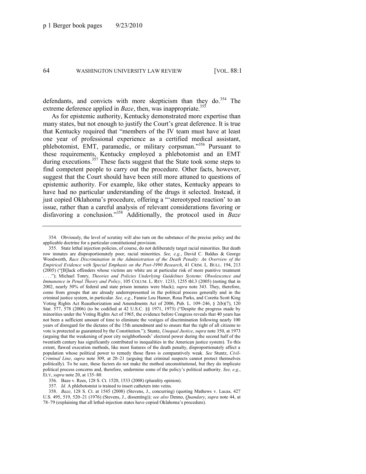defendants, and convicts with more skepticism than they do.<sup>354</sup> The extreme deference applied in *Baze*, then, was inappropriate.<sup>355</sup>

<span id="page-64-0"></span>As for epistemic authority, Kentucky demonstrated more expertise than many states, but not enough to justify the Court's great deference. It is true that Kentucky required that "members of the IV team must have at least one year of professional experience as a certified medical assistant, phlebotomist, EMT, paramedic, or military corpsman."356 Pursuant to these requirements, Kentucky employed a phlebotomist and an EMT during executions.<sup>357</sup> These facts suggest that the State took some steps to find competent people to carry out the procedure. Other facts, however, suggest that the Court should have been still more attuned to questions of epistemic authority. For example, like other states, Kentucky appears to have had no particular understanding of the drugs it selected. Instead, it just copied Oklahoma's procedure, offering a "'stereotyped reaction' to an issue, rather than a careful analysis of relevant considerations favoring or disfavoring a conclusion.<sup>358</sup> Additionally, the protocol used in *Baze* 

<sup>354.</sup> Obviously, the level of scrutiny will also turn on the substance of the precise policy and the applicable doctrine for a particular constitutional provision.

<sup>355.</sup> State lethal injection policies, of course, do not deliberately target racial minorities. But death row inmates are disproportionately poor, racial minorities. *See, e.g.*, David C. Baldus & George Woodworth, *Race Discrimination in the Administration of the Death Penalty: An Overview of the Empirical Evidence with Special Emphasis on the Post-1990 Research*, 41 CRIM. L. BULL. 194, 213  $(2005)$  ("[B]lack offenders whose victims are white are at particular risk of more punitive treatment ...."); Michael Tonry, *Theories and Policies Underlying Guidelines Systems: Obsolescence and Immanence in Penal Theory and Policy*, 105 COLUM. L. REV. 1233, 1255 tbl.3 (2005) (noting that in 2002, nearly 50% of federal and state prison inmates were black); *supra* note [343.](#page-61-1) They, therefore, come from groups that are already underrepresented in the political process generally and in the criminal justice system, in particular. *See, e.g.*, Fannie Lou Hamer, Rosa Parks, and Coretta Scott King Voting Rights Act Reauthorization and Amendments Act of 2006, Pub. L. 109–246, § 2(b)(7), 120 Stat.  $577$ ,  $578$  (2006) (to be codified at 42 U.S.C. §§ 1971, 1973) ("Despite the progress made by minorities under the Voting Rights Act of 1965, the evidence before Congress reveals that 40 years has not been a sufficient amount of time to eliminate the vestiges of discrimination following nearly 100 years of disregard for the dictates of the 15th amendment and to ensure that the right of all citizens to vote is protected as guaranteed by the Constitution.‖); Stuntz, *Unequal Justice*, *supra* not[e 350,](#page-63-1) at 1973 (arguing that the weakening of poor city neighborhoods' electoral power during the second half of the twentieth century has significantly contributed to inequalities in the American justice system). To this extent, flawed execution methods, like most features of the death penalty, disproportionately affect a population whose political power to remedy those flaws is comparatively weak. *See* Stuntz, *Civil-Criminal Line*, *supra* note [309,](#page-56-0) at 20–21 (arguing that criminal suspects cannot protect themselves politically). To be sure, these factors do not make the method unconstitutional, but they do implicate political process concerns and, therefore, undermine some of the policy's political authority. *See, e.g.*, ELY, *supra* not[e 20,](#page-6-0) at 135–80.

<sup>356.</sup> Baze v. Rees, 128 S. Ct. 1520, 1533 (2008) (plurality opinion).

<sup>357.</sup> *Id.* A phlebotomist is trained to insert catheters into veins.

<sup>358.</sup> *Baze*, 128 S. Ct. at 1545 (2008) (Stevens, J., concurring) (quoting Mathews v. Lucas, 427 U.S. 495, 519, 520–21 (1976) (Stevens, J., dissenting)); *see also* Denno, *Quandary*, *supra* note [44,](#page-12-0) at 78–79 (explaining that all lethal-injection states have copied Oklahoma's procedure).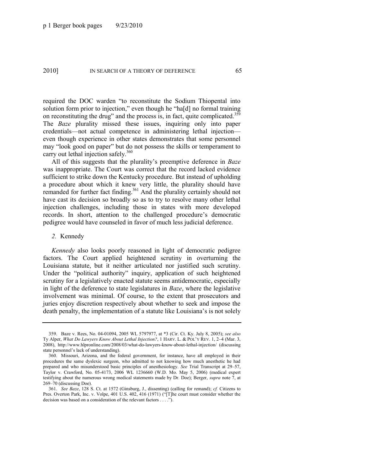required the DOC warden "to reconstitute the Sodium Thiopental into solution form prior to injection," even though he "ha[d] no formal training on reconstituting the drug" and the process is, in fact, quite complicated. $359$ The *Baze* plurality missed these issues, inquiring only into paper credentials—not actual competence in administering lethal injection even though experience in other states demonstrates that some personnel may "look good on paper" but do not possess the skills or temperament to carry out lethal injection safely.<sup>360</sup>

All of this suggests that the plurality's preemptive deference in *Baze* was inappropriate. The Court was correct that the record lacked evidence sufficient to strike down the Kentucky procedure. But instead of upholding a procedure about which it knew very little, the plurality should have remanded for further fact finding.<sup>361</sup> And the plurality certainly should not have cast its decision so broadly so as to try to resolve many other lethal injection challenges, including those in states with more developed records. In short, attention to the challenged procedure's democratic pedigree would have counseled in favor of much less judicial deference.

### *2.* Kennedy

*Kennedy* also looks poorly reasoned in light of democratic pedigree factors. The Court applied heightened scrutiny in overturning the Louisiana statute, but it neither articulated nor justified such scrutiny. Under the "political authority" inquiry, application of such heightened scrutiny for a legislatively enacted statute seems antidemocratic, especially in light of the deference to state legislatures in *Baze*, where the legislative involvement was minimal. Of course, to the extent that prosecutors and juries enjoy discretion respectively about whether to seek and impose the death penalty, the implementation of a statute like Louisiana's is not solely

<sup>359.</sup> Baze v. Rees, No. 04-01094, 2005 WL 5797977, at \*3 (Cir. Ct. Ky. July 8, 2005); *see also* Ty Alper, *What Do Lawyers Know About Lethal Injection?*, 1 HARV. L. & POL'Y REV. 1, 2–4 (Mar. 3, 2008), http://www.hlpronline.com/2008/03/what-do-lawyers-know-about-lethal-injection/ (discussing state personnel's lack of understanding).

<sup>360.</sup> Missouri, Arizona, and the federal government, for instance, have all employed in their procedures the same dyslexic surgeon, who admitted to not knowing how much anesthetic he had prepared and who misunderstood basic principles of anesthesiology. *See* Trial Transcript at 29–57, Taylor v. Crawford, No. 05-4173, 2006 WL 1236660 (W.D. Mo. May 5, 2006) (medical expert testifying about the numerous wrong medical statements made by Dr. Doe); Berger, *supra* note [7,](#page-4-2) at 269–70 (discussing Doe).

<sup>361.</sup> *See Baze*, 128 S. Ct. at 1572 (Ginsburg, J., dissenting) (calling for remand); *cf.* Citizens to Pres. Overton Park, Inc. v. Volpe, 401 U.S. 402, 416 (1971) ("[T]he court must consider whether the decision was based on a consideration of the relevant factors  $\dots$ .").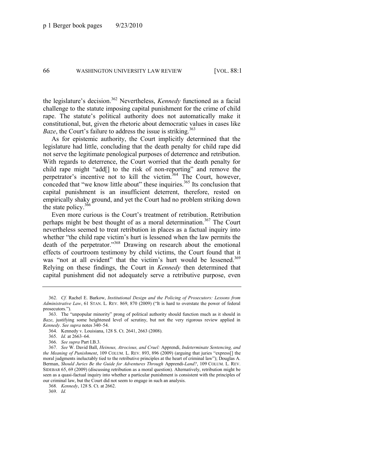the legislature's decision.<sup>362</sup> Nevertheless, *Kennedy* functioned as a facial challenge to the statute imposing capital punishment for the crime of child rape. The statute's political authority does not automatically make it constitutional, but, given the rhetoric about democratic values in cases like *Baze*, the Court's failure to address the issue is striking.<sup>363</sup>

As for epistemic authority, the Court implicitly determined that the legislature had little, concluding that the death penalty for child rape did not serve the legitimate penological purposes of deterrence and retribution. With regards to deterrence, the Court worried that the death penalty for child rape might "add[] to the risk of non-reporting" and remove the perpetrator's incentive not to kill the victim.<sup>364</sup> The Court, however, conceded that "we know little about" these inquiries. $365$  Its conclusion that capital punishment is an insufficient deterrent, therefore, rested on empirically shaky ground, and yet the Court had no problem striking down the state policy.<sup>366</sup>

Even more curious is the Court's treatment of retribution. Retribution perhaps might be best thought of as a moral determination.<sup>367</sup> The Court nevertheless seemed to treat retribution in places as a factual inquiry into whether "the child rape victim's hurt is lessened when the law permits the death of the perpetrator."<sup>368</sup> Drawing on research about the emotional effects of courtroom testimony by child victims, the Court found that it was "not at all evident" that the victim's hurt would be lessened.<sup>369</sup> Relying on these findings, the Court in *Kennedy* then determined that capital punishment did not adequately serve a retributive purpose, even

369. *Id.*

<sup>362.</sup> *Cf.* Rachel E. Barkow, *Institutional Design and the Policing of Prosecutors: Lessons from Administrative Law*, 61 STAN. L. REV. 869, 870 (2009) ("It is hard to overstate the power of federal prosecutors.").

<sup>363.</sup> The "unpopular minority" prong of political authority should function much as it should in *Baze*, justifying some heightened level of scrutiny, but not the very rigorous review applied in *Kennedy*. *See supra* note[s 340](#page-61-0)–54.

<sup>364.</sup> Kennedy v. Louisiana, 128 S. Ct. 2641, 2663 (2008).

<sup>365.</sup> *Id.* at 2663–64.

<sup>366.</sup> *See supra* Part I.B.3.

<sup>367.</sup> *See* W. David Ball, *Heinous, Atrocious, and Cruel:* Apprendi, *Indeterminate Sentencing, and the Meaning of Punishment*, 109 COLUM. L. REV. 893, 896 (2009) (arguing that juries "express<sup>[]</sup> the moral judgments ineluctably tied to the retributive principles at the heart of criminal law"); Douglas A. Berman, *Should Juries Be the Guide for Adventures Through* Apprendi-*Land?*, 109 COLUM. L. REV. SIDEBAR 65, 69 (2009) (discussing retribution as a moral question). Alternatively, retribution might be seen as a quasi-factual inquiry into whether a particular punishment is consistent with the principles of our criminal law, but the Court did not seem to engage in such an analysis.

<sup>368</sup>*. Kennedy*, 128 S. Ct. at 2662.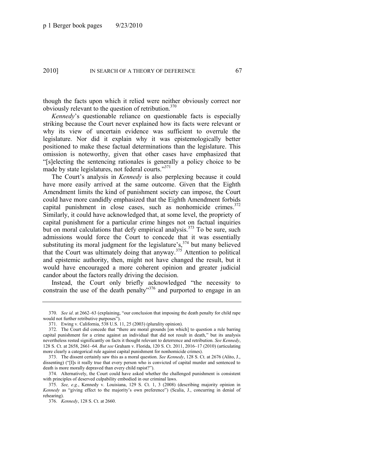though the facts upon which it relied were neither obviously correct nor obviously relevant to the question of retribution.<sup>370</sup>

*Kennedy*'s questionable reliance on questionable facts is especially striking because the Court never explained how its facts were relevant or why its view of uncertain evidence was sufficient to overrule the legislature. Nor did it explain why it was epistemologically better positioned to make these factual determinations than the legislature. This omission is noteworthy, given that other cases have emphasized that ―[s]electing the sentencing rationales is generally a policy choice to be made by state legislatures, not federal courts. $1371$ 

The Court's analysis in *Kennedy* is also perplexing because it could have more easily arrived at the same outcome. Given that the Eighth Amendment limits the kind of punishment society can impose, the Court could have more candidly emphasized that the Eighth Amendment forbids capital punishment in close cases, such as nonhomicide crimes. 372 Similarly, it could have acknowledged that, at some level, the propriety of capital punishment for a particular crime hinges not on factual inquiries but on moral calculations that defy empirical analysis.<sup>373</sup> To be sure, such admissions would force the Court to concede that it was essentially substituting its moral judgment for the legislature's,  $374$  but many believed that the Court was ultimately doing that anyway.<sup>375</sup> Attention to political and epistemic authority, then, might not have changed the result, but it would have encouraged a more coherent opinion and greater judicial candor about the factors really driving the decision.

Instead, the Court only briefly acknowledged "the necessity to constrain the use of the death penalty<sup>376</sup> and purported to engage in an

<sup>370.</sup> *See id.* at 2662–63 (explaining, "our conclusion that imposing the death penalty for child rape would not further retributive purposes").

<sup>371.</sup> Ewing v. California, 538 U.S. 11, 25 (2003) (plurality opinion).

<sup>372.</sup> The Court did concede that "there are moral grounds [on which] to question a rule barring capital punishment for a crime against an individual that did not result in death," but its analysis nevertheless rested significantly on facts it thought relevant to deterrence and retribution. *See Kennedy*, 128 S. Ct. at 2658, 2661–64. *But see* Graham v. Florida, 120 S. Ct. 2011, 2016–17 (2010) (articulating more clearly a categorical rule against capital punishment for nonhomicide crimes).

<sup>373.</sup> The dissent certainly saw this as a moral question. *See Kennedy*, 128 S. Ct. at 2676 (Alito, J., dissenting) ("IIs it really true that every person who is convicted of capital murder and sentenced to death is more morally depraved than every child rapist?").

<sup>374.</sup> Alternatively, the Court could have asked whether the challenged punishment is consistent with principles of deserved culpability embodied in our criminal laws.

<sup>375.</sup> *See, e.g.*, Kennedy v. Louisiana, 129 S. Ct. 1, 3 (2008) (describing majority opinion in *Kennedy* as "giving effect to the majority's own preference") (Scalia, J., concurring in denial of rehearing).

<sup>376.</sup> *Kennedy*, 128 S. Ct. at 2660.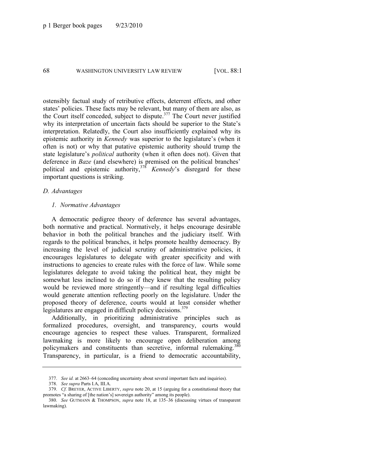ostensibly factual study of retributive effects, deterrent effects, and other states' policies. These facts may be relevant, but many of them are also, as the Court itself conceded, subject to dispute. $377$  The Court never justified why its interpretation of uncertain facts should be superior to the State's interpretation. Relatedly, the Court also insufficiently explained why its epistemic authority in *Kennedy* was superior to the legislature's (when it often is not) or why that putative epistemic authority should trump the state legislature's *political* authority (when it often does not). Given that deference in *Baze* (and elsewhere) is premised on the political branches' political and epistemic authority,<sup>378</sup> *Kennedy*'s disregard for these important questions is striking.

### *D. Advantages*

#### *1. Normative Advantages*

A democratic pedigree theory of deference has several advantages, both normative and practical. Normatively, it helps encourage desirable behavior in both the political branches and the judiciary itself. With regards to the political branches, it helps promote healthy democracy. By increasing the level of judicial scrutiny of administrative policies, it encourages legislatures to delegate with greater specificity and with instructions to agencies to create rules with the force of law. While some legislatures delegate to avoid taking the political heat, they might be somewhat less inclined to do so if they knew that the resulting policy would be reviewed more stringently—and if resulting legal difficulties would generate attention reflecting poorly on the legislature. Under the proposed theory of deference, courts would at least consider whether legislatures are engaged in difficult policy decisions.<sup>379</sup>

Additionally, in prioritizing administrative principles such as formalized procedures, oversight, and transparency, courts would encourage agencies to respect these values. Transparent, formalized lawmaking is more likely to encourage open deliberation among policymakers and constituents than secretive, informal rulemaking.<sup>380</sup> Transparency, in particular, is a friend to democratic accountability,

<sup>377.</sup> *See id.* at 2663–64 (conceding uncertainty about several important facts and inquiries).

<sup>378.</sup> *See supra* Parts I.A, III.A.

<sup>379.</sup> *Cf.* BREYER, ACTIVE LIBERTY, *supra* note [20,](#page-6-0) at 15 (arguing for a constitutional theory that promotes "a sharing of [the nation's] sovereign authority" among its people).

<sup>380.</sup> *See* GUTMANN & THOMPSON, *supra* note [18,](#page-6-2) at 135–36 (discussing virtues of transparent lawmaking).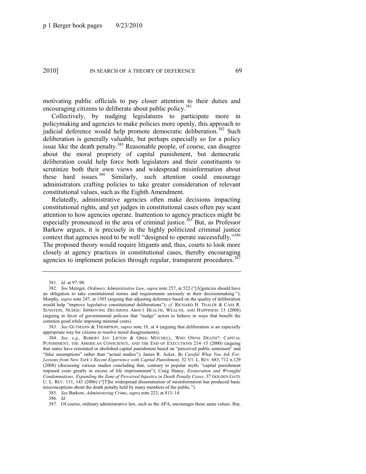motivating public officials to pay closer attention to their duties and encouraging citizens to deliberate about public policy.<sup>381</sup>

Collectively, by nudging legislatures to participate more in policymaking and agencies to make policies more openly, this approach to judicial deference would help promote democratic deliberation.<sup>382</sup> Such deliberation is generally valuable, but perhaps especially so for a policy issue like the death penalty.<sup>383</sup> Reasonable people, of course, can disagree about the moral propriety of capital punishment, but democratic deliberation could help force both legislators and their constituents to scrutinize both their own views and widespread misinformation about these hard issues.<sup>384</sup> Similarly, such attention could encourage administrators crafting policies to take greater consideration of relevant constitutional values, such as the Eighth Amendment.

Relatedly, administrative agencies often make decisions impacting constitutional rights, and yet judges in constitutional cases often pay scant attention to how agencies operate. Inattention to agency practices might be especially pronounced in the area of criminal justice.<sup>385</sup> But, as Professor Barkow argues, it is precisely in the highly politicized criminal justice context that agencies need to be well "designed to operate successfully."386 The proposed theory would require litigants and, thus, courts to look more closely at agency practices in constitutional cases, thereby encouraging agencies to implement policies through regular, transparent procedures.<sup>387</sup>

385. *See* Barkow, *Administering Crime*, *supra* not[e 223,](#page-40-1) at 813–14.

386. *Id.*

<sup>381.</sup> *Id.* at 97–98.

<sup>382.</sup> *See Metzger, Ordinary Administrative Law, supra note [257,](#page-47-1) at 522 ("[A]gencies should have* an obligation to take constitutional norms and requirements seriously in their decisionmaking."); Murphy, *supra* not[e 247,](#page-45-1) at 1303 (arguing that adjusting deference based on the quality of deliberation would help "improve legislative constitutional deliberations"); *cf.* RICHARD H. THALER & CASS R. SUNSTEIN, NUDGE: IMPROVING DECISIONS ABOUT HEALTH, WEALTH, AND HAPPINESS 13 (2008) (arguing in favor of governmental policies that "nudge" actors to behave in ways that benefit the common good while imposing minimal costs).

<sup>383.</sup> *See* GUTMANN & THOMPSON, *supra* not[e 18,](#page-6-2) at 4 (arguing that deliberation is an especially appropriate way for citizens to resolve moral disagreements).

<sup>384.</sup> *See, e.g.*, ROBERT JAY LIFTON & GREG MITCHELL, WHO OWNS DEATH?: CAPITAL PUNISHMENT, THE AMERICAN CONSCIENCE, AND THE END OF EXECUTIONS 214–15 (2000) (arguing that states have reinstated or abolished capital punishment based on "perceived public sentiment" and ―false assumptions‖ rather than ―actual studies‖); James R. Acker, *Be Careful What You Ask For: Lessons from New York's Recent Experience with Capital Punishment*, 32 VT. L. REV. 683, 712 n.129  $(2008)$  (discussing various studies concluding that, contrary to popular myth, "capital punishment" imposed costs greatly in excess of life imprisonment"); Craig Haney, *Exoneration and Wrongful Condemnations: Expanding the Zone of Perceived Injustice in Death Penalty Cases*, 37 GOLDEN GATE U. L. REV. 131, 143 (2006) ("[T]he widespread dissemination of misinformation has produced basic misconceptions about the death penalty held by many members of the public.").

<sup>387.</sup> Of course, ordinary administrative law, such as the APA, encourages these same values. But,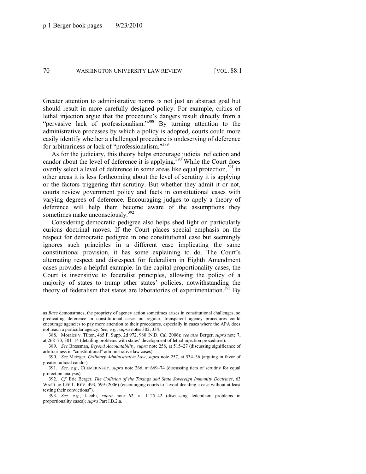Greater attention to administrative norms is not just an abstract goal but should result in more carefully designed policy. For example, critics of lethal injection argue that the procedure's dangers result directly from a "pervasive lack of professionalism."<sup>388</sup> By turning attention to the administrative processes by which a policy is adopted, courts could more easily identify whether a challenged procedure is undeserving of deference for arbitrariness or lack of "professionalism."389

As for the judiciary, this theory helps encourage judicial reflection and candor about the level of deference it is applying.<sup>390</sup> While the Court does overtly select a level of deference in some areas like equal protection,<sup>391</sup> in other areas it is less forthcoming about the level of scrutiny it is applying or the factors triggering that scrutiny. But whether they admit it or not, courts review government policy and facts in constitutional cases with varying degrees of deference. Encouraging judges to apply a theory of deference will help them become aware of the assumptions they sometimes make unconsciously.<sup>392</sup>

Considering democratic pedigree also helps shed light on particularly curious doctrinal moves. If the Court places special emphasis on the respect for democratic pedigree in one constitutional case but seemingly ignores such principles in a different case implicating the same constitutional provision, it has some explaining to do. The Court's alternating respect and disrespect for federalism in Eighth Amendment cases provides a helpful example. In the capital proportionality cases, the Court is insensitive to federalist principles, allowing the policy of a majority of states to trump other states' policies, notwithstanding the theory of federalism that states are laboratories of experimentation.<sup>393</sup> By

as *Baze* demonstrates, the propriety of agency action sometimes arises in constitutional challenges, so predicating deference in constitutional cases on regular, transparent agency procedures could encourage agencies to pay more attention to their procedures, especially in cases where the APA does not reach a particular agency. *See, e.g.*, *supra* note[s 302,](#page-54-0) [334.](#page-60-0)

<sup>388.</sup> Morales v. Tilton, 465 F. Supp. 2d 972, 980 (N.D. Cal. 2006); *see also* Berger, *supra* not[e 7,](#page-4-2)  at 268–73, 301–14 (detailing problems with states' development of lethal injection procedures).

<sup>389.</sup> *See* Bressman, *Beyond Accountability*, *supra* not[e 258,](#page-47-0) at 515–27 (discussing significance of arbitrariness in "constitutional" administrative law cases).

<sup>390.</sup> *See* Metzger, *Ordinary Administrative Law*, *supra* not[e 257,](#page-47-1) at 534–36 (arguing in favor of greater judicial candor).

<sup>391.</sup> *See, e.g.*, CHEMERINSKY, *supra* note [266,](#page-48-0) at 669–74 (discussing tiers of scrutiny for equal protection analysis).

<sup>392.</sup> *Cf.* Eric Berger, *The Collision of the Takings and State Sovereign Immunity Doctrines*, 63 WASH. & LEE L. REV. 493, 599 (2006) (encouraging courts to "avoid deciding a case without at least testing their convictions").

<sup>393.</sup> *See, e.g.*, Jacobi, *supra* note [62,](#page-15-0) at 1125–42 (discussing federalism problems in proportionality cases); *supra* Part I.B.2.a.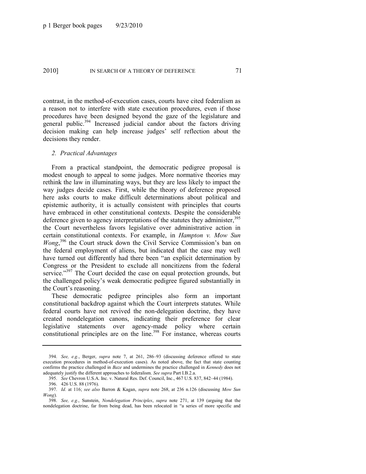contrast, in the method-of-execution cases, courts have cited federalism as a reason not to interfere with state execution procedures, even if those procedures have been designed beyond the gaze of the legislature and general public.<sup>394</sup> Increased judicial candor about the factors driving decision making can help increase judges' self reflection about the decisions they render.

## *2. Practical Advantages*

From a practical standpoint, the democratic pedigree proposal is modest enough to appeal to some judges. More normative theories may rethink the law in illuminating ways, but they are less likely to impact the way judges decide cases. First, while the theory of deference proposed here asks courts to make difficult determinations about political and epistemic authority, it is actually consistent with principles that courts have embraced in other constitutional contexts. Despite the considerable deference given to agency interpretations of the statutes they administer,  $395$ the Court nevertheless favors legislative over administrative action in certain constitutional contexts. For example, in *Hampton v. Mow Sun*  Wong,<sup>396</sup> the Court struck down the Civil Service Commission's ban on the federal employment of aliens, but indicated that the case may well have turned out differently had there been "an explicit determination by Congress or the President to exclude all noncitizens from the federal service."<sup>397</sup> The Court decided the case on equal protection grounds, but the challenged policy's weak democratic pedigree figured substantially in the Court's reasoning.

These democratic pedigree principles also form an important constitutional backdrop against which the Court interprets statutes. While federal courts have not revived the non-delegation doctrine, they have created nondelegation canons, indicating their preference for clear legislative statements over agency-made policy where certain constitutional principles are on the line.<sup>398</sup> For instance, whereas courts

<sup>394.</sup> *See, e.g.*, Berger, *supra* note [7,](#page-4-2) at 261, 286–93 (discussing deference offered to state execution procedures in method-of-execution cases). As noted above, the fact that state counting confirms the practice challenged in *Baze* and undermines the practice challenged in *Kennedy* does not adequately justify the different approaches to federalism. *See supra* Part I.B.2.a.

<sup>395.</sup> *See* Chevron U.S.A. Inc. v. Natural Res. Def. Council, Inc., 467 U.S. 837, 842–44 (1984).

<sup>396.</sup> 426 U.S. 88 (1976).

<sup>397.</sup> *Id.* at 116; *see also* Barron & Kagan, *supra* note [268,](#page-49-0) at 236 n.126 (discussing *Mow Sun Wong*).

<sup>398.</sup> *See, e.g.*, Sunstein, *Nondelegation Principles*, *supra* note [271,](#page-49-1) at 139 (arguing that the nondelegation doctrine, far from being dead, has been relocated in "a series of more specific and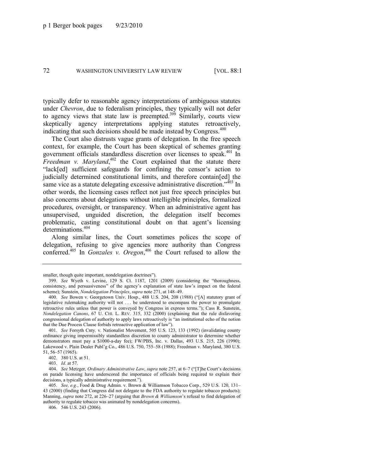typically defer to reasonable agency interpretations of ambiguous statutes under *Chevron*, due to federalism principles, they typically will not defer to agency views that state law is preempted.<sup>399</sup> Similarly, courts view skeptically agency interpretations applying statutes retroactively, indicating that such decisions should be made instead by Congress. $400$ 

The Court also distrusts vague grants of delegation. In the free speech context, for example, the Court has been skeptical of schemes granting government officials standardless discretion over licenses to speak.<sup>401</sup> In Freedman v. Maryland,<sup>402</sup> the Court explained that the statute there ―lack[ed] sufficient safeguards for confining the censor's action to judicially determined constitutional limits, and therefore contain[ed] the same vice as a statute delegating excessive administrative discretion.<sup>1403</sup> In other words, the licensing cases reflect not just free speech principles but also concerns about delegations without intelligible principles, formalized procedures, oversight, or transparency. When an administrative agent has unsupervised, unguided discretion, the delegation itself becomes problematic, casting constitutional doubt on that agent's licensing determinations.<sup>404</sup>

Along similar lines, the Court sometimes polices the scope of delegation, refusing to give agencies more authority than Congress conferred.<sup>405</sup> In *Gonzales v. Oregon*,<sup>406</sup> the Court refused to allow the

smaller, though quite important, nondelegation doctrines").

<sup>399.</sup> *See* Wyeth v. Levine, 129 S. Ct. 1187, 1201 (2009) (considering the "thoroughness, consistency, and persuasiveness" of the agency's explanation of state law's impact on the federal scheme); Sunstein, *Nondelegation Principles*, *supra* not[e 271,](#page-49-0) at 148–49.

<sup>400.</sup> *See Bowen v. Georgetown Univ. Hosp., 488 U.S. 204, 208 (1988)* ("[A] statutory grant of legislative rulemaking authority will not . . . be understood to encompass the power to promulgate retroactive rules unless that power is conveyed by Congress in express terms.‖); Cass R. Sunstein, *Nondelegation Canons*, 67 U. CHI. L. REV. 315, 332 (2000) (explaining that the rule disfavoring congressional delegation of authority to apply laws retroactively is "an institutional echo of the notion that the Due Process Clause forbids retroactive application of law").

<sup>401.</sup> *See* Forsyth Cnty. v. Nationalist Movement, 505 U.S. 123, 133 (1992) (invalidating county ordinance giving impermissibly standardless discretion to county administrator to determine whether demonstrators must pay a \$1000-a-day fee); FW/PBS, Inc. v. Dallas, 493 U.S. 215, 226 (1990); Lakewood v. Plain Dealer Publ'g Co., 486 U.S. 750, 755–58 (1988); Freedman v. Maryland, 380 U.S. 51, 56–57 (1965).

<sup>402.</sup> 380 U.S. at 51.

<sup>403.</sup> *Id*. at 57.

<sup>404.</sup> *See Metzger, Ordinary Administrative Law, supra note [257,](#page-47-0) at 6–7 ("[T]he Court's decisions* on parade licensing have underscored the importance of officials being required to explain their decisions, a typically administrative requirement.").

<sup>405.</sup> *See, e.g.*, Food & Drug Admin. v. Brown & Williamson Tobacco Corp., 529 U.S. 120, 131– 43 (2000) (finding that Congress did not delegate to the FDA authority to regulate tobacco products); Manning, *supra* not[e 272,](#page-49-1) at 226–27 (arguing that *Brown & Williamson*'s refusal to find delegation of authority to regulate tobacco was animated by nondelegation concerns).

<sup>406.</sup> 546 U.S. 243 (2006).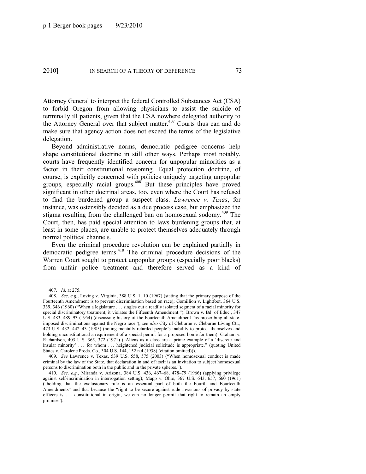Attorney General to interpret the federal Controlled Substances Act (CSA) to forbid Oregon from allowing physicians to assist the suicide of terminally ill patients, given that the CSA nowhere delegated authority to the Attorney General over that subject matter.<sup>407</sup> Courts thus can and do make sure that agency action does not exceed the terms of the legislative delegation.

Beyond administrative norms, democratic pedigree concerns help shape constitutional doctrine in still other ways. Perhaps most notably, courts have frequently identified concern for unpopular minorities as a factor in their constitutional reasoning. Equal protection doctrine, of course, is explicitly concerned with policies uniquely targeting unpopular groups, especially racial groups.<sup>408</sup> But these principles have proved significant in other doctrinal areas, too, even where the Court has refused to find the burdened group a suspect class. *Lawrence v. Texas*, for instance, was ostensibly decided as a due process case, but emphasized the stigma resulting from the challenged ban on homosexual sodomy.<sup>409</sup> The Court, then, has paid special attention to laws burdening groups that, at least in some places, are unable to protect themselves adequately through normal political channels.

Even the criminal procedure revolution can be explained partially in democratic pedigree terms.<sup>410</sup> The criminal procedure decisions of the Warren Court sought to protect unpopular groups (especially poor blacks) from unfair police treatment and therefore served as a kind of

409. *See Lawrence v. Texas, 539 U.S. 558, 575 (2003)* ("When homosexual conduct is made criminal by the law of the State, that declaration in and of itself is an invitation to subject homosexual persons to discrimination both in the public and in the private spheres.").

<sup>407.</sup> *Id.* at 275.

<sup>408.</sup> *See, e.g.*, Loving v. Virginia, 388 U.S. 1, 10 (1967) (stating that the primary purpose of the Fourteenth Amendment is to prevent discrimination based on race); Gomillion v. Lightfoot, 364 U.S. 339, 346 (1960) ("When a legislature . . . singles out a readily isolated segment of a racial minority for special discriminatory treatment, it violates the Fifteenth Amendment."); Brown v. Bd. of Educ., 347 U.S. 483, 489–93 (1954) (discussing history of the Fourteenth Amendment "as proscribing all stateimposed discriminations against the Negro race"); *see also* City of Cleburne v. Cleburne Living Ctr., 473 U.S. 432, 442–43 (1985) (noting mentally retarded people's inability to protect themselves and holding unconstitutional a requirement of a special permit for a proposed home for them); Graham v. Richardson, 403 U.S. 365, 372 (1971) ("Aliens as a class are a prime example of a 'discrete and insular minority' ... for whom ... heightened judicial solicitude is appropriate." (quoting United States v. Carolene Prods. Co., 304 U.S. 144, 152 n.4 (1938) (citation omitted))).

<sup>410.</sup> *See, e.g.*, Miranda v. Arizona, 384 U.S. 436, 467–68, 478–79 (1966) (applying privilege against self-incrimination in interrogation setting); Mapp v. Ohio, 367 U.S. 643, 657, 660 (1961) (―holding that the exclusionary rule is an essential part of both the Fourth and Fourteenth Amendments" and that because the "right to be secure against rude invasions of privacy by state officers is . . . constitutional in origin, we can no longer permit that right to remain an empty promise").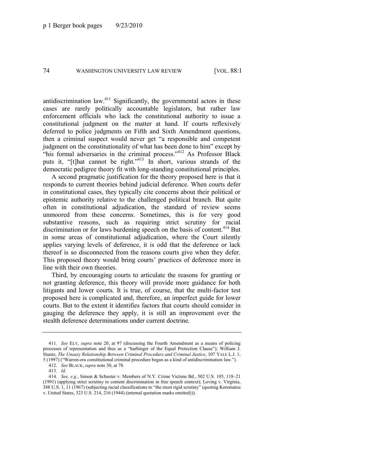antidiscrimination law.<sup>411</sup> Significantly, the governmental actors in these cases are rarely politically accountable legislators, but rather law enforcement officials who lack the constitutional authority to issue a constitutional judgment on the matter at hand. If courts reflexively deferred to police judgments on Fifth and Sixth Amendment questions, then a criminal suspect would never get "a responsible and competent judgment on the constitutionality of what has been done to him" except by "his formal adversaries in the criminal process."<sup>412</sup> As Professor Black puts it, "[t]hat cannot be right."<sup>413</sup> In short, various strands of the democratic pedigree theory fit with long-standing constitutional principles.

A second pragmatic justification for the theory proposed here is that it responds to current theories behind judicial deference. When courts defer in constitutional cases, they typically cite concerns about their political or epistemic authority relative to the challenged political branch. But quite often in constitutional adjudication, the standard of review seems unmoored from these concerns. Sometimes, this is for very good substantive reasons, such as requiring strict scrutiny for racial discrimination or for laws burdening speech on the basis of content.<sup>414</sup> But in some areas of constitutional adjudication, where the Court silently applies varying levels of deference, it is odd that the deference or lack thereof is so disconnected from the reasons courts give when they defer. This proposed theory would bring courts' practices of deference more in line with their own theories.

Third, by encouraging courts to articulate the reasons for granting or not granting deference, this theory will provide more guidance for both litigants and lower courts. It is true, of course, that the multi-factor test proposed here is complicated and, therefore, an imperfect guide for lower courts. But to the extent it identifies factors that courts should consider in gauging the deference they apply, it is still an improvement over the stealth deference determinations under current doctrine.

<sup>411</sup>*. See* ELY, *supra* note [20,](#page-6-0) at 97 (discussing the Fourth Amendment as a means of policing processes of representation and thus as a "harbinger of the Equal Protection Clause"); William J. Stuntz, *The Uneasy Relationship Between Criminal Procedure and Criminal Justice*, 107 YALE L.J. 1, 5 (1997) ("Warren-era constitutional criminal procedure began as a kind of antidiscrimination law.").

<sup>412.</sup> *See* BLACK, *supra* not[e 30,](#page-8-0) at 78.

<sup>413.</sup> *Id.*

<sup>414.</sup> *See, e.g.*, Simon & Schuster v. Members of N.Y. Crime Victims Bd., 502 U.S. 105, 118–21 (1991) (applying strict scrutiny to content discrimination in free speech context); Loving v. Virginia, 388 U.S. 1, 11 (1967) (subjecting racial classifications to "the most rigid scrutiny" (quoting Korematsu v. United States, 323 U.S. 214, 216 (1944) (internal quotation marks omitted))).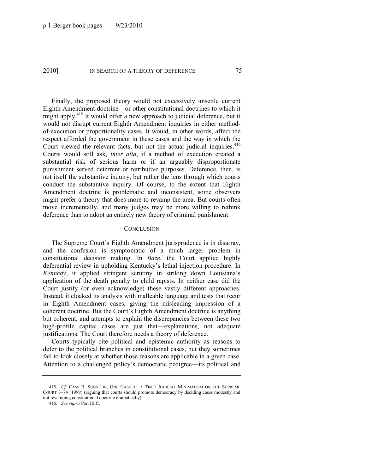Finally, the proposed theory would not excessively unsettle current Eighth Amendment doctrine—or other constitutional doctrines to which it might apply.<sup>415</sup> It would offer a new approach to judicial deference, but it would not disrupt current Eighth Amendment inquiries in either methodof-execution or proportionality cases. It would, in other words, affect the respect afforded the government in these cases and the way in which the Court viewed the relevant facts, but not the actual judicial inquiries. $416$ Courts would still ask, *inter alia*, if a method of execution created a substantial risk of serious harm or if an arguably disproportionate punishment served deterrent or retributive purposes. Deference, then, is not itself the substantive inquiry, but rather the lens through which courts conduct the substantive inquiry. Of course, to the extent that Eighth Amendment doctrine is problematic and inconsistent, some observers might prefer a theory that does more to revamp the area. But courts often move incrementally, and many judges may be more willing to rethink deference than to adopt an entirely new theory of criminal punishment.

## **CONCLUSION**

The Supreme Court's Eighth Amendment jurisprudence is in disarray, and the confusion is symptomatic of a much larger problem in constitutional decision making. In *Baze*, the Court applied highly deferential review in upholding Kentucky's lethal injection procedure. In *Kennedy*, it applied stringent scrutiny in striking down Louisiana's application of the death penalty to child rapists. In neither case did the Court justify (or even acknowledge) these vastly different approaches. Instead, it cloaked its analysis with malleable language and tests that recur in Eighth Amendment cases, giving the misleading impression of a coherent doctrine. But the Court's Eighth Amendment doctrine is anything but coherent, and attempts to explain the discrepancies between these two high-profile capital cases are just that—explanations, not adequate justifications. The Court therefore needs a theory of deference.

Courts typically cite political and epistemic authority as reasons to defer to the political branches in constitutional cases, but they sometimes fail to look closely at whether those reasons are applicable in a given case. Attention to a challenged policy's democratic pedigree—its political and

<sup>415.</sup> *Cf.* CASS R. SUNSTEIN, ONE CASE AT A TIME: JUDICIAL MINIMALISM ON THE SUPREME COURT 3–74 (1999) (arguing that courts should promote democracy by deciding cases modestly and not revamping constitutional doctrine dramatically).

<sup>416.</sup> *See supra* Part III.C.